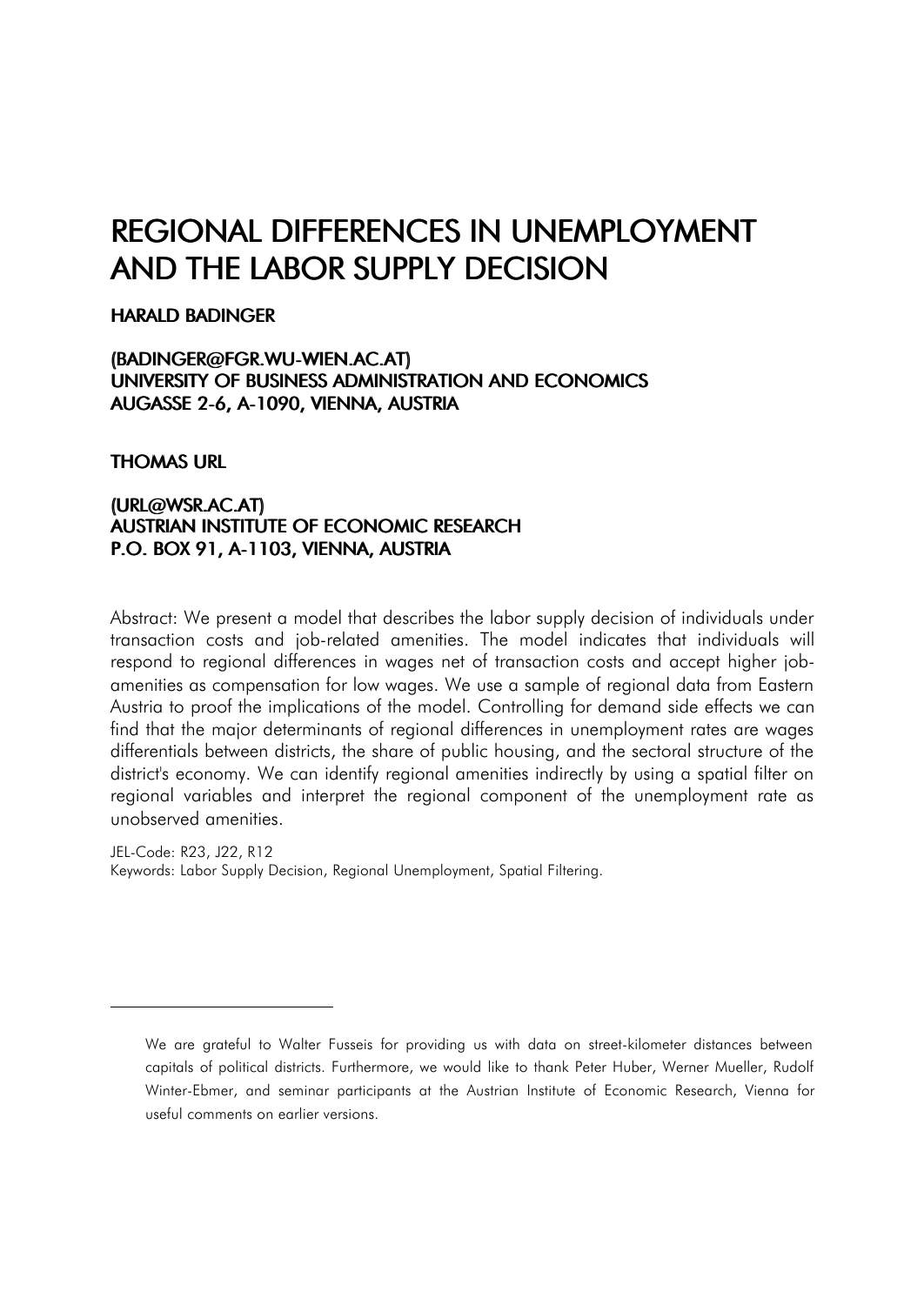# **REGIONAL DIFFERENCES IN UNEMPLOYMENT AND THE LABOR SUPPLY DECISION**

#### **HARALD BADINGER**

#### **(BADINGER@FGR.WU-WIEN.AC.AT) UNIVERSITY OF BUSINESS ADMINISTRATION AND ECONOMICS AUGASSE 2-6, A-1090, VIENNA, AUSTRIA**

#### **THOMAS URL**

1

#### **(URL@WSR.AC.AT) AUSTRIAN INSTITUTE OF ECONOMIC RESEARCH P.O. BOX 91, A-1103, VIENNA, AUSTRIA**

Abstract: We present a model that describes the labor supply decision of individuals under transaction costs and job-related amenities. The model indicates that individuals will respond to regional differences in wages net of transaction costs and accept higher jobamenities as compensation for low wages. We use a sample of regional data from Eastern Austria to proof the implications of the model. Controlling for demand side effects we can find that the major determinants of regional differences in unemployment rates are wages differentials between districts, the share of public housing, and the sectoral structure of the district's economy. We can identify regional amenities indirectly by using a spatial filter on regional variables and interpret the regional component of the unemployment rate as unobserved amenities..

JEL-Code: R23, J22, R12 Keywords: Labor Supply Decision, Regional Unemployment, Spatial Filtering.

<sup>.</sup> We are grateful to Walter Fusseis for providing us with data on street-kilometer distances between capitals of political districts. Furthermore, we would like to thank Peter Huber, Werner Mueller, Rudolf Winter-Ebmer, and seminar participants at the Austrian Institute of Economic Research, Vienna for useful comments on earlier versions.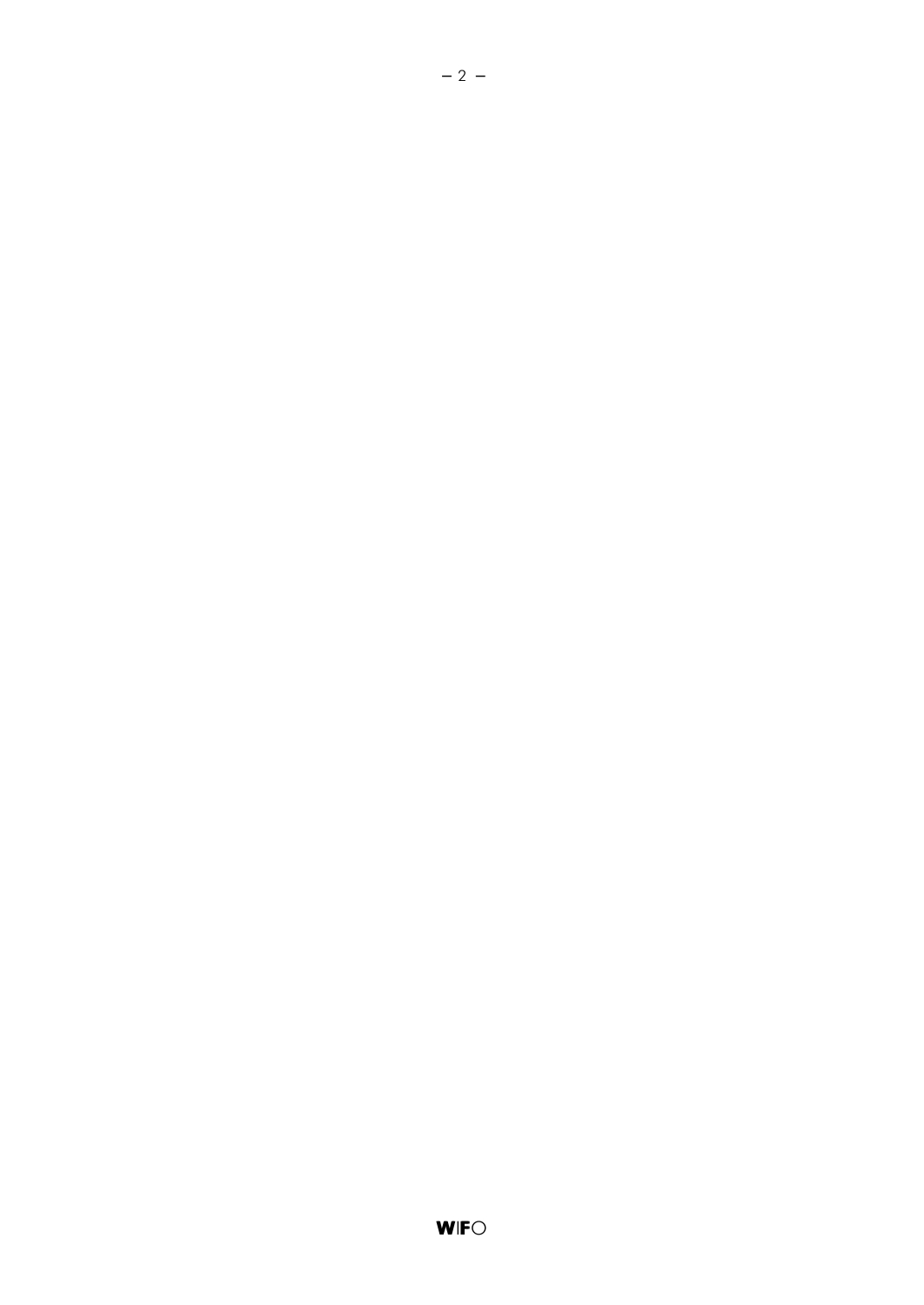

 $-2-$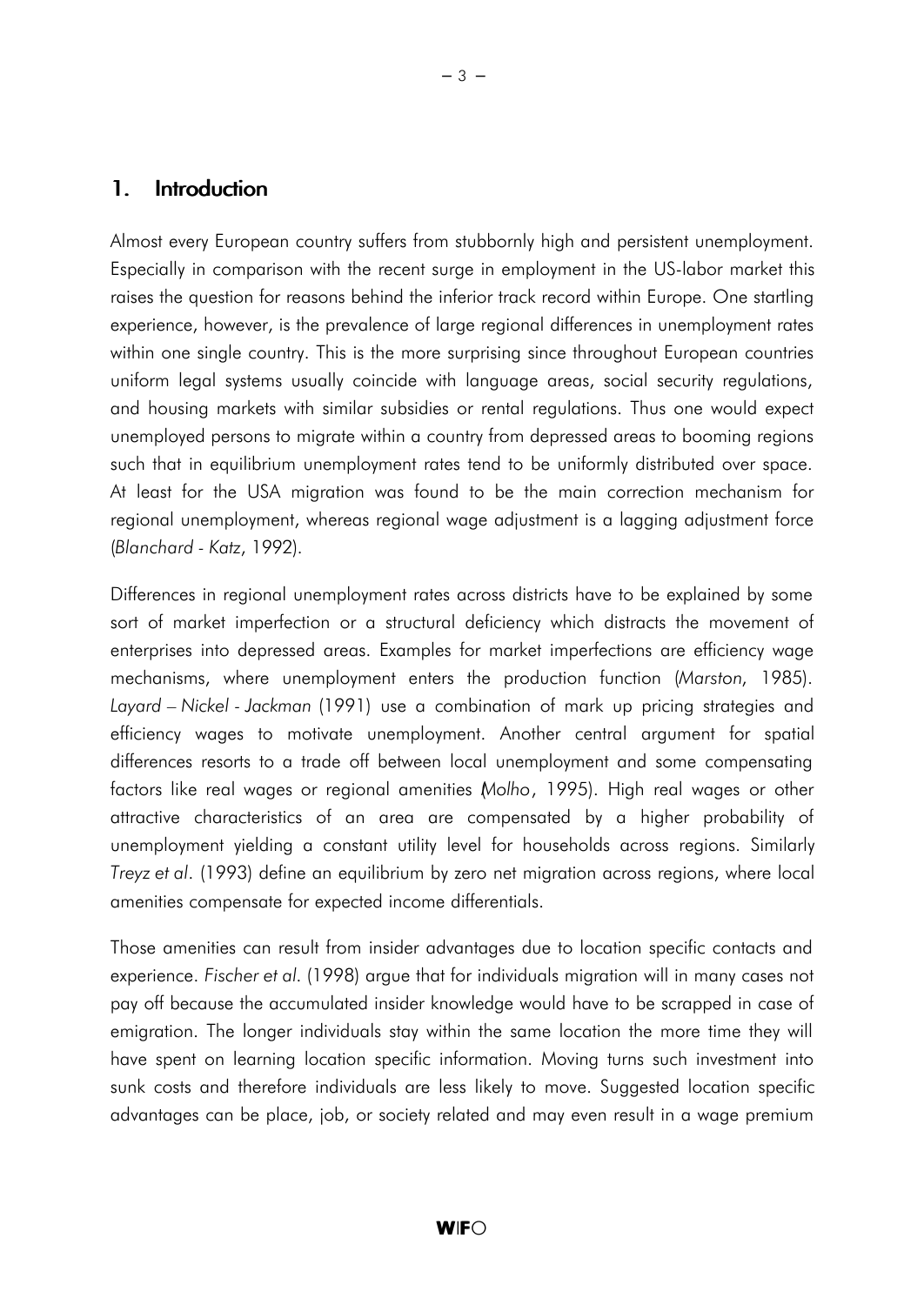#### **1. Introduction**

Almost every European country suffers from stubbornly high and persistent unemployment. Especially in comparison with the recent surge in employment in the US-labor market this raises the question for reasons behind the inferior track record within Europe. One startling experience, however, is the prevalence of large regional differences in unemployment rates within one single country. This is the more surprising since throughout European countries uniform legal systems usually coincide with language areas, social security regulations, and housing markets with similar subsidies or rental regulations. Thus one would expect unemployed persons to migrate within a country from depressed areas to booming regions such that in equilibrium unemployment rates tend to be uniformly distributed over space. At least for the USA migration was found to be the main correction mechanism for regional unemployment, whereas regional wage adjustment is a lagging adjustment force (*Blanchard - Katz*, 1992).

Differences in regional unemployment rates across districts have to be explained by some sort of market imperfection or a structural deficiency which distracts the movement of enterprises into depressed areas. Examples for market imperfections are efficiency wage mechanisms, where unemployment enters the production function (*Marston*, 1985). *Layard – Nickel - Jackman* (1991) use a combination of mark up pricing strategies and efficiency wages to motivate unemployment. Another central argument for spatial differences resorts to a trade off between local unemployment and some compensating factors like real wages or regional amenities (*Molho*, 1995). High real wages or other attractive characteristics of an area are compensated by a higher probability of unemployment yielding a constant utility level for households across regions. Similarly *Treyz et al*. (1993) define an equilibrium by zero net migration across regions, where local amenities compensate for expected income differentials.

Those amenities can result from insider advantages due to location specific contacts and experience. *Fischer et al.* (1998) argue that for individuals migration will in many cases not pay off because the accumulated insider knowledge would have to be scrapped in case of emigration. The longer individuals stay within the same location the more time they will have spent on learning location specific information. Moving turns such investment into sunk costs and therefore individuals are less likely to move. Suggested location specific advantages can be place, job, or society related and may even result in a wage premium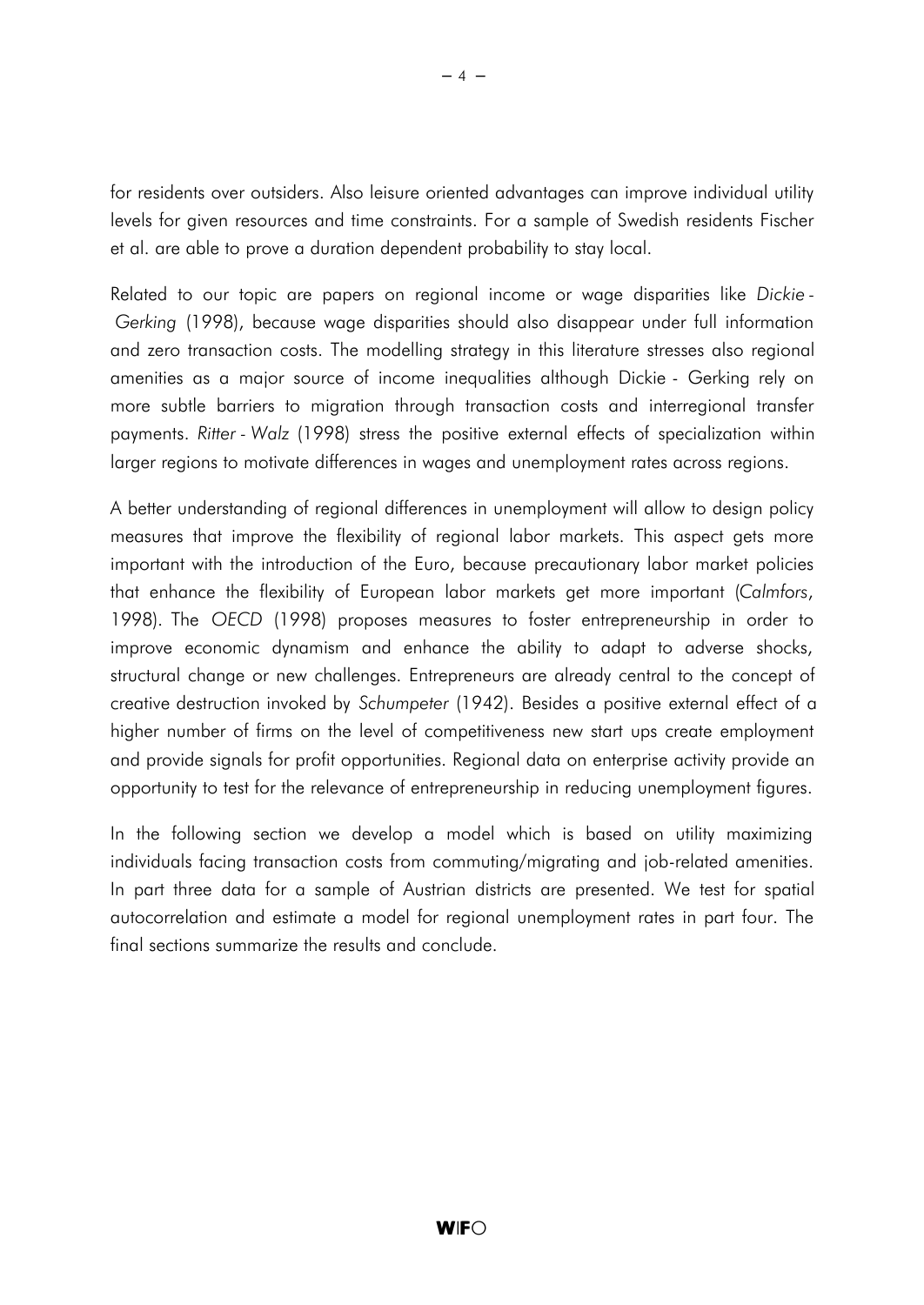for residents over outsiders. Also leisure oriented advantages can improve individual utility levels for given resources and time constraints. For a sample of Swedish residents Fischer et al. are able to prove a duration dependent probability to stay local.

Related to our topic are papers on regional income or wage disparities like *Dickie - Gerking* (1998), because wage disparities should also disappear under full information and zero transaction costs. The modelling strategy in this literature stresses also regional amenities as a major source of income inequalities although Dickie - Gerking rely on more subtle barriers to migration through transaction costs and interregional transfer payments. *Ritter - Walz* (1998) stress the positive external effects of specialization within larger regions to motivate differences in wages and unemployment rates across regions.

A better understanding of regional differences in unemployment will allow to design policy measures that improve the flexibility of regional labor markets. This aspect gets more important with the introduction of the Euro, because precautionary labor market policies that enhance the flexibility of European labor markets get more important (*Calmfors*, 1998). The *OECD* (1998) proposes measures to foster entrepreneurship in order to improve economic dynamism and enhance the ability to adapt to adverse shocks, structural change or new challenges. Entrepreneurs are already central to the concept of creative destruction invoked by *Schumpeter* (1942). Besides a positive external effect of a higher number of firms on the level of competitiveness new start ups create employment and provide signals for profit opportunities. Regional data on enterprise activity provide an opportunity to test for the relevance of entrepreneurship in reducing unemployment figures.

In the following section we develop a model which is based on utility maximizing individuals facing transaction costs from commuting/migrating and job-related amenities. In part three data for a sample of Austrian districts are presented. We test for spatial autocorrelation and estimate a model for regional unemployment rates in part four. The final sections summarize the results and conclude.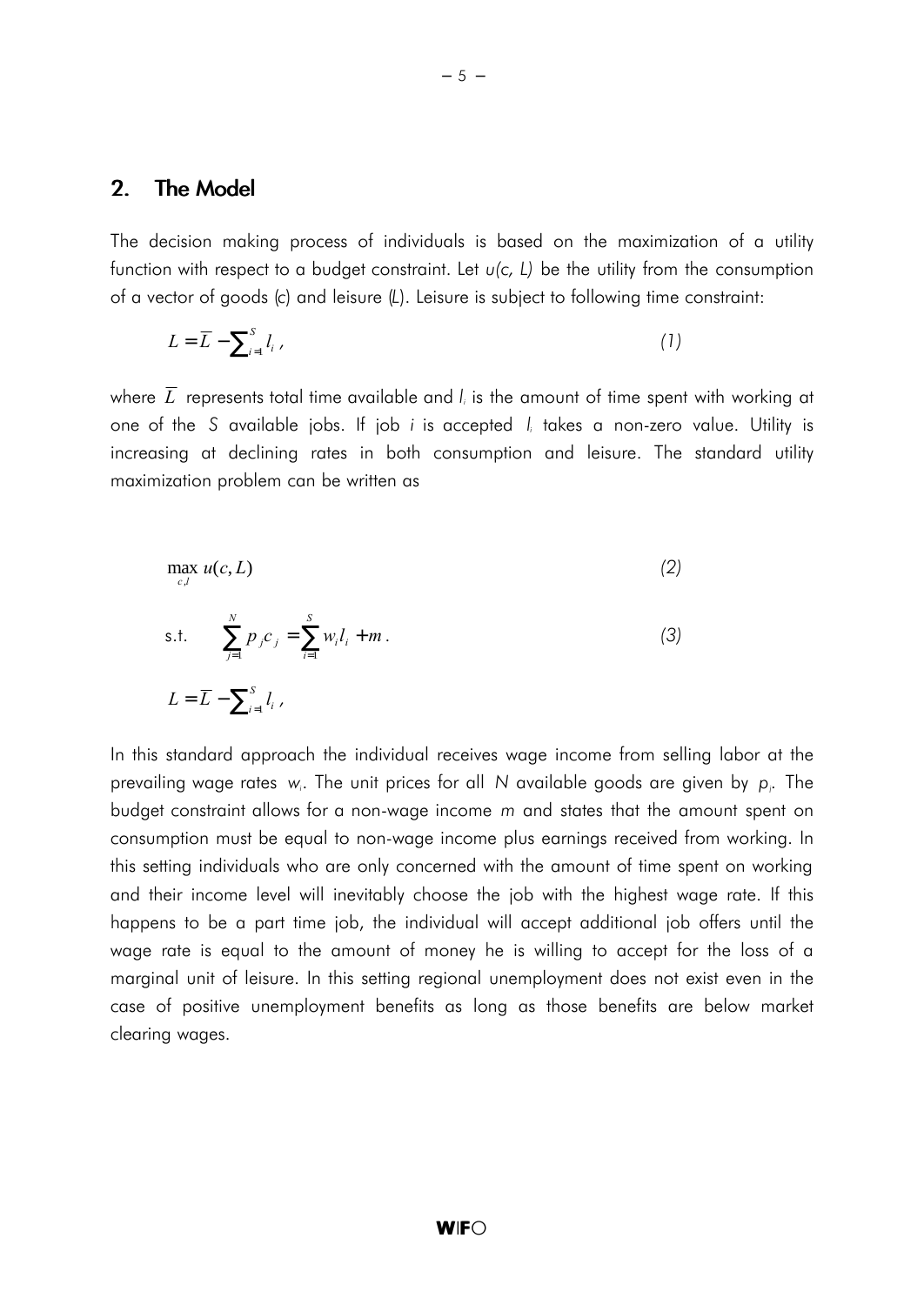#### **2. The Model**

The decision making process of individuals is based on the maximization of a utility function with respect to a budget constraint. Let *u(c, L)* be the utility from the consumption of a vector of goods (*c*) and leisure (*L*). Leisure is subject to following time constraint:

$$
L = \overline{L} - \sum_{i=1}^{S} l_i \tag{1}
$$

where  $\overline{L}$  represents total time available and  $l_i$  is the amount of time spent with working at one of the *S* available jobs. If job *i* is accepted *li* takes a non-zero value. Utility is increasing at declining rates in both consumption and leisure. The standard utility maximization problem can be written as

$$
\max_{c,l} u(c, L) \tag{2}
$$
\n
$$
\text{s.t.} \quad \sum_{j=1}^{N} p_j c_j = \sum_{i=1}^{S} w_i l_i + m \tag{3}
$$
\n
$$
L = \overline{L} - \sum_{i=1}^{S} l_i \tag{3}
$$

In this standard approach the individual receives wage income from selling labor at the prevailing wage rates *wi*. The unit prices for all *N* available goods are given by *pj*. The budget constraint allows for a non-wage income *m* and states that the amount spent on consumption must be equal to non-wage income plus earnings received from working. In this setting individuals who are only concerned with the amount of time spent on working and their income level will inevitably choose the job with the highest wage rate. If this happens to be a part time job, the individual will accept additional job offers until the wage rate is equal to the amount of money he is willing to accept for the loss of a marginal unit of leisure. In this setting regional unemployment does not exist even in the case of positive unemployment benefits as long as those benefits are below market clearing wages.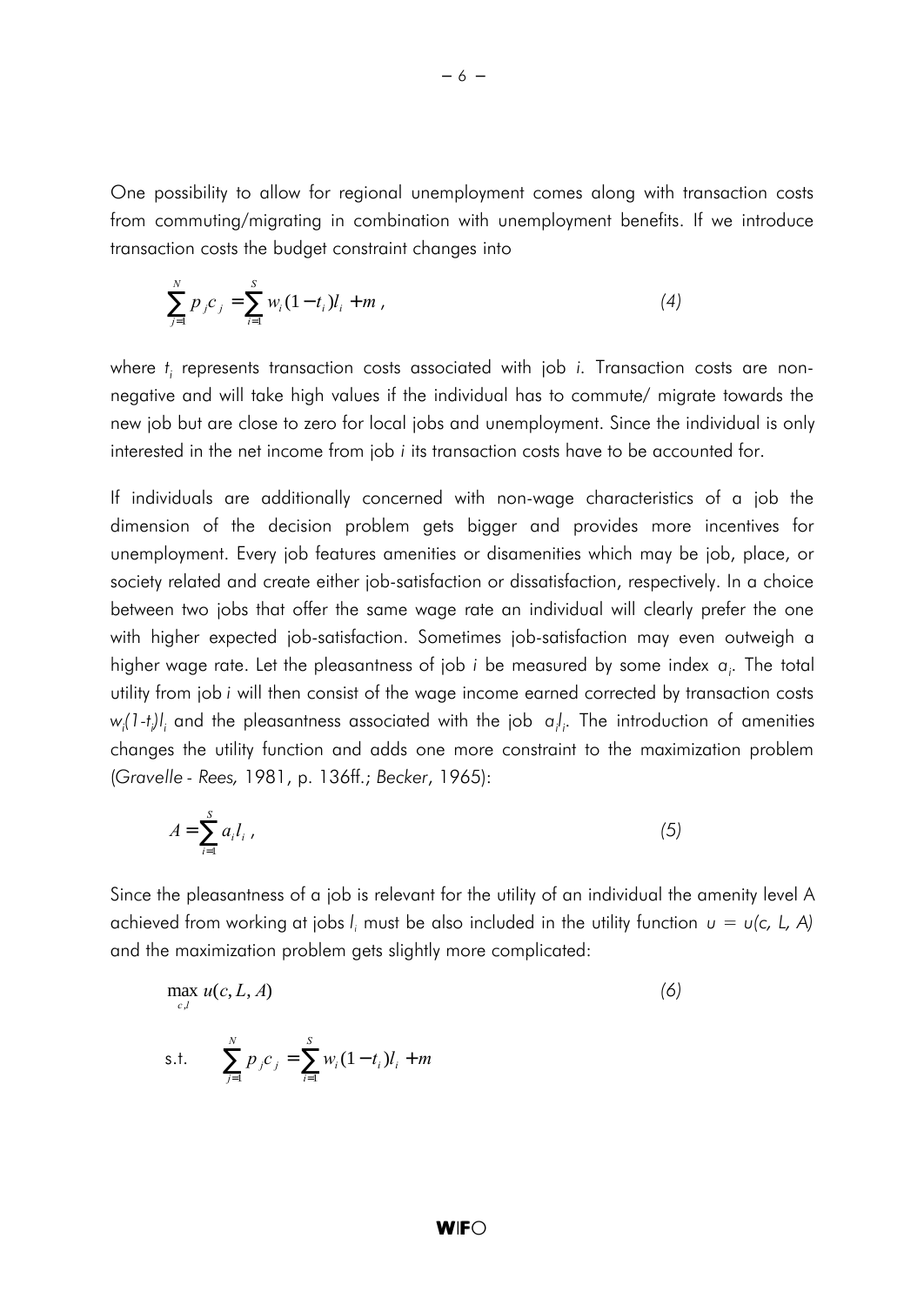One possibility to allow for regional unemployment comes along with transaction costs from commuting/migrating in combination with unemployment benefits. If we introduce transaction costs the budget constraint changes into

$$
\sum_{j=1}^{N} p_j c_j = \sum_{i=1}^{S} w_i (1 - t_i) l_i + m \t\t(4)
$$

where *t i* represents transaction costs associated with job *i*. Transaction costs are nonnegative and will take high values if the individual has to commute/ migrate towards the new job but are close to zero for local jobs and unemployment. Since the individual is only interested in the net income from job *i* its transaction costs have to be accounted for.

If individuals are additionally concerned with non-wage characteristics of a job the dimension of the decision problem gets bigger and provides more incentives for unemployment. Every job features amenities or disamenities which may be job, place, or society related and create either job-satisfaction or dissatisfaction, respectively. In a choice between two jobs that offer the same wage rate an individual will clearly prefer the one with higher expected job-satisfaction. Sometimes job-satisfaction may even outweigh a higher wage rate. Let the pleasantness of job *i* be measured by some index *a<sup>i</sup>* . The total utility from job *i* will then consist of the wage income earned corrected by transaction costs *wi (1-t<sup>i</sup> )li* and the pleasantness associated with the job *a<sup>i</sup> l i* . The introduction of amenities changes the utility function and adds one more constraint to the maximization problem (*Gravelle - Rees,* 1981, p. 136ff.; *Becker*, 1965):

$$
A = \sum_{i=1}^{S} a_i l_i \tag{5}
$$

Since the pleasantness of a job is relevant for the utility of an individual the amenity level A achieved from working at jobs *l<sub>i</sub>* must be also included in the utility function  $\omega = u(c,\,L,\,A)$ and the maximization problem gets slightly more complicated:

$$
\max_{c,l} u(c, L, A)
$$
\n
$$
\text{s.t.} \qquad \sum_{j=1}^{N} p_j c_j = \sum_{i=1}^{S} w_i (1 - t_i) l_i + m
$$
\n
$$
(6)
$$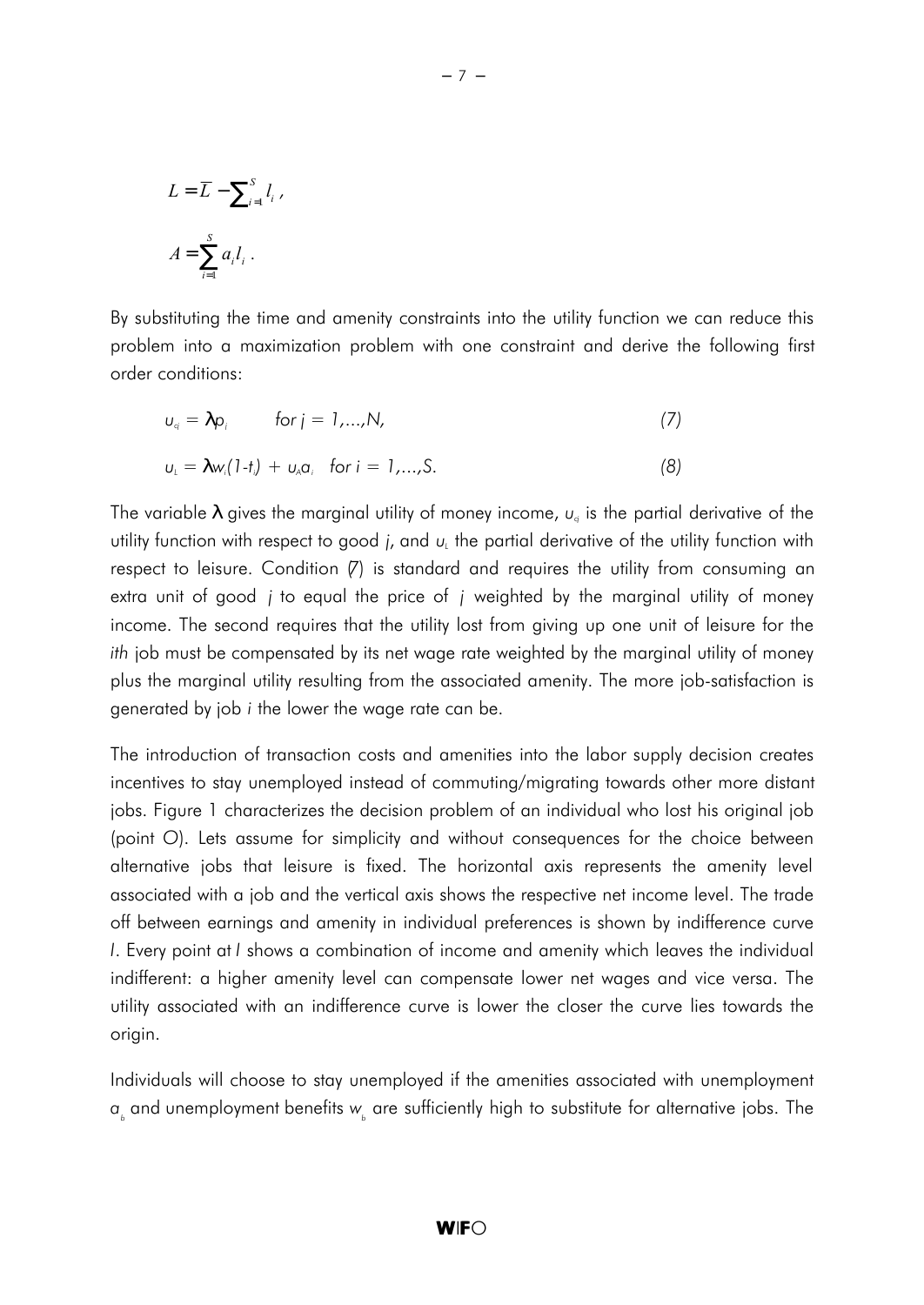$$
L = \overline{L} - \sum_{i=1}^{S} l_i
$$

$$
A = \sum_{i=1}^{S} a_i l_i.
$$

*,* 

By substituting the time and amenity constraints into the utility function we can reduce this problem into a maximization problem with one constraint and derive the following first order conditions:

$$
u_{q} = I p_{i} \qquad \text{for } j = 1,...,N,
$$
  
\n
$$
u_{L} = I w_{i}(1-t_{i}) + u_{A} a_{i} \quad \text{for } i = 1,...,S.
$$
 (8)

The variable  $\bm{l}$  gives the marginal utility of money income,  $\bm{\mathsf{u}}_q$  is the partial derivative of the utility function with respect to good *j*, and *uL* the partial derivative of the utility function with respect to leisure. Condition  $\nabla$ ) is standard and requires the utility from consuming an extra unit of good *j* to equal the price of *j* weighted by the marginal utility of money income. The second requires that the utility lost from giving up one unit of leisure for the *ith* job must be compensated by its net wage rate weighted by the marginal utility of money plus the marginal utility resulting from the associated amenity. The more job-satisfaction is generated by job *i* the lower the wage rate can be.

The introduction of transaction costs and amenities into the labor supply decision creates incentives to stay unemployed instead of commuting/migrating towards other more distant jobs. Figure 1 characterizes the decision problem of an individual who lost his original job (point *O*). Lets assume for simplicity and without consequences for the choice between alternative jobs that leisure is fixed. The horizontal axis represents the amenity level associated with a job and the vertical axis shows the respective net income level. The trade off between earnings and amenity in individual preferences is shown by indifference curve *I*. Every point at *I* shows a combination of income and amenity which leaves the individual indifferent: a higher amenity level can compensate lower net wages and vice versa. The utility associated with an indifference curve is lower the closer the curve lies towards the origin.

Individuals will choose to stay unemployed if the amenities associated with unemployment  $\alpha_{_{b}}$  and unemployment benefits  $w_{_{b}}$  are sufficiently high to substitute for alternative jobs. The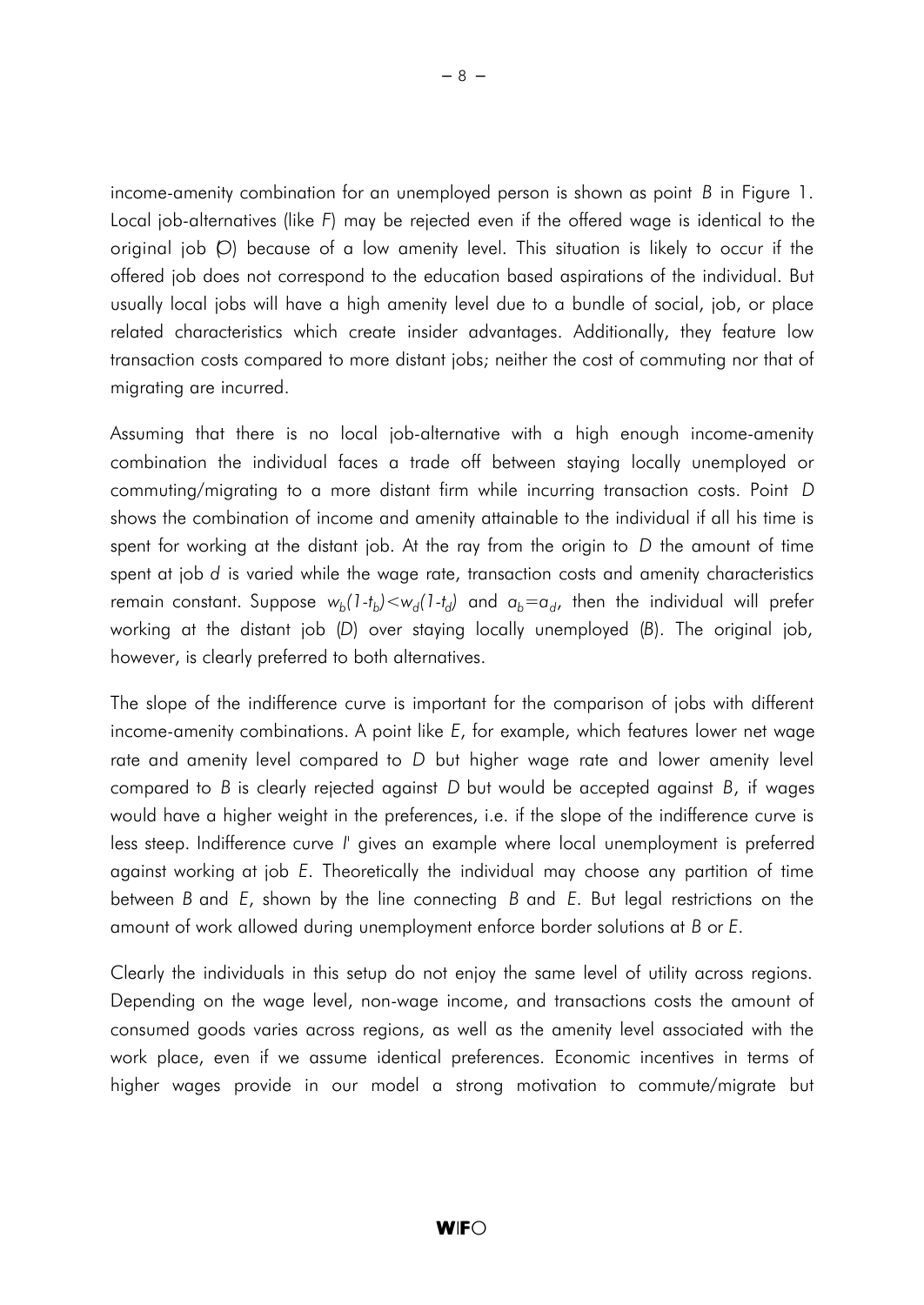income-amenity combination for an unemployed person is shown as point *B* in Figure 1. Local job-alternatives (like *F*) may be rejected even if the offered wage is identical to the original job (*O*) because of a low amenity level. This situation is likely to occur if the offered job does not correspond to the education based aspirations of the individual. But usually local jobs will have a high amenity level due to a bundle of social, job, or place related characteristics which create insider advantages. Additionally, they feature low transaction costs compared to more distant jobs; neither the cost of commuting nor that of migrating are incurred.

Assuming that there is no local job-alternative with a high enough income-amenity combination the individual faces a trade off between staying locally unemployed or commuting/migrating to a more distant firm while incurring transaction costs. Point *D* shows the combination of income and amenity attainable to the individual if all his time is spent for working at the distant job. At the ray from the origin to *D* the amount of time spent at job *d* is varied while the wage rate, transaction costs and amenity characteristics remain constant. Suppose  $w_b(1\text{-}t_b){<}w_d(1\text{-}t_d)$  and  $a_b{=}a_d$ , then the individual will prefer working at the distant job (*D*) over staying locally unemployed (*B*). The original job, however, is clearly preferred to both alternatives.

The slope of the indifference curve is important for the comparison of jobs with different income-amenity combinations. A point like *E*, for example, which features lower net wage rate and amenity level compared to *D* but higher wage rate and lower amenity level compared to *B* is clearly rejected against *D* but would be accepted against *B*, if wages would have a higher weight in the preferences, i.e. if the slope of the indifference curve is less steep. Indifference curve *I'* gives an example where local unemployment is preferred against working at job *E*. Theoretically the individual may choose any partition of time between *B* and *E*, shown by the line connecting *B* and *E*. But legal restrictions on the amount of work allowed during unemployment enforce border solutions at *B* or *E*.

Clearly the individuals in this setup do not enjoy the same level of utility across regions. Depending on the wage level, non-wage income, and transactions costs the amount of consumed goods varies across regions, as well as the amenity level associated with the work place, even if we assume identical preferences. Economic incentives in terms of higher wages provide in our model a strong motivation to commute/migrate but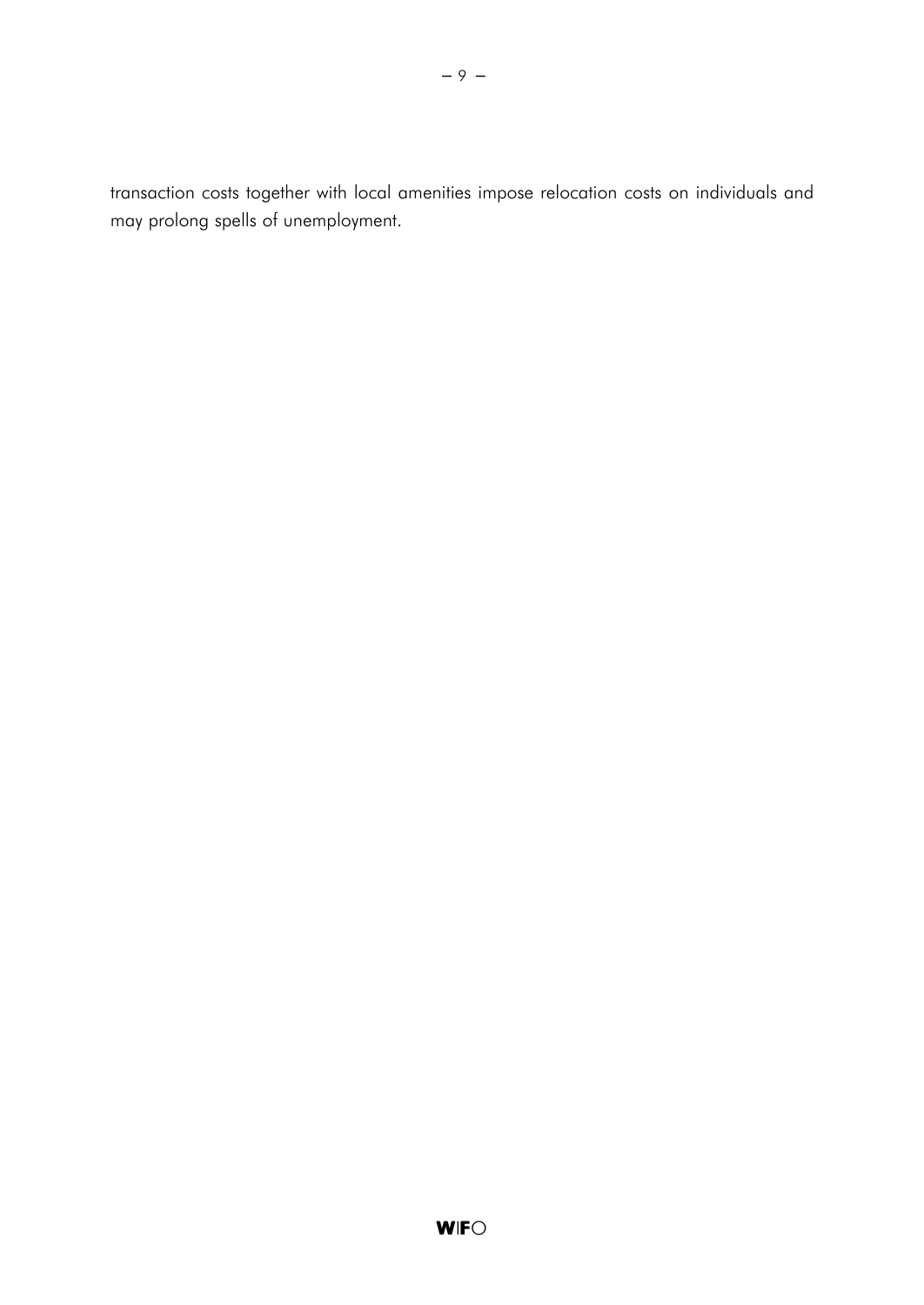transaction costs together with local amenities impose relocation costs on individuals and may prolong spells of unemployment.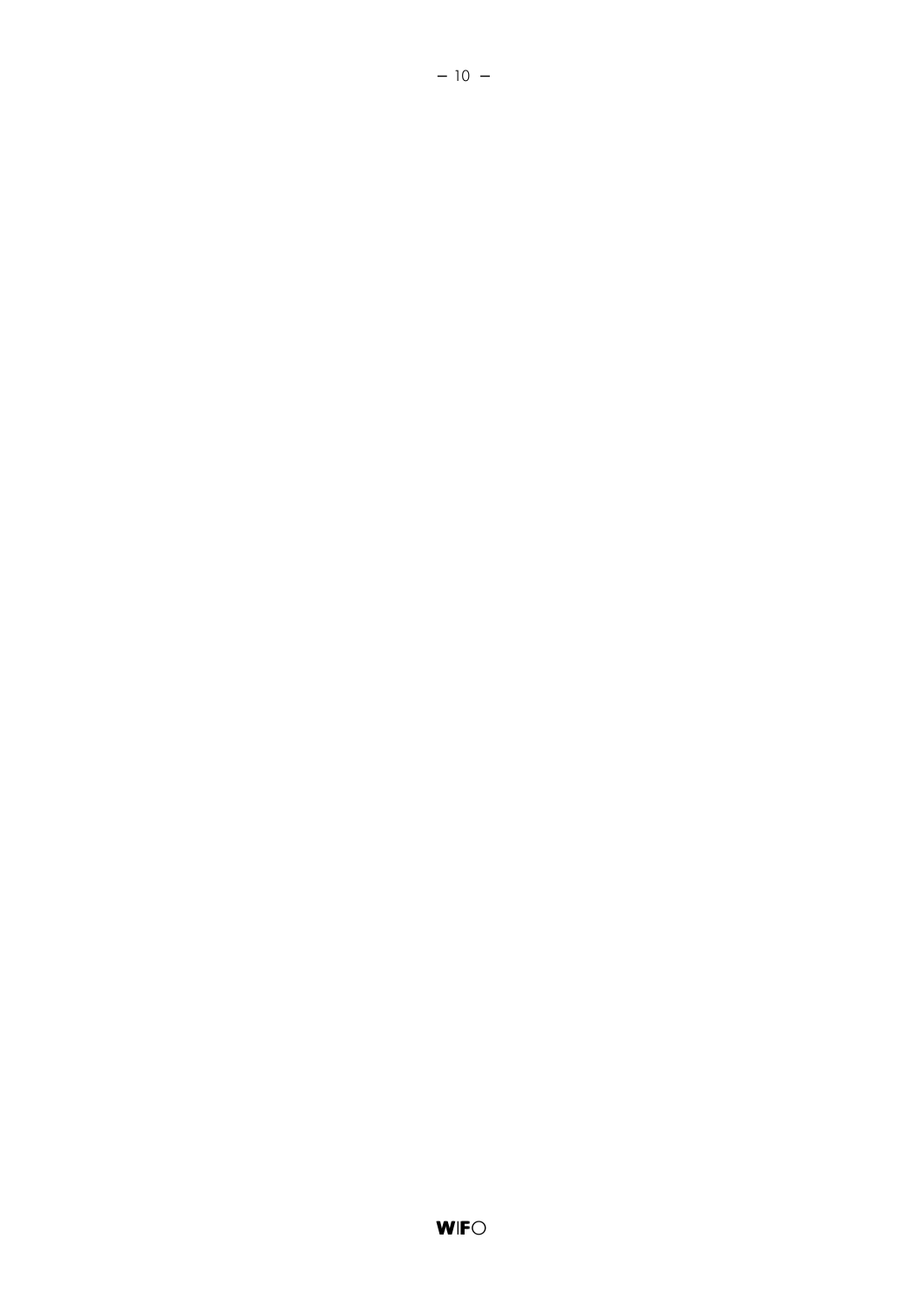

 $-10 -$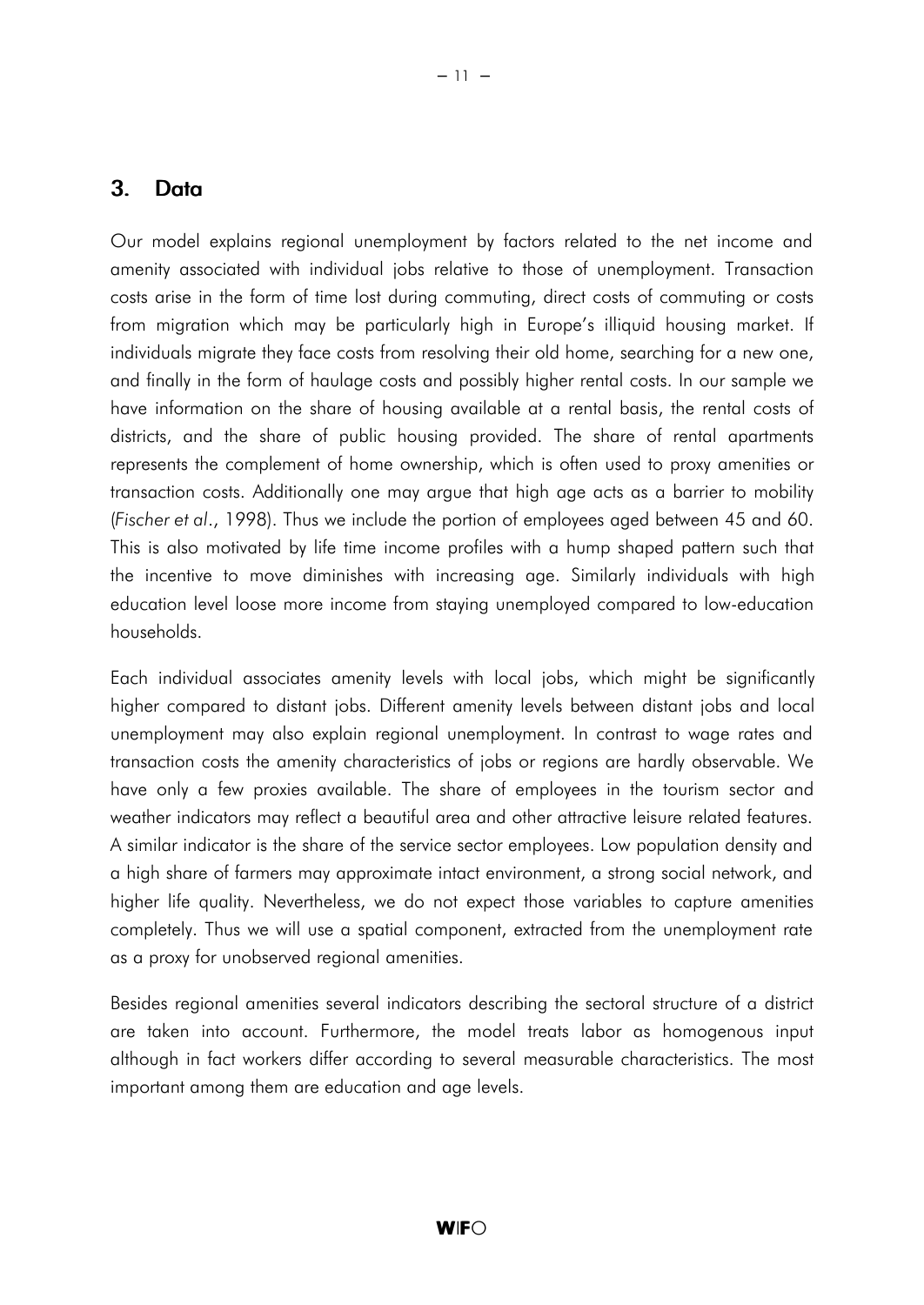### **3. Data**

Our model explains regional unemployment by factors related to the net income and amenity associated with individual jobs relative to those of unemployment. Transaction costs arise in the form of time lost during commuting, direct costs of commuting or costs from migration which may be particularly high in Europe's illiquid housing market. If individuals migrate they face costs from resolving their old home, searching for a new one, and finally in the form of haulage costs and possibly higher rental costs. In our sample we have information on the share of housing available at a rental basis, the rental costs of districts, and the share of public housing provided. The share of rental apartments represents the complement of home ownership, which is often used to proxy amenities or transaction costs. Additionally one may argue that high age acts as a barrier to mobility (*Fischer et al*., 1998). Thus we include the portion of employees aged between 45 and 60. This is also motivated by life time income profiles with a hump shaped pattern such that the incentive to move diminishes with increasing age. Similarly individuals with high education level loose more income from staying unemployed compared to low-education households.

Each individual associates amenity levels with local jobs, which might be significantly higher compared to distant jobs. Different amenity levels between distant jobs and local unemployment may also explain regional unemployment. In contrast to wage rates and transaction costs the amenity characteristics of jobs or regions are hardly observable. We have only a few proxies available. The share of employees in the tourism sector and weather indicators may reflect a beautiful area and other attractive leisure related features. A similar indicator is the share of the service sector employees. Low population density and a high share of farmers may approximate intact environment, a strong social network, and higher life quality. Nevertheless, we do not expect those variables to capture amenities completely. Thus we will use a spatial component, extracted from the unemployment rate as a proxy for unobserved regional amenities.

Besides regional amenities several indicators describing the sectoral structure of a district are taken into account. Furthermore, the model treats labor as homogenous input although in fact workers differ according to several measurable characteristics. The most important among them are education and age levels.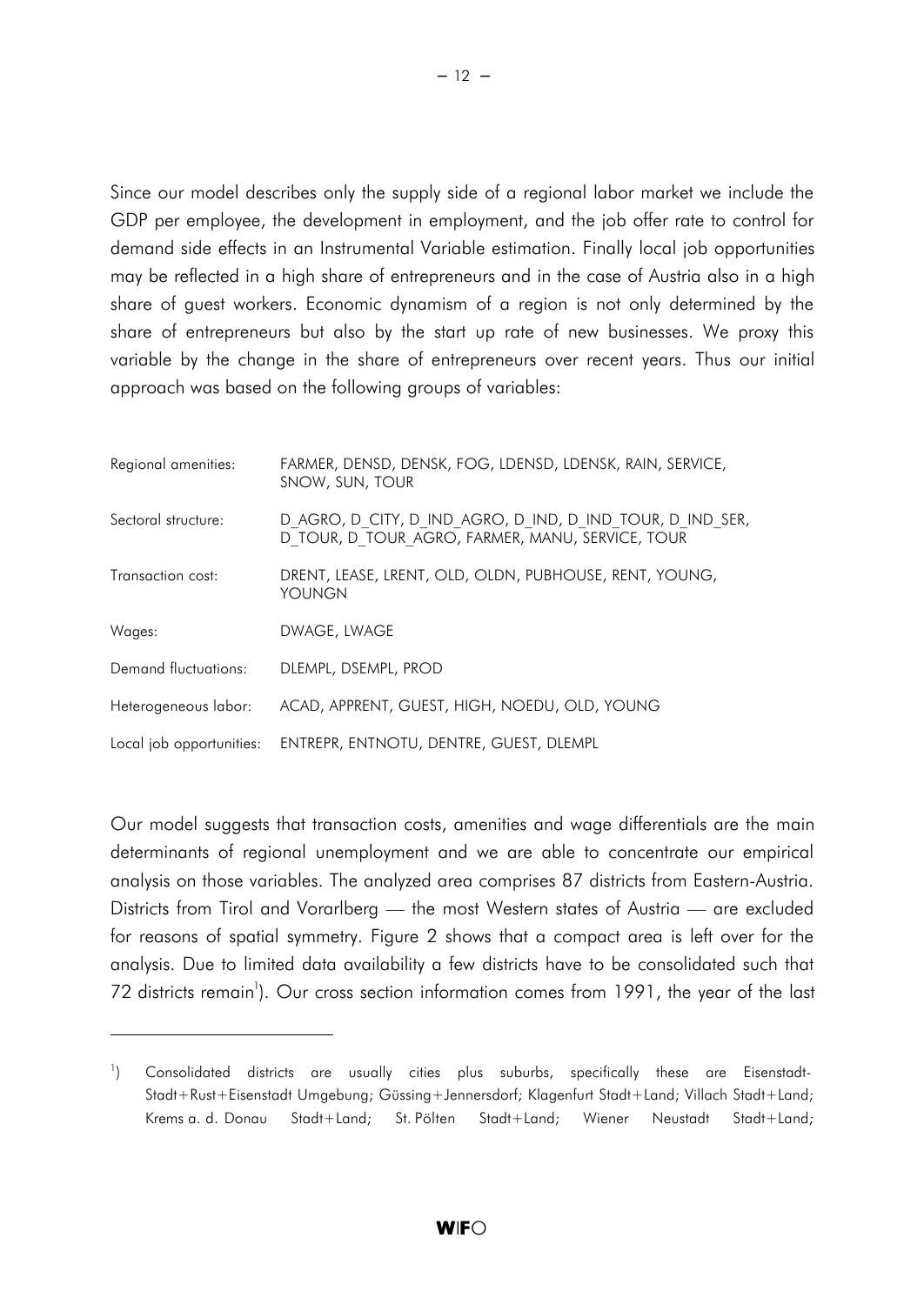Since our model describes only the supply side of a regional labor market we include the GDP per employee, the development in employment, and the job offer rate to control for demand side effects in an Instrumental Variable estimation. Finally local job opportunities may be reflected in a high share of entrepreneurs and in the case of Austria also in a high share of guest workers. Economic dynamism of a region is not only determined by the share of entrepreneurs but also by the start up rate of new businesses. We proxy this variable by the change in the share of entrepreneurs over recent years. Thus our initial approach was based on the following groups of variables:

| Regional amenities:      | FARMER, DENSD, DENSK, FOG, LDENSD, LDENSK, RAIN, SERVICE,<br>SNOW, SUN, TOUR                                  |
|--------------------------|---------------------------------------------------------------------------------------------------------------|
| Sectoral structure:      | D AGRO, D CITY, D IND AGRO, D IND, D IND TOUR, D IND SER,<br>D TOUR, D TOUR AGRO, FARMER, MANU, SERVICE, TOUR |
| Transaction cost:        | DRENT, LEASE, LRENT, OLD, OLDN, PUBHOUSE, RENT, YOUNG,<br>YOUNGN                                              |
| Wages:                   | DWAGE, LWAGE                                                                                                  |
| Demand fluctuations:     | DLEMPL, DSEMPL, PROD                                                                                          |
| Heterogeneous labor:     | ACAD, APPRENT, GUEST, HIGH, NOEDU, OLD, YOUNG                                                                 |
| Local job opportunities: | ENTREPR, ENTNOTU, DENTRE, GUEST, DLEMPL                                                                       |

Our model suggests that transaction costs, amenities and wage differentials are the main determinants of regional unemployment and we are able to concentrate our empirical analysis on those variables. The analyzed area comprises 87 districts from Eastern-Austria. Districts from Tirol and Vorarlberg — the most Western states of Austria — are excluded for reasons of spatial symmetry. Figure 2 shows that a compact area is left over for the analysis. Due to limited data availability a few districts have to be consolidated such that 72 districts remain<sup>1</sup>). Our cross section information comes from 1991, the year of the last

1

 $\frac{1}{2}$ ) Consolidated districts are usually cities plus suburbs, specifically these are Eisenstadt-Stadt+Rust+Eisenstadt Umgebung; Güssing+Jennersdorf; Klagenfurt Stadt+Land; Villach Stadt+Land; Krems a. d. Donau Stadt+Land; St. Pölten Stadt+Land; Wiener Neustadt Stadt+Land;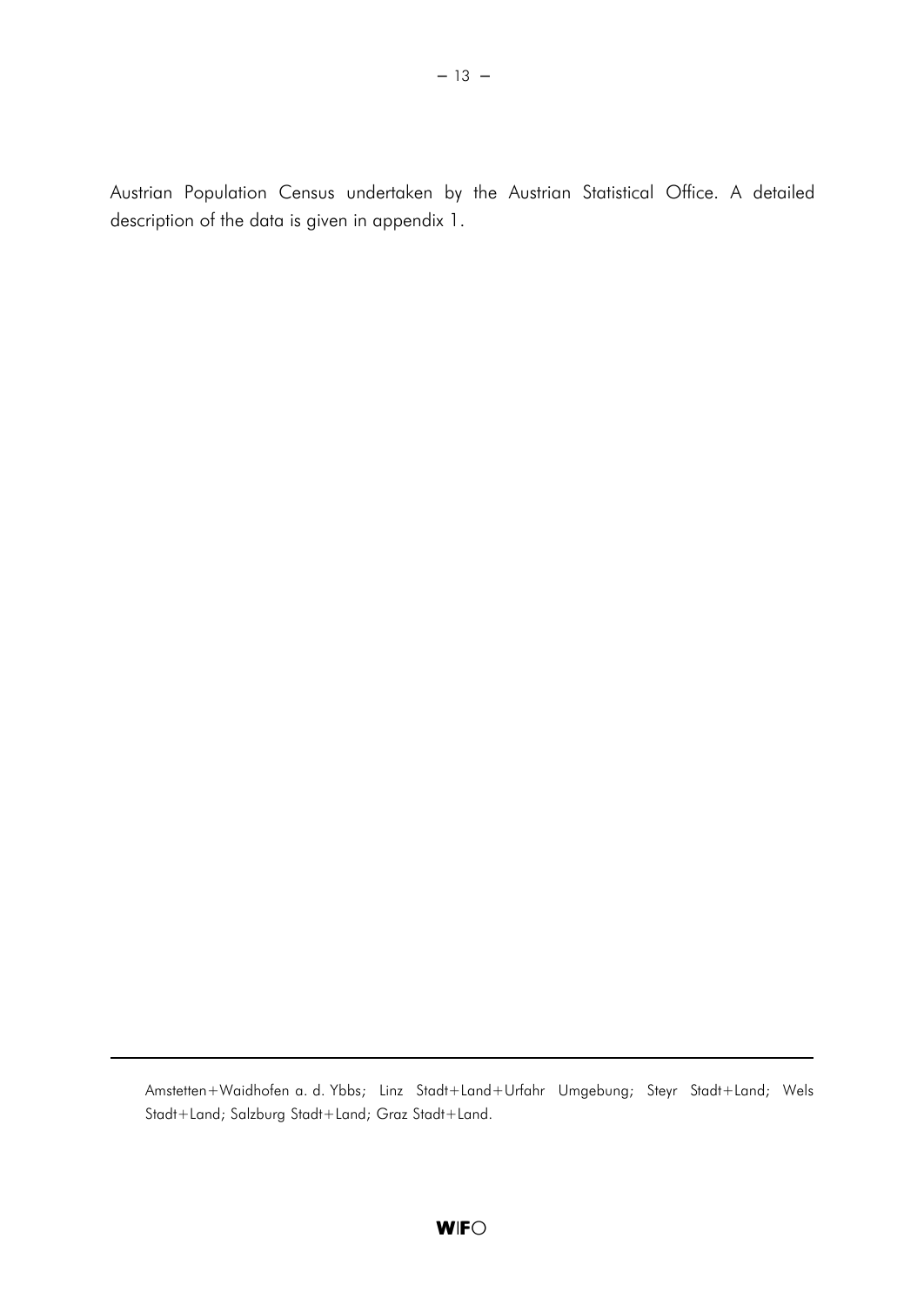Austrian Population Census undertaken by the Austrian Statistical Office. A detailed description of the data is given in appendix 1.

Amstetten+Waidhofen a. d. Ybbs; Linz Stadt+Land+Urfahr Umgebung; Steyr Stadt+Land; Wels Stadt+Land; Salzburg Stadt+Land; Graz Stadt+Land.

1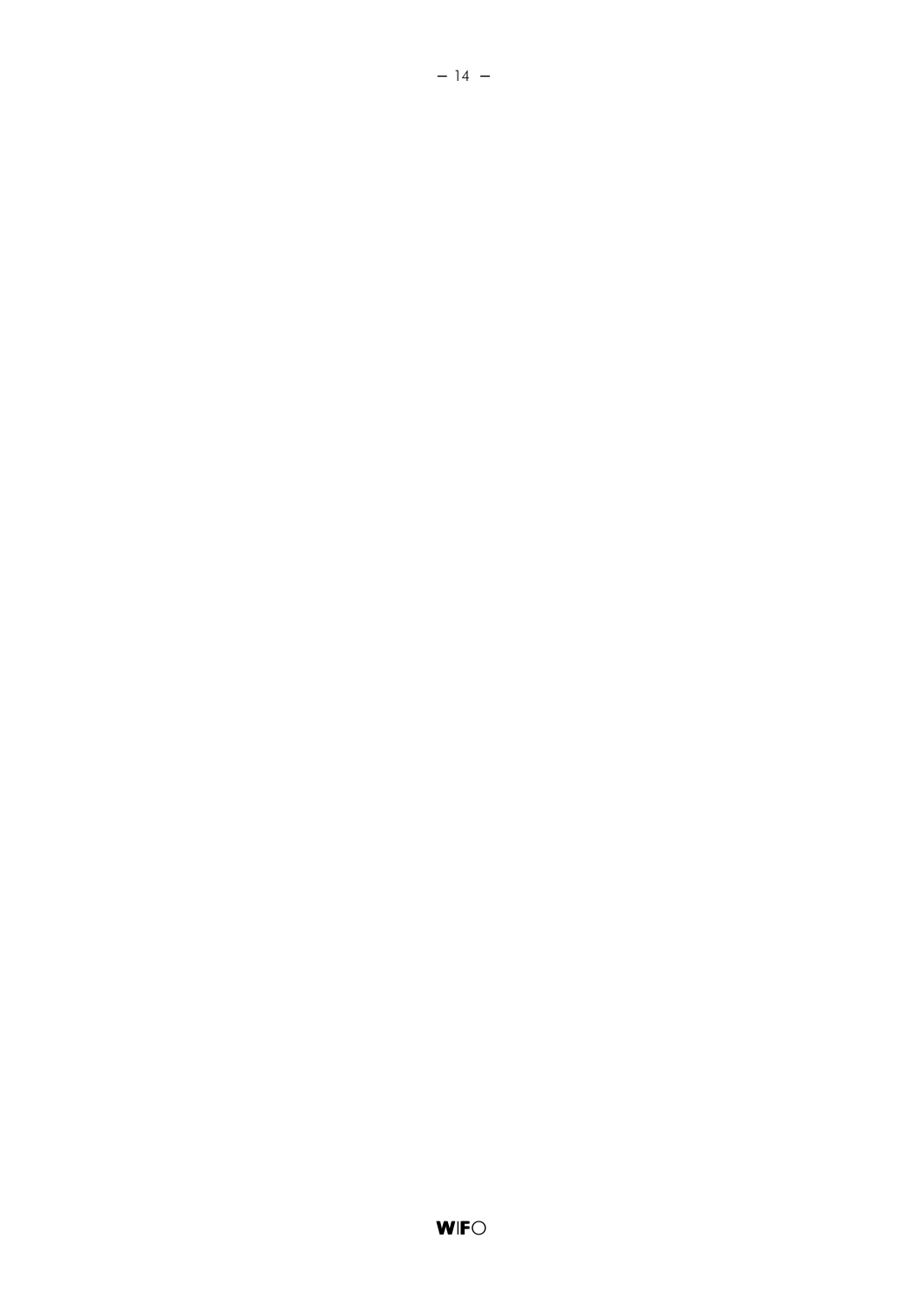

 $-14-$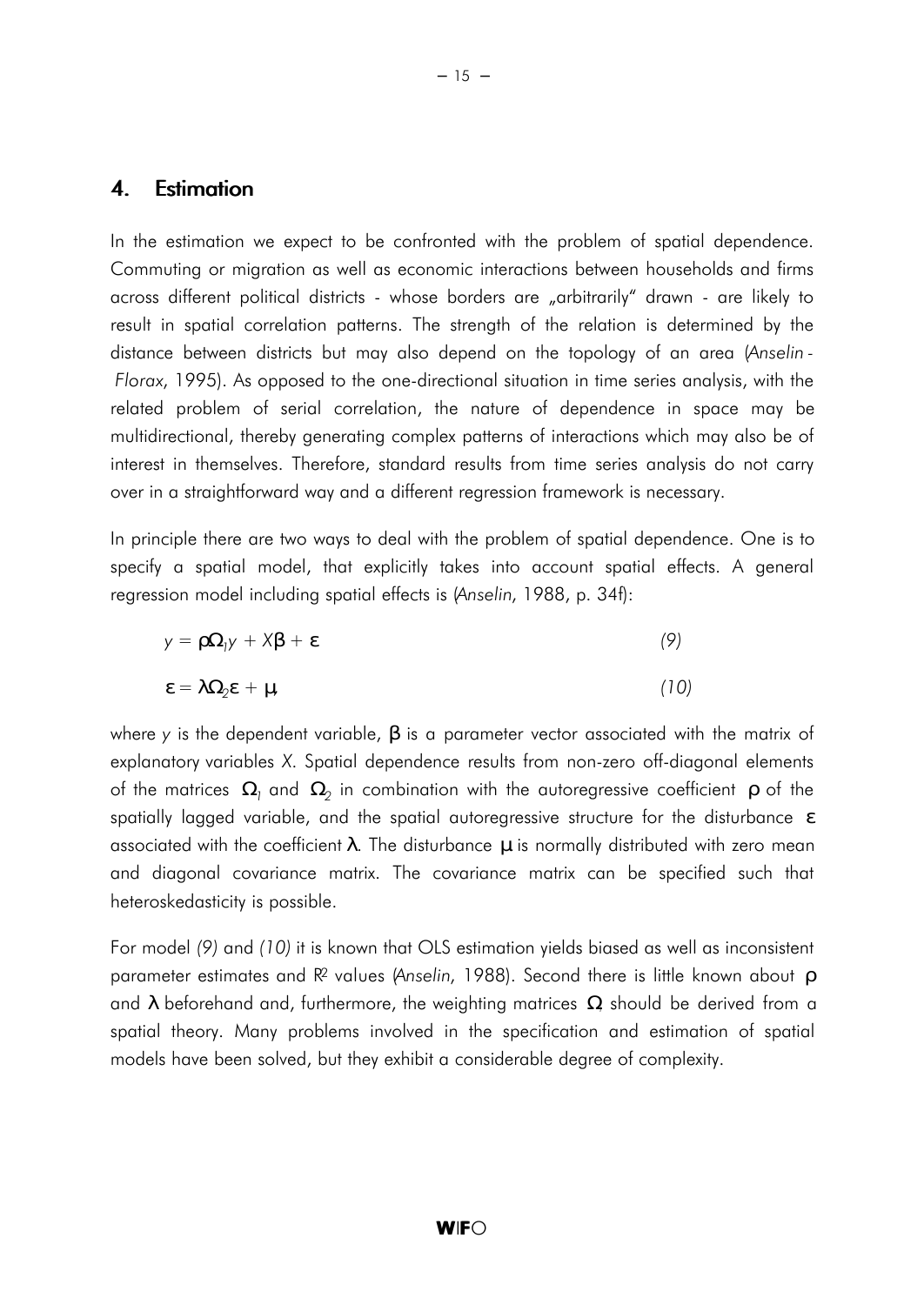#### **4. Estimation**

In the estimation we expect to be confronted with the problem of spatial dependence. Commuting or migration as well as economic interactions between households and firms across different political districts - whose borders are "arbitrarily" drawn - are likely to result in spatial correlation patterns. The strength of the relation is determined by the distance between districts but may also depend on the topology of an area (*Anselin - Florax*, 1995). As opposed to the one-directional situation in time series analysis, with the related problem of serial correlation, the nature of dependence in space may be multidirectional, thereby generating complex patterns of interactions which may also be of interest in themselves. Therefore, standard results from time series analysis do not carry over in a straightforward way and a different regression framework is necessary.

In principle there are two ways to deal with the problem of spatial dependence. One is to specify a spatial model, that explicitly takes into account spatial effects. A general regression model including spatial effects is (*Anselin*, 1988, p. 34f):

$$
y = rW_1y + xb + e
$$
  
(9)  

$$
e = lW_2e + m
$$
  
(10)

where *y* is the dependent variable, *b* is a parameter vector associated with the matrix of explanatory variables *X*. Spatial dependence results from non-zero off-diagonal elements of the matrices  $\textit{\textbf{W}}_{\textit{\textbf{I}}}$  and  $\textit{\textbf{W}}_{\textit{\textbf{2}}}$  in combination with the autoregressive coefficient  $\textit{\textbf{r}}$  of the spatially lagged variable, and the spatial autoregressive structure for the disturbance *e* associated with the coefficient *l*. The disturbance *m* is normally distributed with zero mean and diagonal covariance matrix. The covariance matrix can be specified such that heteroskedasticity is possible.

For model *(9)* and *(10)* it is known that OLS estimation yields biased as well as inconsistent parameter estimates and R<sup>2</sup> values (*Anselin*, 1988). Second there is little known about *r* and *l* beforehand and, furthermore, the weighting matrices *Wi* should be derived from a spatial theory. Many problems involved in the specification and estimation of spatial models have been solved, but they exhibit a considerable degree of complexity.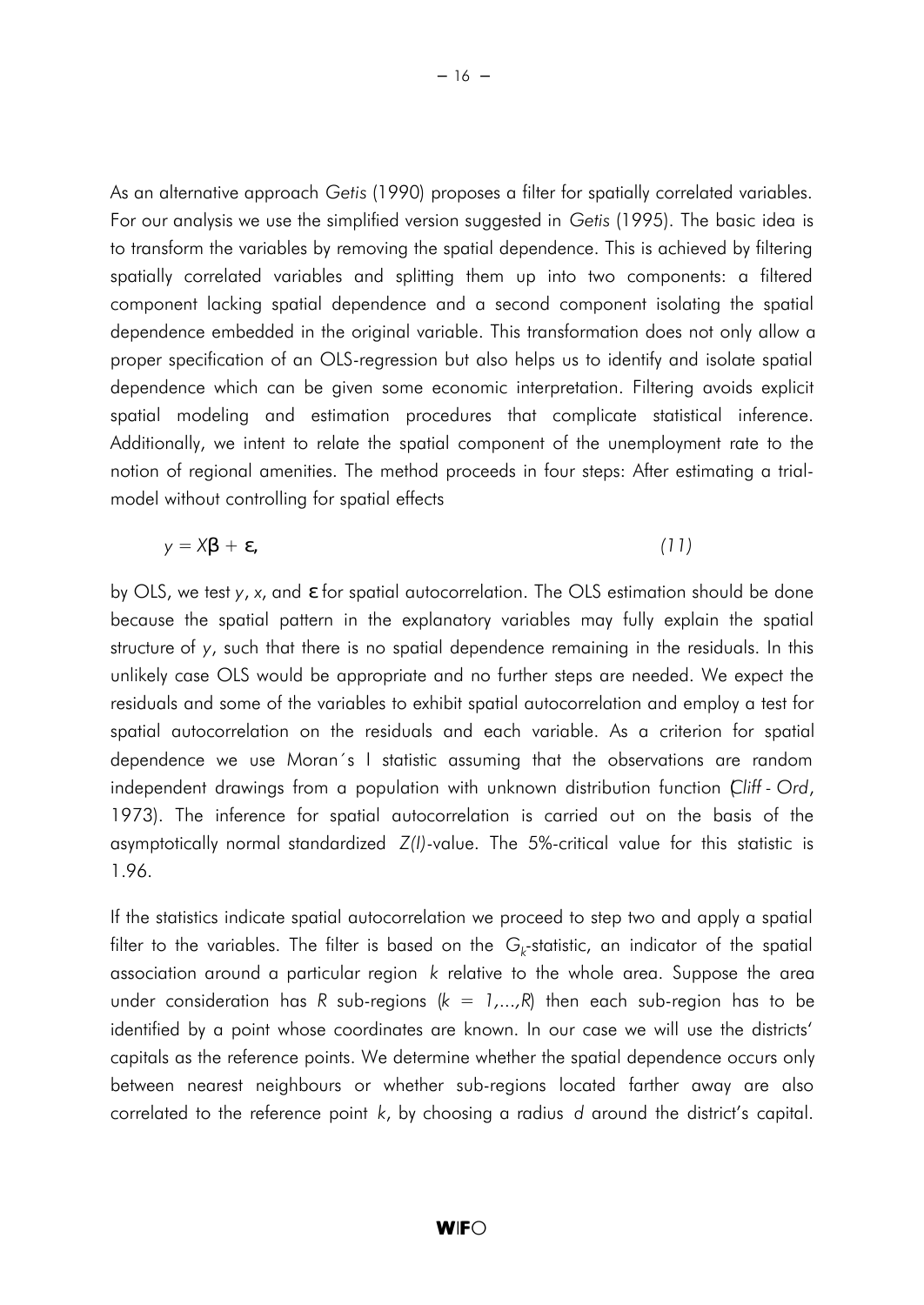As an alternative approach *Getis* (1990) proposes a filter for spatially correlated variables. For our analysis we use the simplified version suggested in *Getis* (1995). The basic idea is to transform the variables by removing the spatial dependence. This is achieved by filtering spatially correlated variables and splitting them up into two components: a filtered component lacking spatial dependence and a second component isolating the spatial dependence embedded in the original variable. This transformation does not only allow a proper specification of an OLS-regression but also helps us to identify and isolate spatial dependence which can be given some economic interpretation. Filtering avoids explicit spatial modeling and estimation procedures that complicate statistical inference. Additionally, we intent to relate the spatial component of the unemployment rate to the notion of regional amenities. The method proceeds in four steps: After estimating a trialmodel without controlling for spatial effects

$$
y = Xb + e,
$$
 (11)

by OLS, we test *y*, *x*, and *e* for spatial autocorrelation. The OLS estimation should be done because the spatial pattern in the explanatory variables may fully explain the spatial structure of *y*, such that there is no spatial dependence remaining in the residuals. In this unlikely case OLS would be appropriate and no further steps are needed. We expect the residuals and some of the variables to exhibit spatial autocorrelation and employ a test for spatial autocorrelation on the residuals and each variable. As a criterion for spatial dependence we use Moran´s I statistic assuming that the observations are random independent drawings from a population with unknown distribution function (*Cliff - Ord*, 1973). The inference for spatial autocorrelation is carried out on the basis of the asymptotically normal standardized *Z(I)*-value. The 5%-critical value for this statistic is 1.96.

If the statistics indicate spatial autocorrelation we proceed to step two and apply a spatial filter to the variables. The filter is based on the  $\,G_{\rm k}$ -statistic, an indicator of the spatial association around a particular region *k* relative to the whole area. Suppose the area under consideration has *R* sub-regions (*k = 1,...,R*) then each sub-region has to be identified by a point whose coordinates are known. In our case we will use the districts' capitals as the reference points. We determine whether the spatial dependence occurs only between nearest neighbours or whether sub-regions located farther away are also correlated to the reference point *k*, by choosing a radius *d* around the district's capital.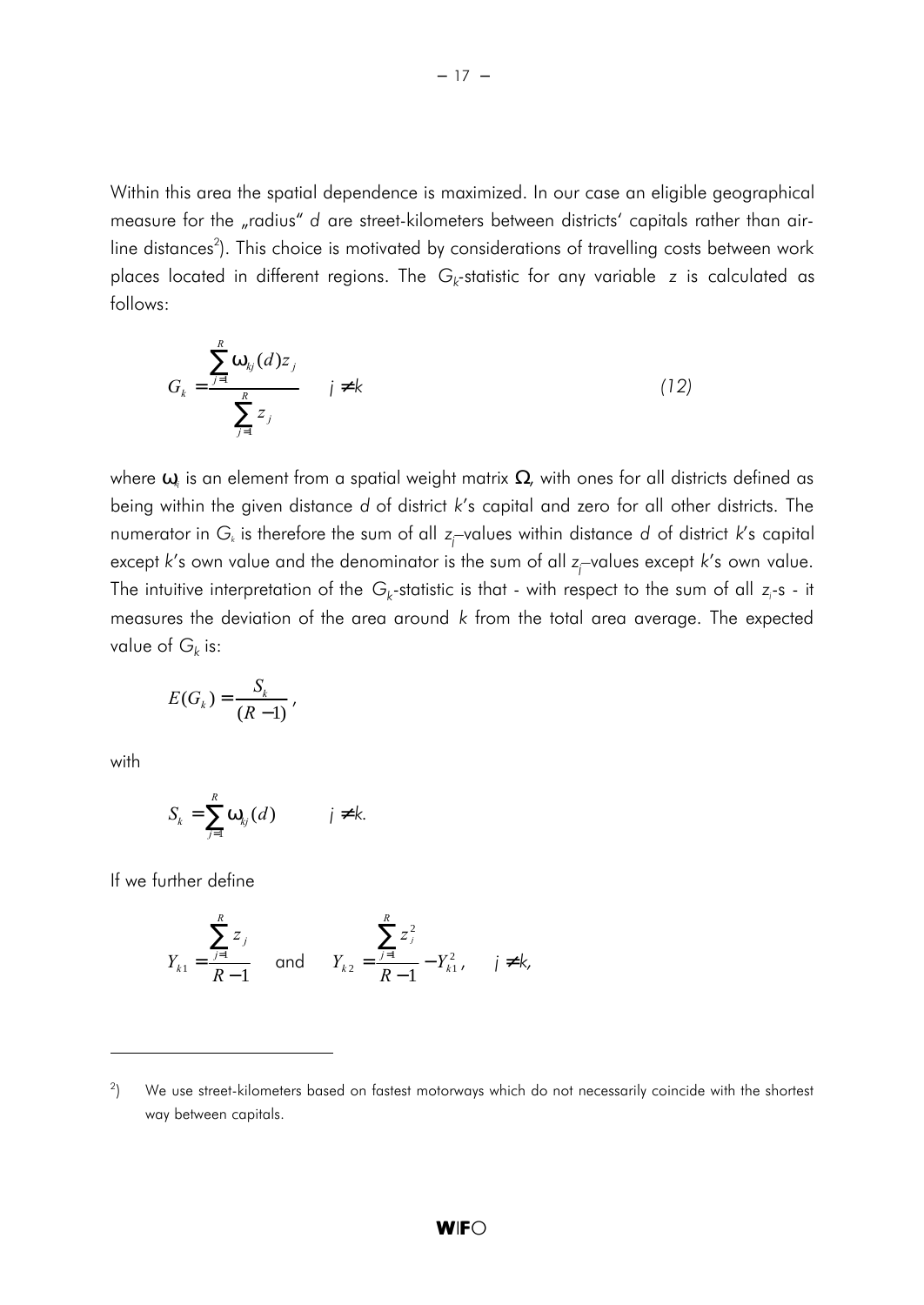Within this area the spatial dependence is maximized. In our case an eligible geographical measure for the "radius" *d* are street-kilometers between districts' capitals rather than airline distances $^2$ ). This choice is motivated by considerations of travelling costs between work places located in different regions. The  $G_k$ -statistic for any variable  $\,$ z is calculated as follows:

$$
G_k = \frac{\sum_{j=1}^R w_{kj}(d)z_j}{\sum_{j=1}^R z_j}
$$
 *i*  $k$  (12)

where  $w_k$  is an element from a spatial weight matrix **W**, with ones for all districts defined as being within the given distance *d* of district *k*'s capital and zero for all other districts. The numerator in *Gk* is therefore the sum of all *zj*–values within distance *d* of district *k*'s capital except *k*'s own value and the denominator is the sum of all *zj*–values except *k*'s own value. The intuitive interpretation of the  $G_k$ -statistic is that - with respect to the sum of all  $z_i$ -s - it measures the deviation of the area around *k* from the total area average. The expected value of *G<sup>k</sup>* is:

$$
E(G_k) = \frac{S_k}{(R-1)},
$$

with

1

$$
S_k = \sum_{j=1}^R \mathbf{W}_{kj}(d) \qquad \qquad j \quad 1 \ k.
$$

If we further define

$$
Y_{k1} = \frac{\sum_{j=1}^{R} z_j}{R-1} \quad \text{and} \quad Y_{k2} = \frac{\sum_{j=1}^{R} z_j^2}{R-1} - Y_{k1}^2, \quad j \neq k,
$$

<sup>2</sup> ) We use street-kilometers based on fastest motorways which do not necessarily coincide with the shortest way between capitals.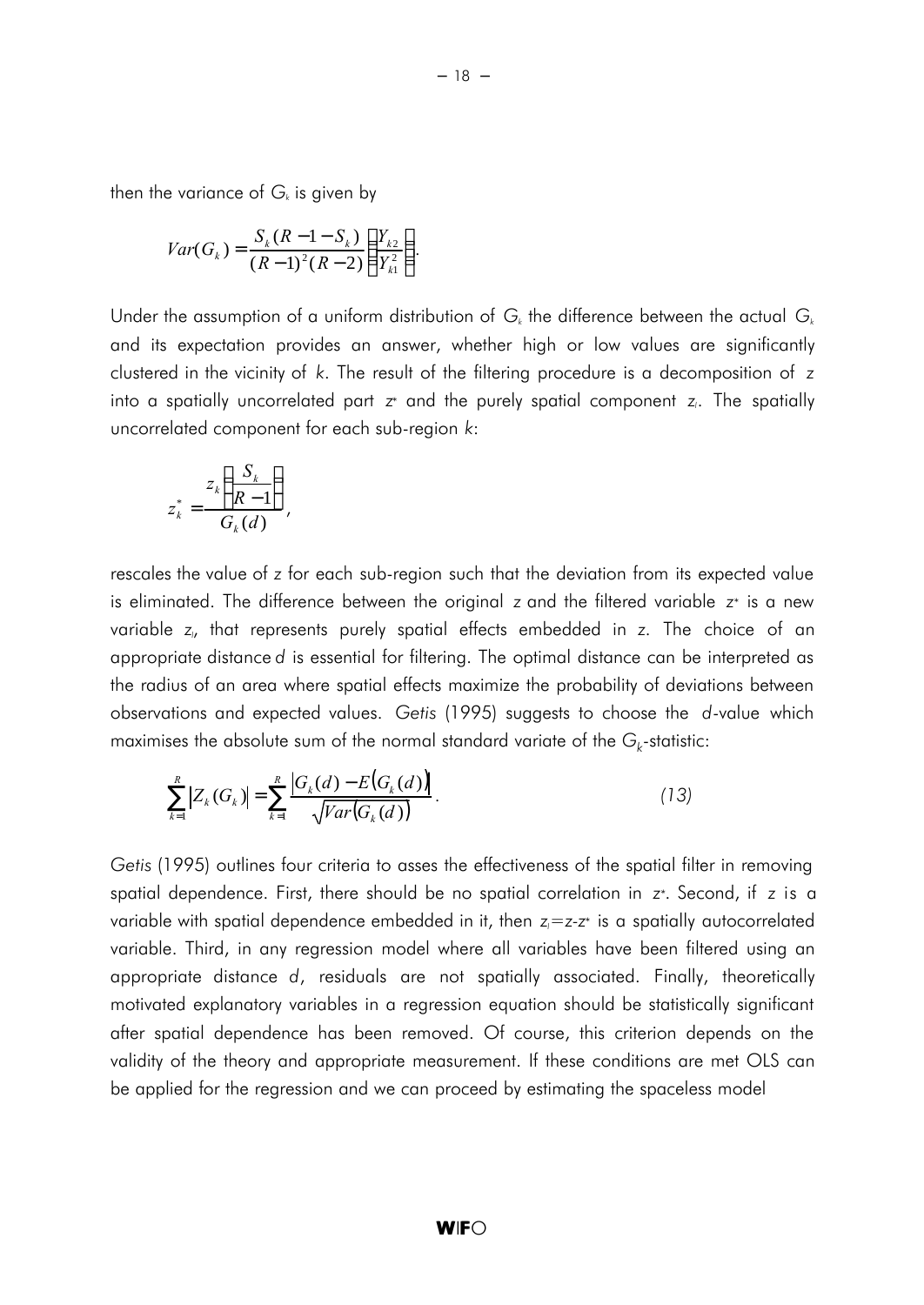then the variance of *Gk* is given by

$$
Var(G_k) = \frac{S_k (R - 1 - S_k)}{(R - 1)^2 (R - 2)} \left( \frac{Y_{k2}}{Y_{k1}^2} \right).
$$

Under the assumption of a uniform distribution of *Gk* the difference between the actual *G<sup>k</sup>* and its expectation provides an answer, whether high or low values are significantly clustered in the vicinity of *k*. The result of the filtering procedure is a decomposition of *z* into a spatially uncorrelated part *z\** and the purely spatial component *zl*. The spatially uncorrelated component for each sub-region *k*:

$$
z_k^* = \frac{z_k \left(\frac{S_k}{R-1}\right)}{G_k(d)},
$$

rescales the value of *z* for each sub-region such that the deviation from its expected value is eliminated. The difference between the original *z* and the filtered variable *z\** is a new variable *zl*, that represents purely spatial effects embedded in *z*. The choice of an appropriate distance *d* is essential for filtering. The optimal distance can be interpreted as the radius of an area where spatial effects maximize the probability of deviations between observations and expected values. *Getis* (1995) suggests to choose the *d*-value which maximises the absolute sum of the normal standard variate of the *G<sup>k</sup>* -statistic:

$$
\sum_{k=1}^{R} |Z_{k}(G_{k})| = \sum_{k=1}^{R} \frac{|G_{k}(d) - E(G_{k}(d))|}{\sqrt{Var(G_{k}(d))}}.
$$
\n(13)

*Getis* (1995) outlines four criteria to asses the effectiveness of the spatial filter in removing spatial dependence. First, there should be no spatial correlation in *z\**. Second, if *z* is a variable with spatial dependence embedded in it, then  $z_1 = z-z^*$  is a spatially autocorrelated variable. Third, in any regression model where all variables have been filtered using an appropriate distance *d*, residuals are not spatially associated. Finally, theoretically motivated explanatory variables in a regression equation should be statistically significant after spatial dependence has been removed. Of course, this criterion depends on the validity of the theory and appropriate measurement. If these conditions are met OLS can be applied for the regression and we can proceed by estimating the spaceless model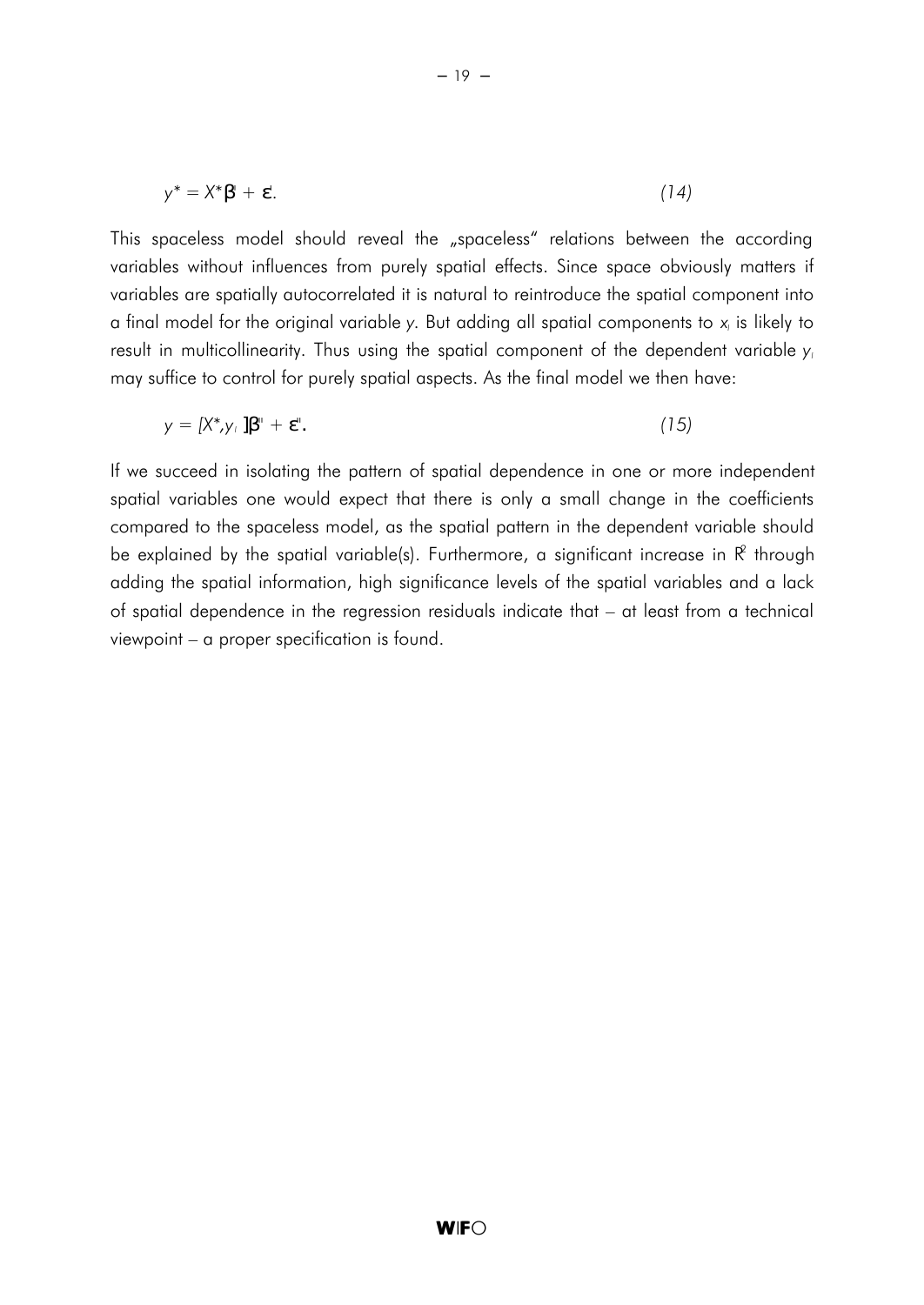$$
y^* = X^* \mathbf{b} + \mathbf{e}.\tag{14}
$$

This spaceless model should reveal the "spaceless" relations between the according variables without influences from purely spatial effects. Since space obviously matters if variables are spatially autocorrelated it is natural to reintroduce the spatial component into a final model for the original variable *y*. But adding all spatial components to *xl* is likely to result in multicollinearity. Thus using the spatial component of the dependent variable *y<sup>l</sup>* may suffice to control for purely spatial aspects. As the final model we then have:

− 19 −

 $y = [X^*, y]$  *b*<sup>''</sup> + *e***<sup>''</sup>.** (15)

If we succeed in isolating the pattern of spatial dependence in one or more independent spatial variables one would expect that there is only a small change in the coefficients compared to the spaceless model, as the spatial pattern in the dependent variable should be explained by the spatial variable(s). Furthermore, a significant increase in  $\mathsf{R}^{\!2}$  through adding the spatial information, high significance levels of the spatial variables and a lack of spatial dependence in the regression residuals indicate that – at least from a technical viewpoint – a proper specification is found.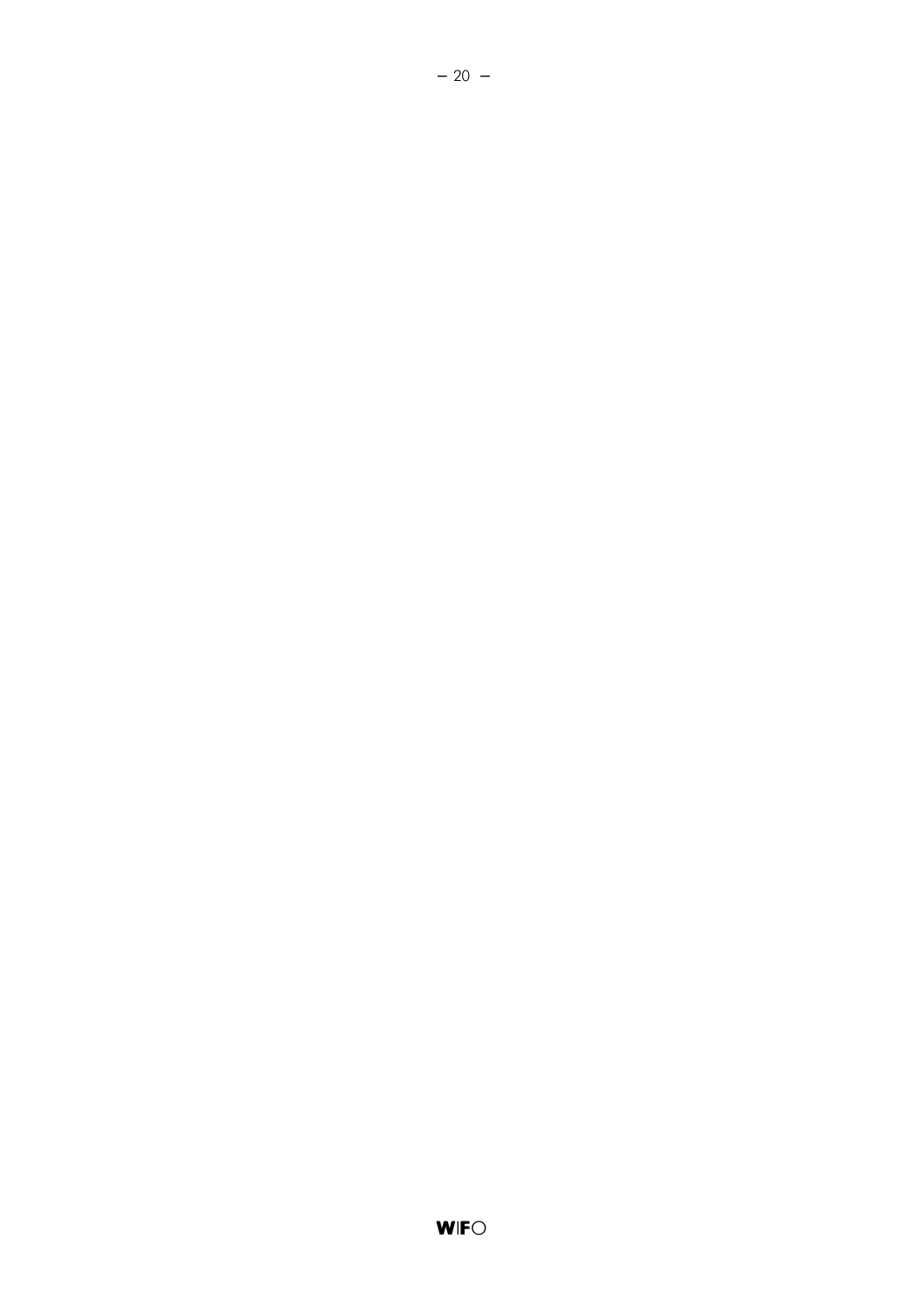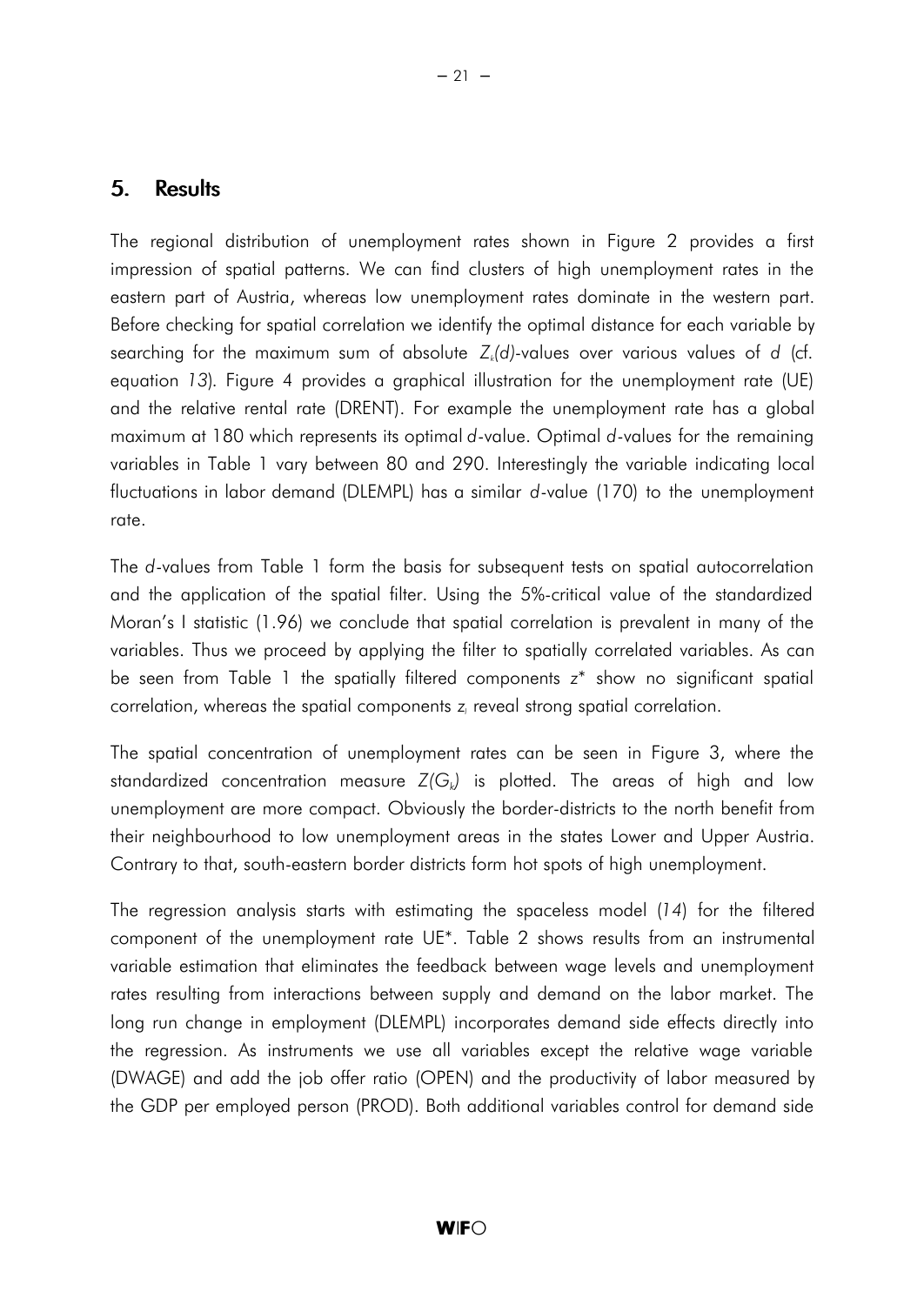The regional distribution of unemployment rates shown in Figure 2 provides a first impression of spatial patterns. We can find clusters of high unemployment rates in the eastern part of Austria, whereas low unemployment rates dominate in the western part. Before checking for spatial correlation we identify the optimal distance for each variable by searching for the maximum sum of absolute *Zk(d)*-values over various values of *d* (cf. equation *13*)*.* Figure 4 provides a graphical illustration for the unemployment rate (UE) and the relative rental rate (DRENT). For example the unemployment rate has a global maximum at 180 which represents its optimal *d*-value. Optimal *d*-values for the remaining variables in Table 1 vary between 80 and 290. Interestingly the variable indicating local fluctuations in labor demand (DLEMPL) has a similar *d*-value (170) to the unemployment rate.

The *d*-values from Table 1 form the basis for subsequent tests on spatial autocorrelation and the application of the spatial filter. Using the 5%-critical value of the standardized Moran's I statistic (1.96) we conclude that spatial correlation is prevalent in many of the variables. Thus we proceed by applying the filter to spatially correlated variables. As can be seen from Table 1 the spatially filtered components *z\** show no significant spatial correlation, whereas the spatial components *zl* reveal strong spatial correlation.

The spatial concentration of unemployment rates can be seen in Figure 3, where the standardized concentration measure *Z(G<sup>k</sup> )* is plotted. The areas of high and low unemployment are more compact. Obviously the border-districts to the north benefit from their neighbourhood to low unemployment areas in the states Lower and Upper Austria. Contrary to that, south-eastern border districts form hot spots of high unemployment.

The regression analysis starts with estimating the spaceless model (*14*) for the filtered component of the unemployment rate UE\*. Table 2 shows results from an instrumental variable estimation that eliminates the feedback between wage levels and unemployment rates resulting from interactions between supply and demand on the labor market. The long run change in employment (DLEMPL) incorporates demand side effects directly into the regression. As instruments we use all variables except the relative wage variable (DWAGE) and add the job offer ratio (OPEN) and the productivity of labor measured by the GDP per employed person (PROD). Both additional variables control for demand side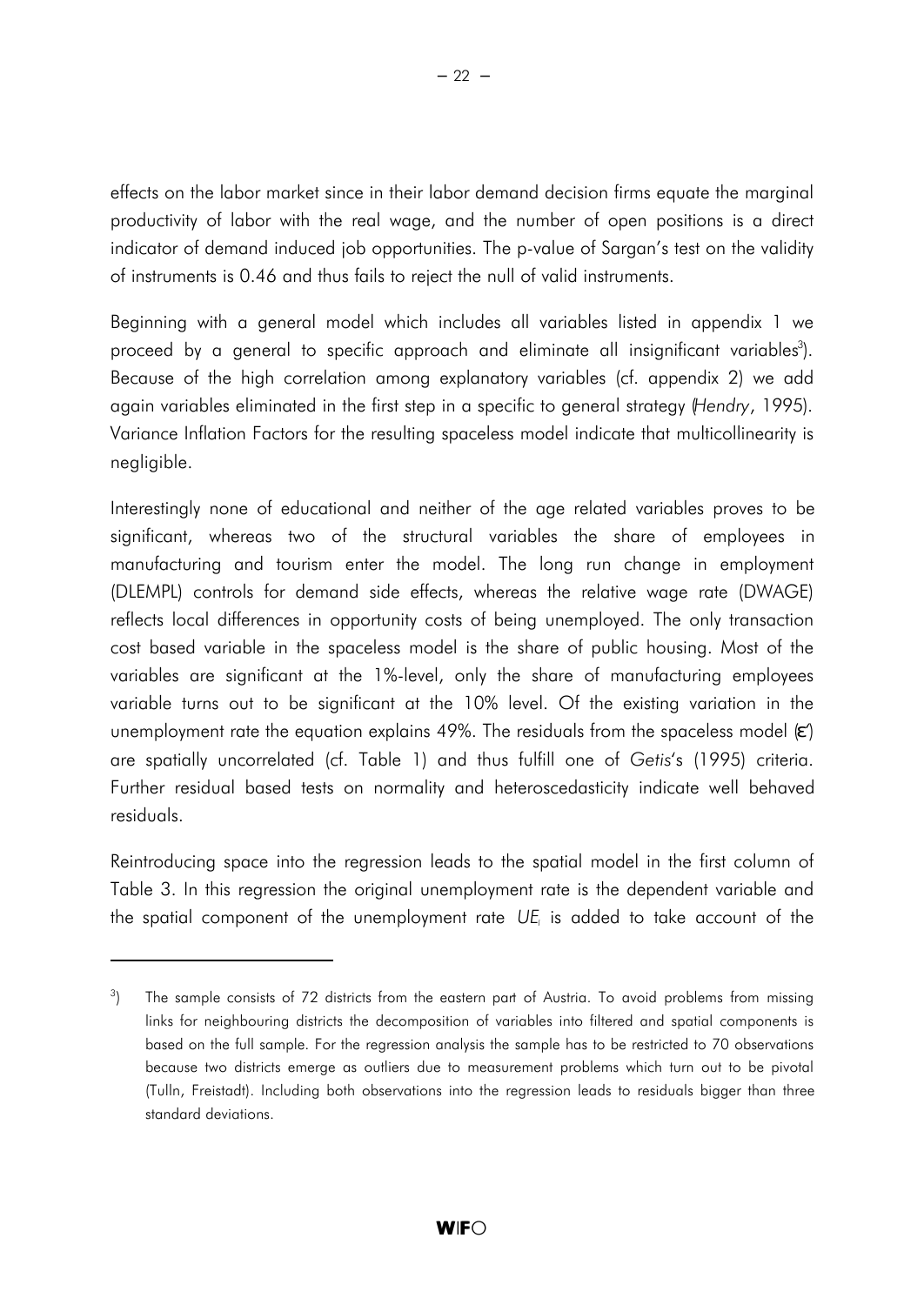effects on the labor market since in their labor demand decision firms equate the marginal productivity of labor with the real wage, and the number of open positions is a direct indicator of demand induced job opportunities. The p-value of Sargan's test on the validity of instruments is 0.46 and thus fails to reject the null of valid instruments.

Beginning with a general model which includes all variables listed in appendix 1 we proceed by a general to specific approach and eliminate all insignificant variables $\delta$ ). Because of the high correlation among explanatory variables (cf. appendix 2) we add again variables eliminated in the first step in a specific to general strategy (*Hendry*, 1995). Variance Inflation Factors for the resulting spaceless model indicate that multicollinearity is negligible.

Interestingly none of educational and neither of the age related variables proves to be significant, whereas two of the structural variables the share of employees in manufacturing and tourism enter the model. The long run change in employment (DLEMPL) controls for demand side effects, whereas the relative wage rate (DWAGE) reflects local differences in opportunity costs of being unemployed. The only transaction cost based variable in the spaceless model is the share of public housing. Most of the variables are significant at the 1%-level, only the share of manufacturing employees variable turns out to be significant at the 10% level. Of the existing variation in the unemployment rate the equation explains 49%. The residuals from the spaceless model (*e'*) are spatially uncorrelated (cf. Table 1) and thus fulfill one of *Getis*'s (1995) criteria. Further residual based tests on normality and heteroscedasticity indicate well behaved residuals.

Reintroducing space into the regression leads to the spatial model in the first column of Table 3. In this regression the original unemployment rate is the dependent variable and the spatial component of the unemployment rate *UEl* is added to take account of the

1

<sup>3</sup> ) The sample consists of 72 districts from the eastern part of Austria. To avoid problems from missing links for neighbouring districts the decomposition of variables into filtered and spatial components is based on the full sample. For the regression analysis the sample has to be restricted to 70 observations because two districts emerge as outliers due to measurement problems which turn out to be pivotal (Tulln, Freistadt). Including both observations into the regression leads to residuals bigger than three standard deviations.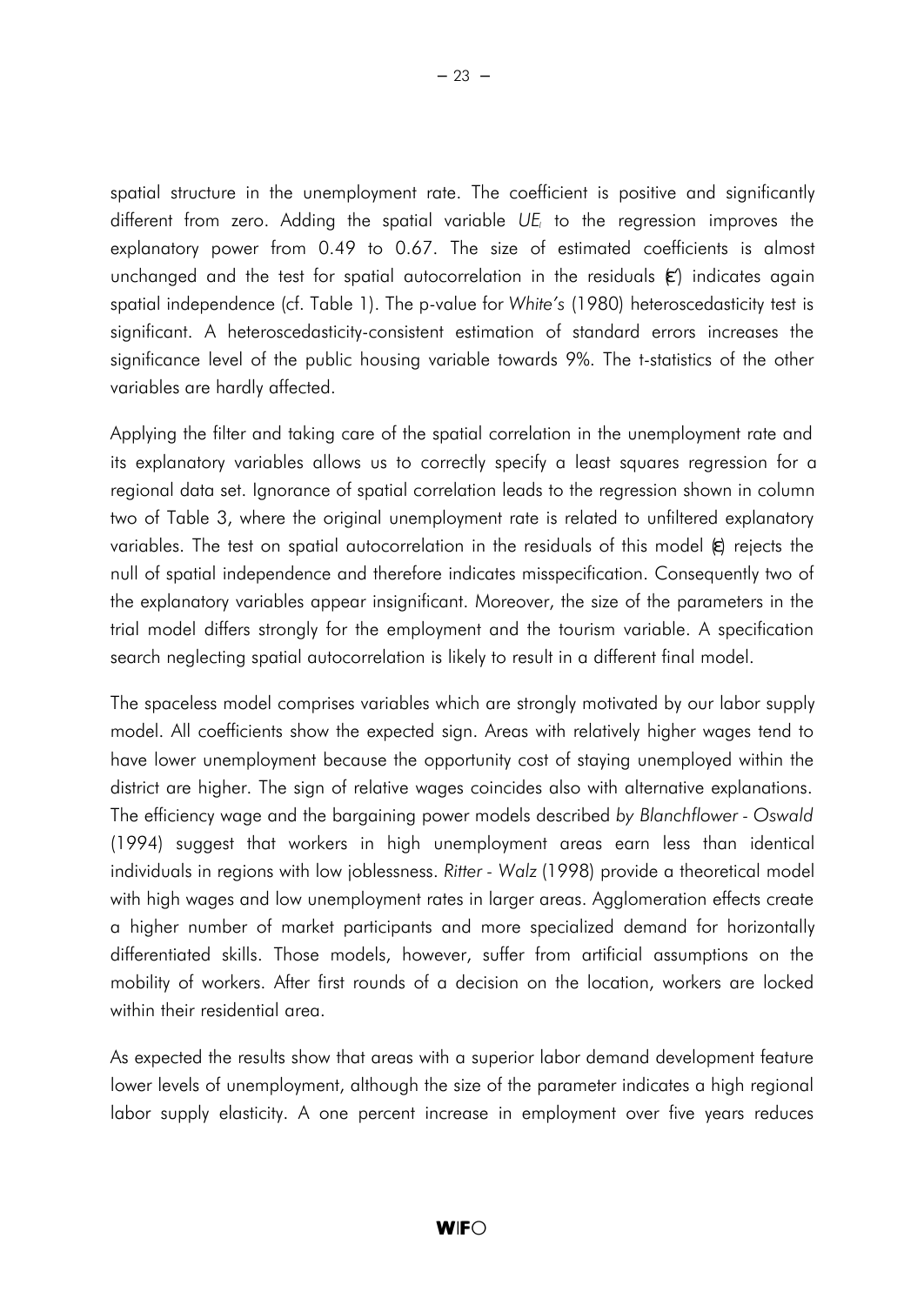spatial structure in the unemployment rate. The coefficient is positive and significantly different from zero. Adding the spatial variable *UEl* to the regression improves the explanatory power from 0.49 to 0.67. The size of estimated coefficients is almost unchanged and the test for spatial autocorrelation in the residuals (*e'*) indicates again spatial independence (cf. Table 1). The p-value for *White's* (1980) heteroscedasticity test is significant. A heteroscedasticity-consistent estimation of standard errors increases the significance level of the public housing variable towards 9%. The t-statistics of the other variables are hardly affected.

− 23 −

Applying the filter and taking care of the spatial correlation in the unemployment rate and its explanatory variables allows us to correctly specify a least squares regression for a regional data set. Ignorance of spatial correlation leads to the regression shown in column two of Table 3, where the original unemployment rate is related to unfiltered explanatory variables. The test on spatial autocorrelation in the residuals of this model (*e*) rejects the null of spatial independence and therefore indicates misspecification. Consequently two of the explanatory variables appear insignificant. Moreover, the size of the parameters in the trial model differs strongly for the employment and the tourism variable. A specification search neglecting spatial autocorrelation is likely to result in a different final model.

The spaceless model comprises variables which are strongly motivated by our labor supply model. All coefficients show the expected sign. Areas with relatively higher wages tend to have lower unemployment because the opportunity cost of staying unemployed within the district are higher. The sign of relative wages coincides also with alternative explanations. The efficiency wage and the bargaining power models described *by Blanchflower - Oswald* (1994) suggest that workers in high unemployment areas earn less than identical individuals in regions with low joblessness. *Ritter - Walz* (1998) provide a theoretical model with high wages and low unemployment rates in larger areas. Agglomeration effects create a higher number of market participants and more specialized demand for horizontally differentiated skills. Those models, however, suffer from artificial assumptions on the mobility of workers. After first rounds of a decision on the location, workers are locked within their residential area.

As expected the results show that areas with a superior labor demand development feature lower levels of unemployment, although the size of the parameter indicates a high regional labor supply elasticity. A one percent increase in employment over five years reduces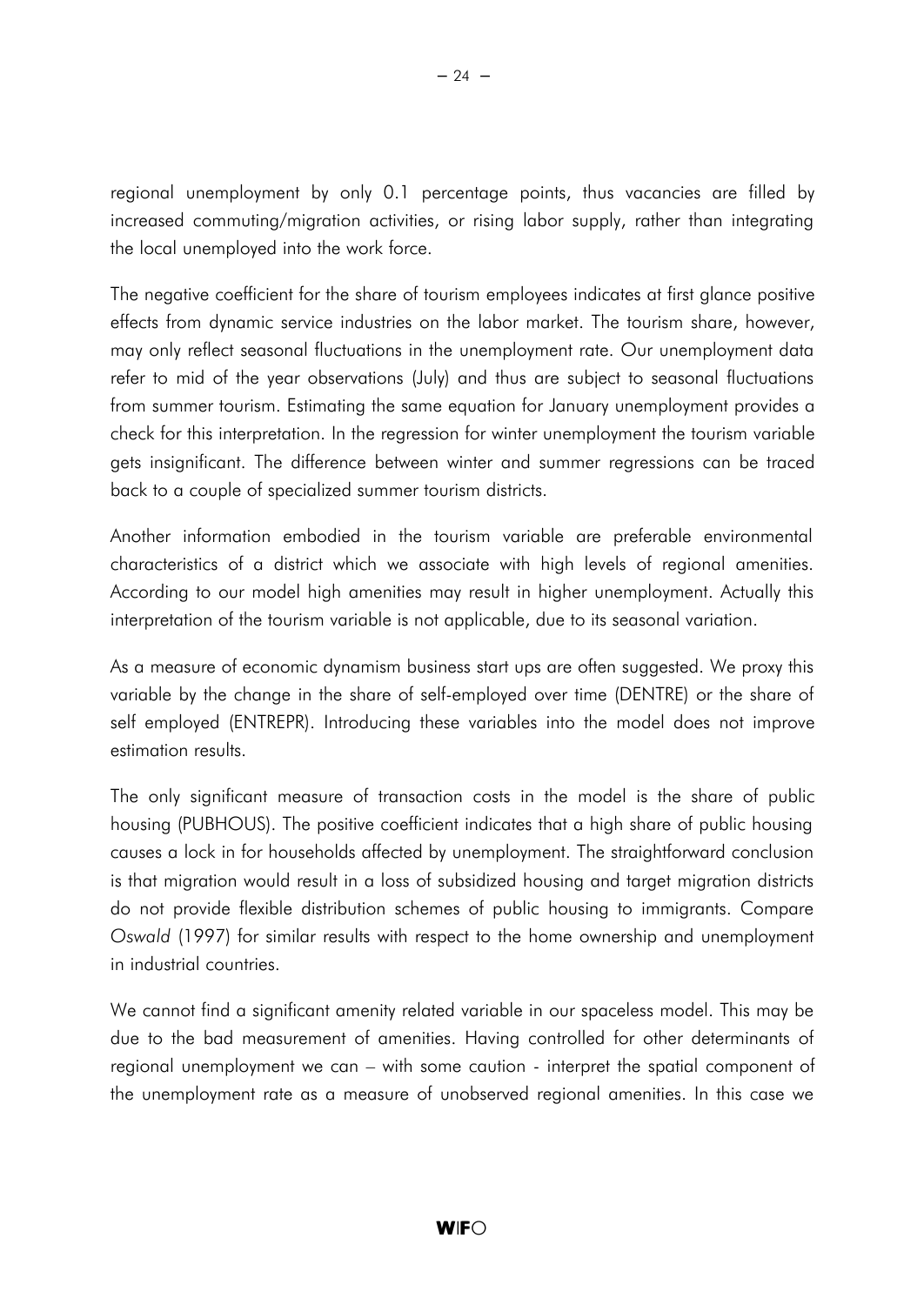regional unemployment by only 0.1 percentage points, thus vacancies are filled by increased commuting/migration activities, or rising labor supply, rather than integrating the local unemployed into the work force.

The negative coefficient for the share of tourism employees indicates at first glance positive effects from dynamic service industries on the labor market. The tourism share, however, may only reflect seasonal fluctuations in the unemployment rate. Our unemployment data refer to mid of the year observations (July) and thus are subject to seasonal fluctuations from summer tourism. Estimating the same equation for January unemployment provides a check for this interpretation. In the regression for winter unemployment the tourism variable gets insignificant. The difference between winter and summer regressions can be traced back to a couple of specialized summer tourism districts.

Another information embodied in the tourism variable are preferable environmental characteristics of a district which we associate with high levels of regional amenities. According to our model high amenities may result in higher unemployment. Actually this interpretation of the tourism variable is not applicable, due to its seasonal variation.

As a measure of economic dynamism business start ups are often suggested. We proxy this variable by the change in the share of self-employed over time (DENTRE) or the share of self employed (ENTREPR). Introducing these variables into the model does not improve estimation results.

The only significant measure of transaction costs in the model is the share of public housing (PUBHOUS). The positive coefficient indicates that a high share of public housing causes a lock in for households affected by unemployment. The straightforward conclusion is that migration would result in a loss of subsidized housing and target migration districts do not provide flexible distribution schemes of public housing to immigrants. Compare *Oswald* (1997) for similar results with respect to the home ownership and unemployment in industrial countries.

We cannot find a significant amenity related variable in our spaceless model. This may be due to the bad measurement of amenities. Having controlled for other determinants of regional unemployment we can – with some caution - interpret the spatial component of the unemployment rate as a measure of unobserved regional amenities. In this case we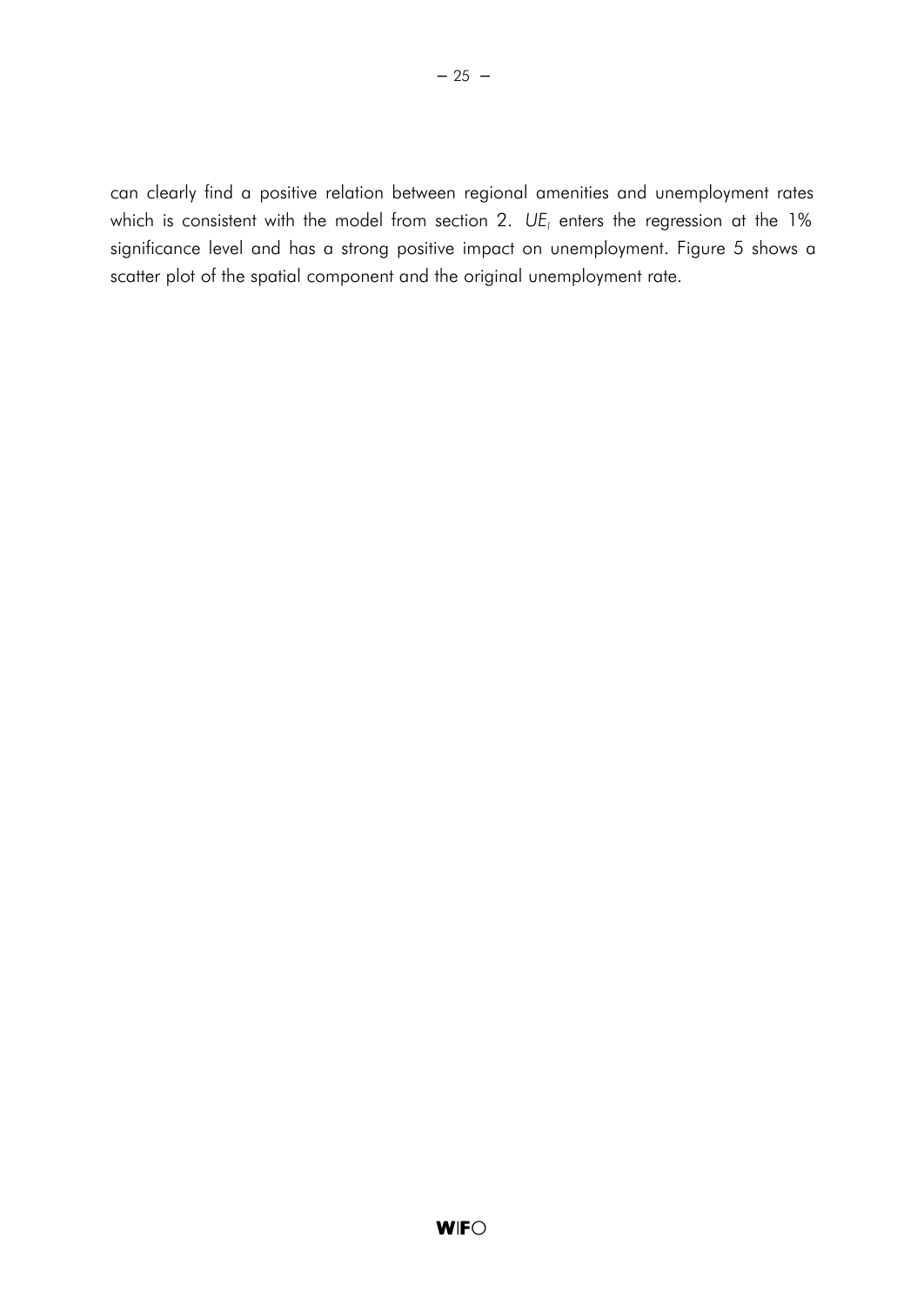can clearly find a positive relation between regional amenities and unemployment rates which is consistent with the model from section 2. *UE<sup>l</sup>* enters the regression at the 1% significance level and has a strong positive impact on unemployment. Figure 5 shows a scatter plot of the spatial component and the original unemployment rate.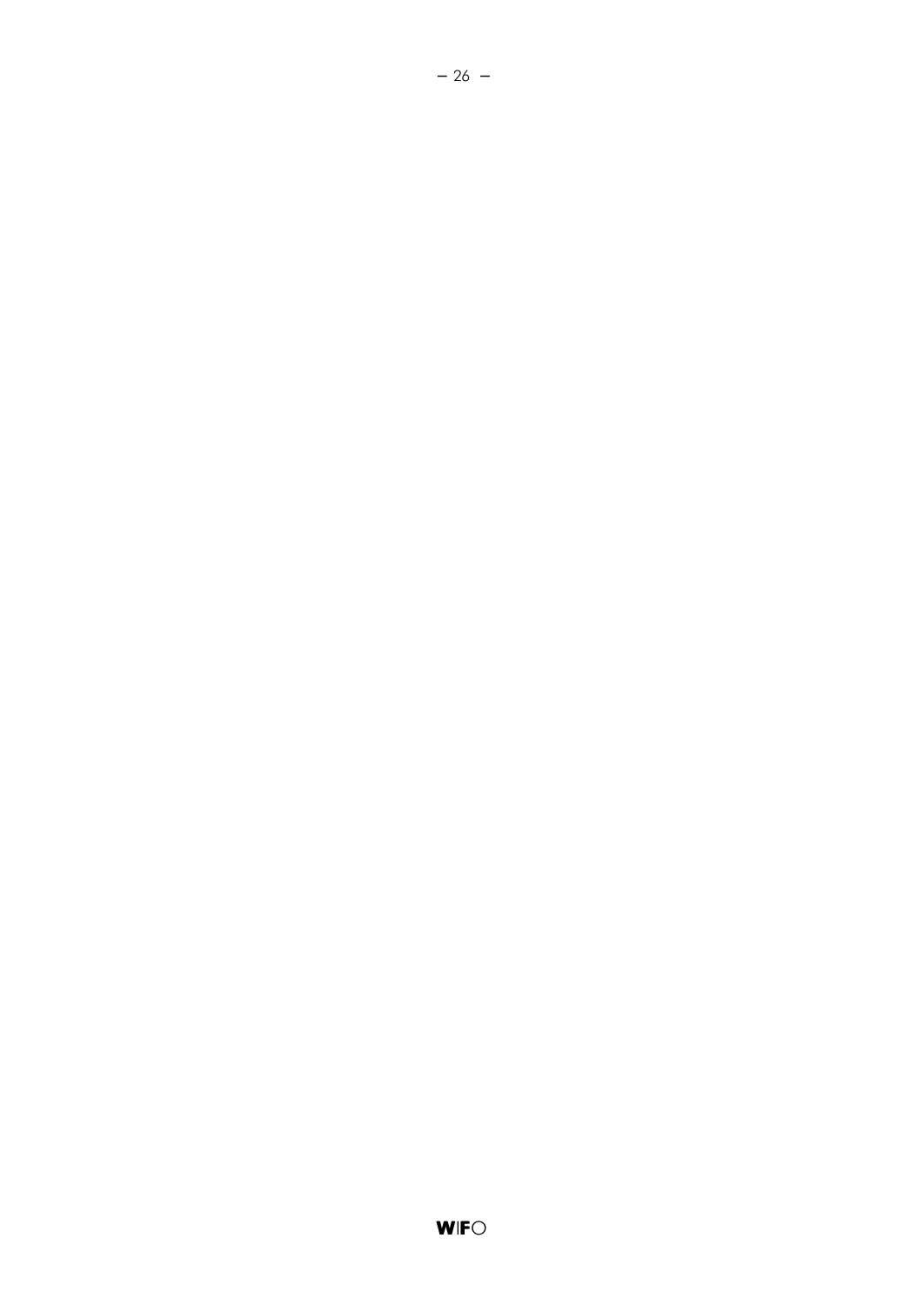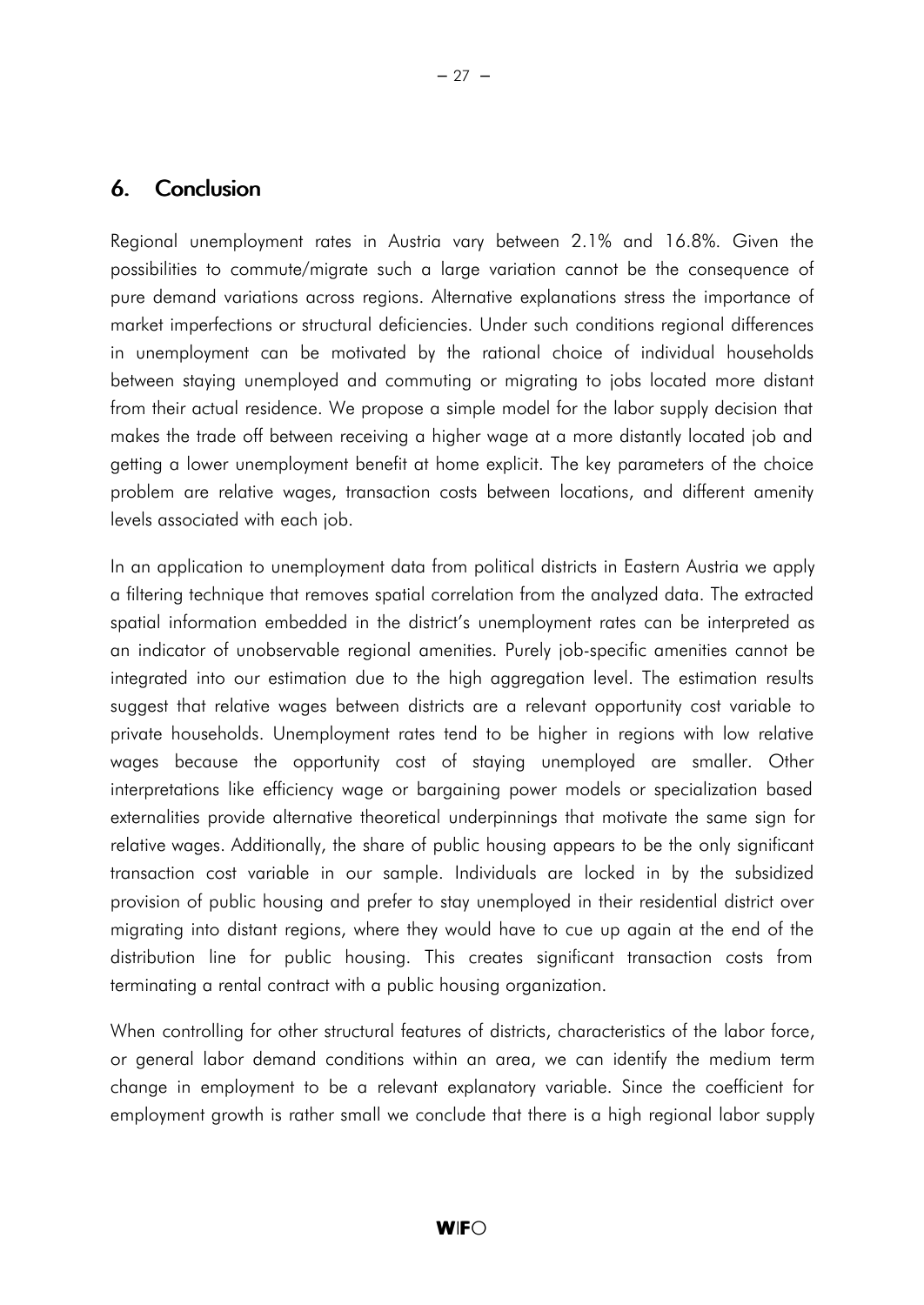### **6. Conclusion**

Regional unemployment rates in Austria vary between 2.1% and 16.8%. Given the possibilities to commute/migrate such a large variation cannot be the consequence of pure demand variations across regions. Alternative explanations stress the importance of market imperfections or structural deficiencies. Under such conditions regional differences in unemployment can be motivated by the rational choice of individual households between staying unemployed and commuting or migrating to jobs located more distant from their actual residence. We propose a simple model for the labor supply decision that makes the trade off between receiving a higher wage at a more distantly located job and getting a lower unemployment benefit at home explicit. The key parameters of the choice problem are relative wages, transaction costs between locations, and different amenity levels associated with each job.

In an application to unemployment data from political districts in Eastern Austria we apply a filtering technique that removes spatial correlation from the analyzed data. The extracted spatial information embedded in the district's unemployment rates can be interpreted as an indicator of unobservable regional amenities. Purely job-specific amenities cannot be integrated into our estimation due to the high aggregation level. The estimation results suggest that relative wages between districts are a relevant opportunity cost variable to private households. Unemployment rates tend to be higher in regions with low relative wages because the opportunity cost of staying unemployed are smaller. Other interpretations like efficiency wage or bargaining power models or specialization based externalities provide alternative theoretical underpinnings that motivate the same sign for relative wages. Additionally, the share of public housing appears to be the only significant transaction cost variable in our sample. Individuals are locked in by the subsidized provision of public housing and prefer to stay unemployed in their residential district over migrating into distant regions, where they would have to cue up again at the end of the distribution line for public housing. This creates significant transaction costs from terminating a rental contract with a public housing organization.

When controlling for other structural features of districts, characteristics of the labor force, or general labor demand conditions within an area, we can identify the medium term change in employment to be a relevant explanatory variable. Since the coefficient for employment growth is rather small we conclude that there is a high regional labor supply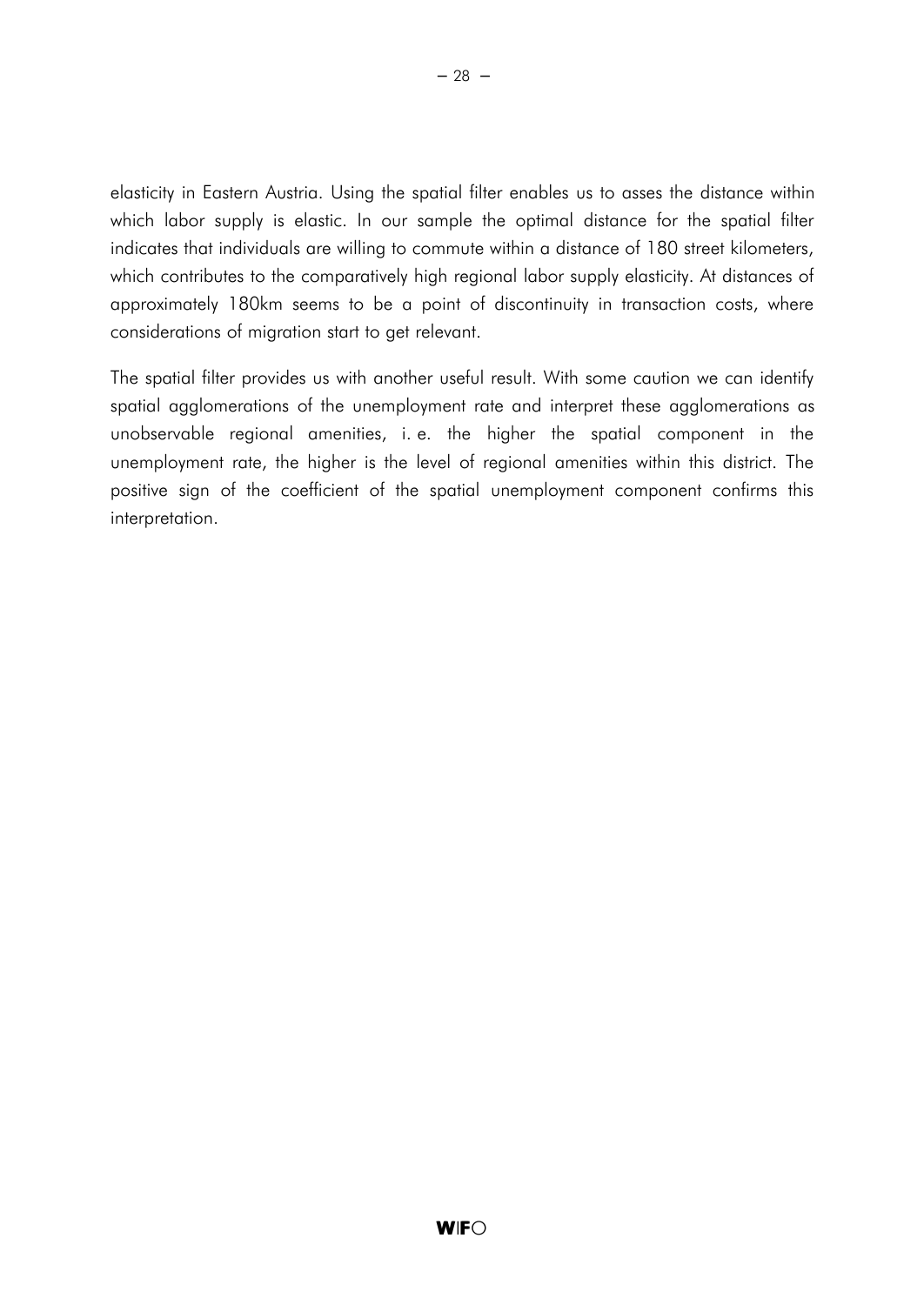elasticity in Eastern Austria. Using the spatial filter enables us to asses the distance within which labor supply is elastic. In our sample the optimal distance for the spatial filter indicates that individuals are willing to commute within a distance of 180 street kilometers, which contributes to the comparatively high regional labor supply elasticity. At distances of approximately 180km seems to be a point of discontinuity in transaction costs, where considerations of migration start to get relevant.

The spatial filter provides us with another useful result. With some caution we can identify spatial agglomerations of the unemployment rate and interpret these agglomerations as unobservable regional amenities, i. e. the higher the spatial component in the unemployment rate, the higher is the level of regional amenities within this district. The positive sign of the coefficient of the spatial unemployment component confirms this interpretation.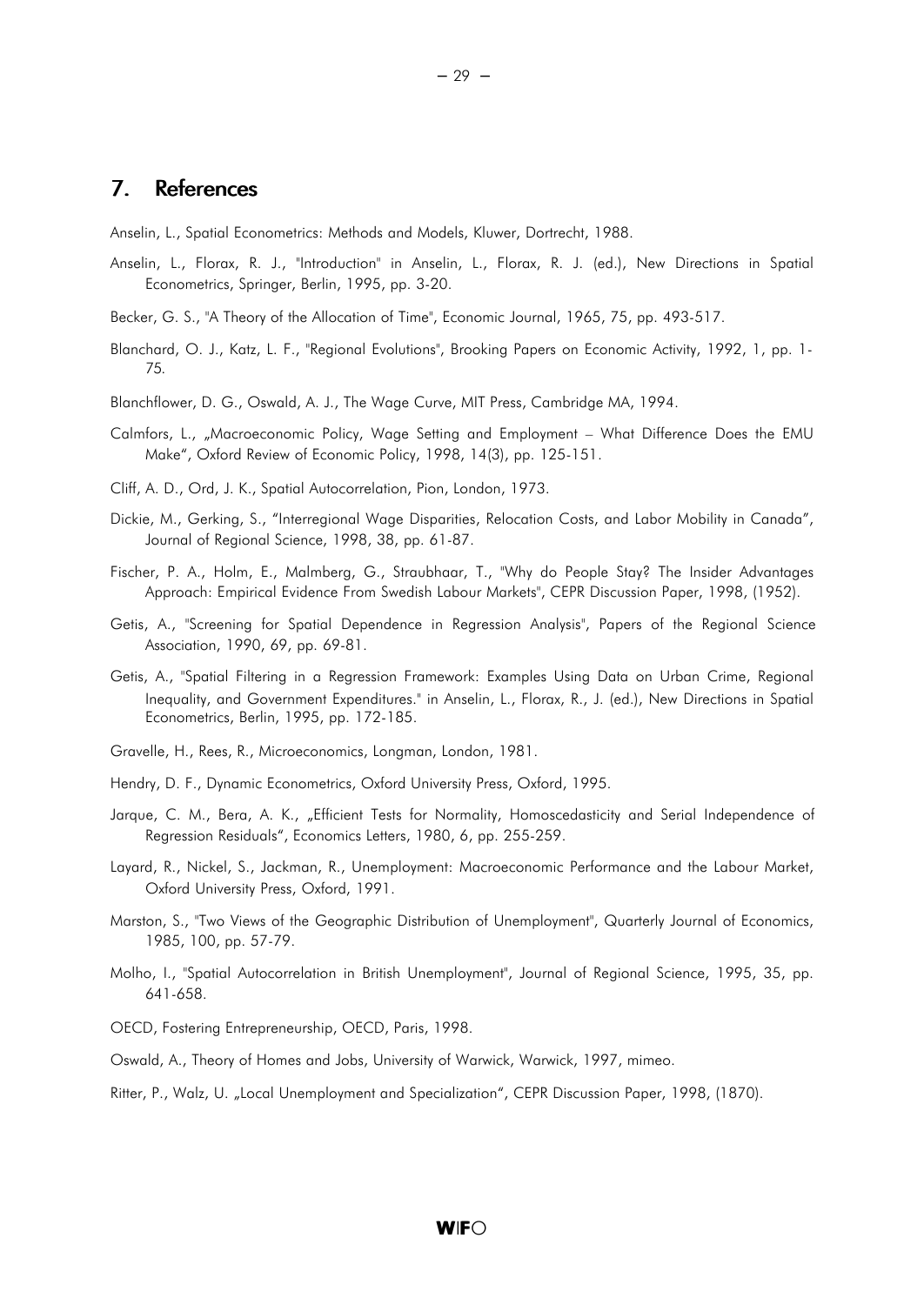#### **7. References**

Anselin, L., Spatial Econometrics: Methods and Models, Kluwer, Dortrecht, 1988.

- Anselin, L., Florax, R. J., "Introduction" in Anselin, L., Florax, R. J. (ed.), New Directions in Spatial Econometrics, Springer, Berlin, 1995, pp. 3-20.
- Becker, G. S., "A Theory of the Allocation of Time", Economic Journal, 1965, 75, pp. 493-517.
- Blanchard, O. J., Katz, L. F., "Regional Evolutions", Brooking Papers on Economic Activity, 1992, 1, pp. 1- 75.
- Blanchflower, D. G., Oswald, A. J., The Wage Curve, MIT Press, Cambridge MA, 1994.
- Calmfors, L., "Macroeconomic Policy, Wage Setting and Employment What Difference Does the EMU Make", Oxford Review of Economic Policy, 1998, 14(3), pp. 125-151.
- Cliff, A. D., Ord, J. K., Spatial Autocorrelation, Pion, London, 1973.
- Dickie, M., Gerking, S., "Interregional Wage Disparities, Relocation Costs, and Labor Mobility in Canada", Journal of Regional Science, 1998, 38, pp. 61-87.
- Fischer, P. A., Holm, E., Malmberg, G., Straubhaar, T., "Why do People Stay? The Insider Advantages Approach: Empirical Evidence From Swedish Labour Markets", CEPR Discussion Paper, 1998, (1952).
- Getis, A., "Screening for Spatial Dependence in Regression Analysis", Papers of the Regional Science Association, 1990, 69, pp. 69-81.
- Getis, A., "Spatial Filtering in a Regression Framework: Examples Using Data on Urban Crime, Regional Inequality, and Government Expenditures." in Anselin, L., Florax, R., J. (ed.), New Directions in Spatial Econometrics, Berlin, 1995, pp. 172-185.
- Gravelle, H., Rees, R., Microeconomics, Longman, London, 1981.
- Hendry, D. F., Dynamic Econometrics, Oxford University Press, Oxford, 1995.
- Jarque, C. M., Bera, A. K., "Efficient Tests for Normality, Homoscedasticity and Serial Independence of Regression Residuals", Economics Letters, 1980, 6, pp. 255-259.
- Layard, R., Nickel, S., Jackman, R., Unemployment: Macroeconomic Performance and the Labour Market, Oxford University Press, Oxford, 1991.
- Marston, S., "Two Views of the Geographic Distribution of Unemployment", Quarterly Journal of Economics, 1985, 100, pp. 57-79.
- Molho, I., "Spatial Autocorrelation in British Unemployment", Journal of Regional Science, 1995, 35, pp. 641-658.
- OECD, Fostering Entrepreneurship, OECD, Paris, 1998.

Oswald, A., Theory of Homes and Jobs, University of Warwick, Warwick, 1997, mimeo.

Ritter, P., Walz, U. "Local Unemployment and Specialization", CEPR Discussion Paper, 1998, (1870).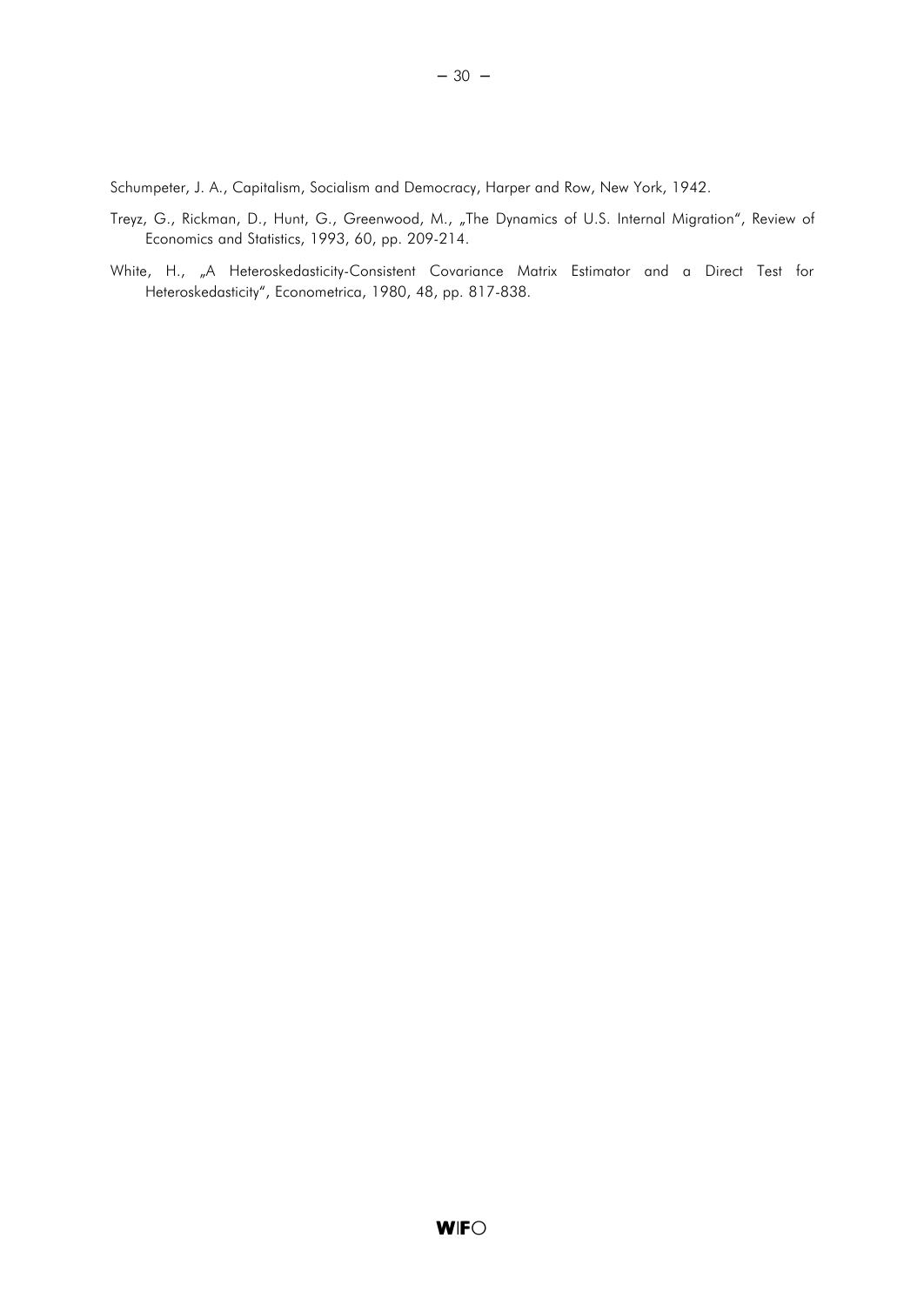Schumpeter, J. A., Capitalism, Socialism and Democracy, Harper and Row, New York, 1942.

- Treyz, G., Rickman, D., Hunt, G., Greenwood, M., "The Dynamics of U.S. Internal Migration", Review of Economics and Statistics, 1993, 60, pp. 209-214.
- White, H., "A Heteroskedasticity-Consistent Covariance Matrix Estimator and a Direct Test for Heteroskedasticity", Econometrica, 1980, 48, pp. 817-838.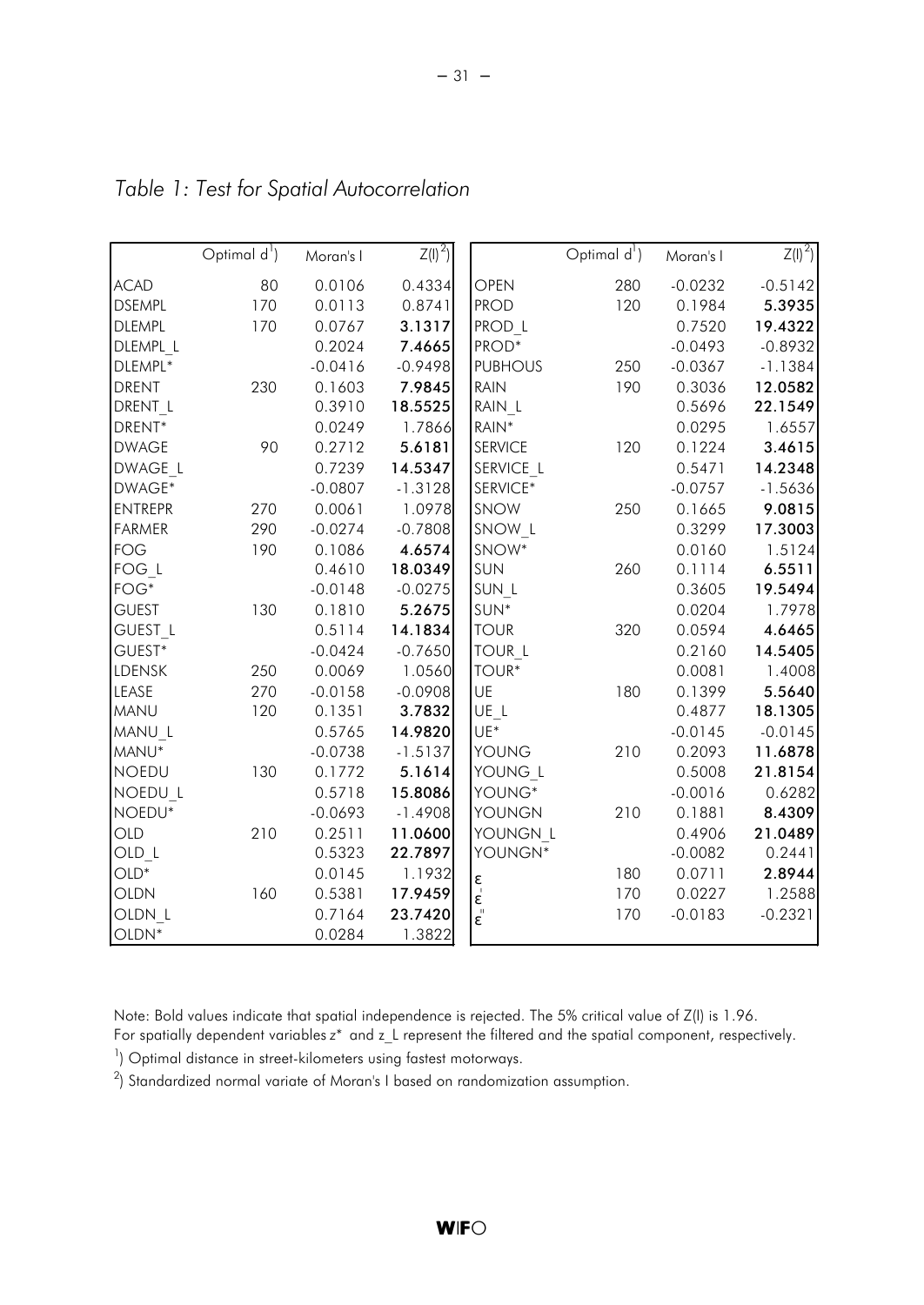|                | Optimal $d'$ ) | Moran's I | $Z(1)^{2}$ |                             | Optimal $d'$ ) | Moran's I | $Z(1)^{2}$ |
|----------------|----------------|-----------|------------|-----------------------------|----------------|-----------|------------|
| <b>ACAD</b>    | 80             | 0.0106    | 0.4334     | OPEN                        | 280            | $-0.0232$ | $-0.5142$  |
| <b>DSEMPL</b>  | 170            | 0.0113    | 0.8741     | <b>PROD</b>                 | 120            | 0.1984    | 5.3935     |
| <b>DLEMPL</b>  | 170            | 0.0767    | 3.1317     | PROD L                      |                | 0.7520    | 19.4322    |
| DLEMPL L       |                | 0.2024    | 7.4665     | PROD <sup>*</sup>           |                | $-0.0493$ | $-0.8932$  |
| DLEMPL*        |                | $-0.0416$ | $-0.9498$  | <b>PUBHOUS</b>              | 250            | $-0.0367$ | $-1.1384$  |
| <b>DRENT</b>   | 230            | 0.1603    | 7.9845     | <b>RAIN</b>                 | 190            | 0.3036    | 12.0582    |
| DRENT L        |                | 0.3910    | 18.5525    | RAIN L                      |                | 0.5696    | 22.1549    |
| DRENT*         |                | 0.0249    | 1.7866     | RAIN*                       |                | 0.0295    | 1.6557     |
| <b>DWAGE</b>   | 90             | 0.2712    | 5.6181     | <b>SERVICE</b>              | 120            | 0.1224    | 3.4615     |
| DWAGE L        |                | 0.7239    | 14.5347    | SERVICE L                   |                | 0.5471    | 14.2348    |
| DWAGE*         |                | $-0.0807$ | $-1.3128$  | SERVICE*                    |                | $-0.0757$ | $-1.5636$  |
| <b>ENTREPR</b> | 270            | 0.0061    | 1.0978     | SNOW                        | 250            | 0.1665    | 9.0815     |
| <b>FARMER</b>  | 290            | $-0.0274$ | $-0.7808$  | SNOW L                      |                | 0.3299    | 17.3003    |
| <b>FOG</b>     | 190            | 0.1086    | 4.6574     | SNOW*                       |                | 0.0160    | 1.5124     |
| FOG L          |                | 0.4610    | 18.0349    | SUN                         | 260            | 0.1114    | 6.5511     |
| $FOG*$         |                | $-0.0148$ | $-0.0275$  | SUN L                       |                | 0.3605    | 19.5494    |
| <b>GUEST</b>   | 130            | 0.1810    | 5.2675     | SUN*                        |                | 0.0204    | 1.7978     |
| GUEST L        |                | 0.5114    | 14.1834    | <b>TOUR</b>                 | 320            | 0.0594    | 4.6465     |
| GUEST*         |                | $-0.0424$ | $-0.7650$  | TOUR_L                      |                | 0.2160    | 14.5405    |
| LDENSK         | 250            | 0.0069    | 1.0560     | TOUR*                       |                | 0.0081    | 1.4008     |
| LEASE          | 270            | $-0.0158$ | $-0.0908$  | UE                          | 180            | 0.1399    | 5.5640     |
| MANU           | 120            | 0.1351    | 3.7832     | UE L                        |                | 0.4877    | 18.1305    |
| MANU L         |                | 0.5765    | 14.9820    | $UE^*$                      |                | $-0.0145$ | $-0.0145$  |
| MANU*          |                | $-0.0738$ | $-1.5137$  | YOUNG                       | 210            | 0.2093    | 11.6878    |
| <b>NOEDU</b>   | 130            | 0.1772    | 5.1614     | YOUNG L                     |                | 0.5008    | 21.8154    |
| NOEDU L        |                | 0.5718    | 15.8086    | YOUNG*                      |                | $-0.0016$ | 0.6282     |
| NOEDU*         |                | $-0.0693$ | $-1.4908$  | YOUNGN                      | 210            | 0.1881    | 8.4309     |
| OLD            | 210            | 0.2511    | 11.0600    | YOUNGN L                    |                | 0.4906    | 21.0489    |
| OLD L          |                | 0.5323    | 22.7897    | YOUNGN*                     |                | $-0.0082$ | 0.2441     |
| $OLD*$         |                | 0.0145    | 1.1932     |                             | 180            | 0.0711    | 2.8944     |
| OLDN           | 160            | 0.5381    | 17.9459    | $\frac{\epsilon}{\epsilon}$ | 170            | 0.0227    | 1.2588     |
| OLDN L         |                | 0.7164    | 23.7420    | $\mathbf{g}^{\parallel}$    | 170            | $-0.0183$ | $-0.2321$  |
| $OLDN^*$       |                | 0.0284    | 1.3822     |                             |                |           |            |

*Table 1: Test for Spatial Autocorrelation* 

Note: Bold values indicate that spatial independence is rejected. The 5% critical value of Z(I) is 1.96.

For spatially dependent variables *z\** and z\_L represent the filtered and the spatial component, respectively.

<sup>1</sup>) Optimal distance in street-kilometers using fastest motorways.

 $^2$ ) Standardized normal variate of Moran's I based on randomization assumption.

− 31 −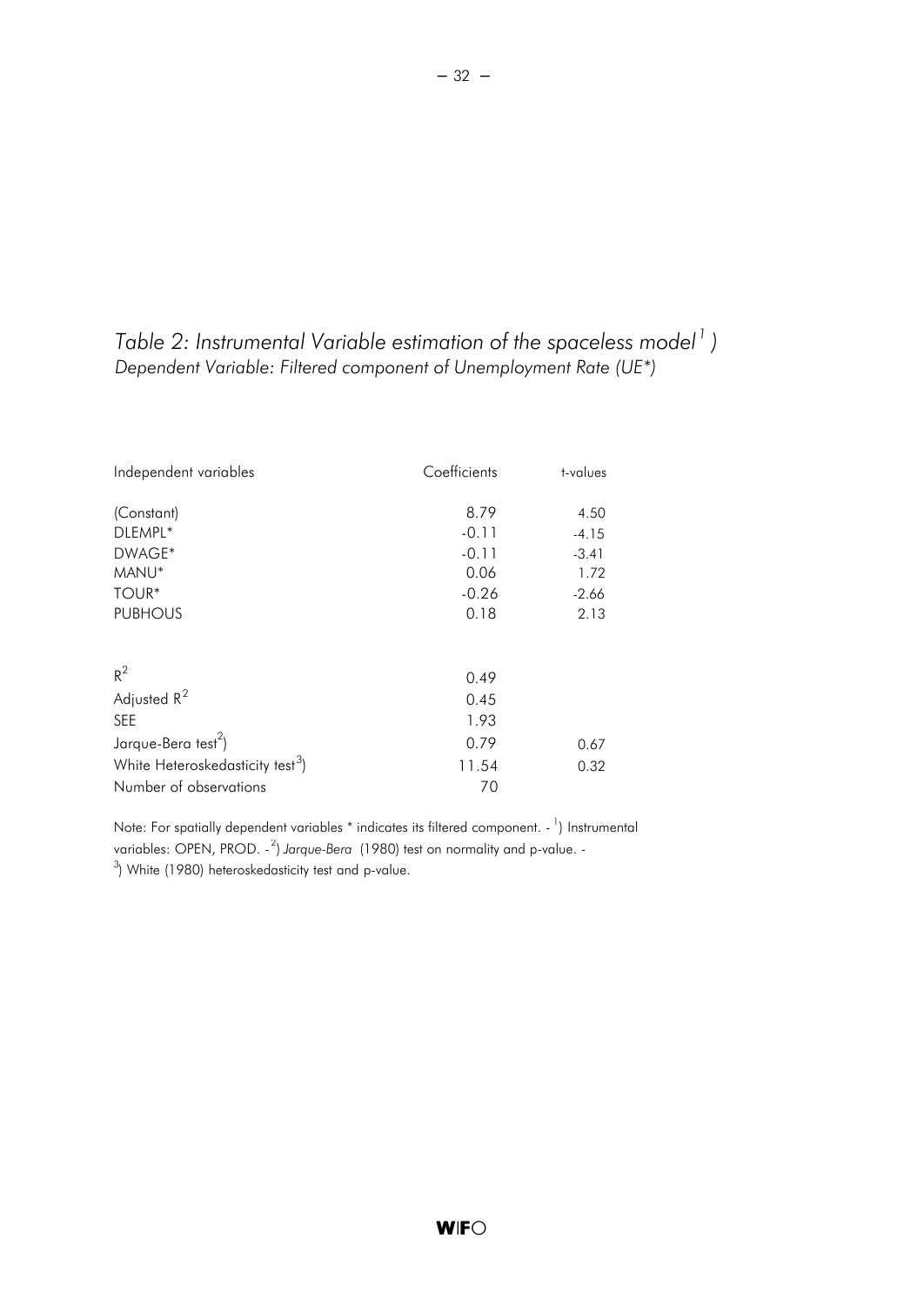## *Table 2: Instrumental Variable estimation of the spaceless model <sup>1</sup> ) Dependent Variable: Filtered component of Unemployment Rate (UE\*)*

| Independent variables                        | Coefficients | t-values |
|----------------------------------------------|--------------|----------|
|                                              |              |          |
| (Constant)                                   | 8.79         | 4.50     |
| DLEMPL*                                      | $-0.11$      | $-4.15$  |
| DWAGE*                                       | $-0.11$      | $-3.41$  |
| MANU*                                        | 0.06         | 1.72     |
| TOUR <sup>*</sup>                            | $-0.26$      | $-2.66$  |
| <b>PUBHOUS</b>                               | 0.18         | 2.13     |
|                                              |              |          |
| $R^2$                                        | 0.49         |          |
| Adjusted R <sup>2</sup>                      | 0.45         |          |
| <b>SEE</b>                                   | 1.93         |          |
| Jarque-Bera test <sup>2</sup> )              | 0.79         | 0.67     |
| White Heteroskedasticity test <sup>3</sup> ) | 11.54        | 0.32     |
| Number of observations                       | 70           |          |

Note: For spatially dependent variables \* indicates its filtered component. - <sup>1</sup>) Instrumental variables: OPEN, PROD. <sup>2</sup>) Jarque-Bera (1980) test on normality and p-value. - $^3$ ) White (1980) heteroskedasticity test and p-value.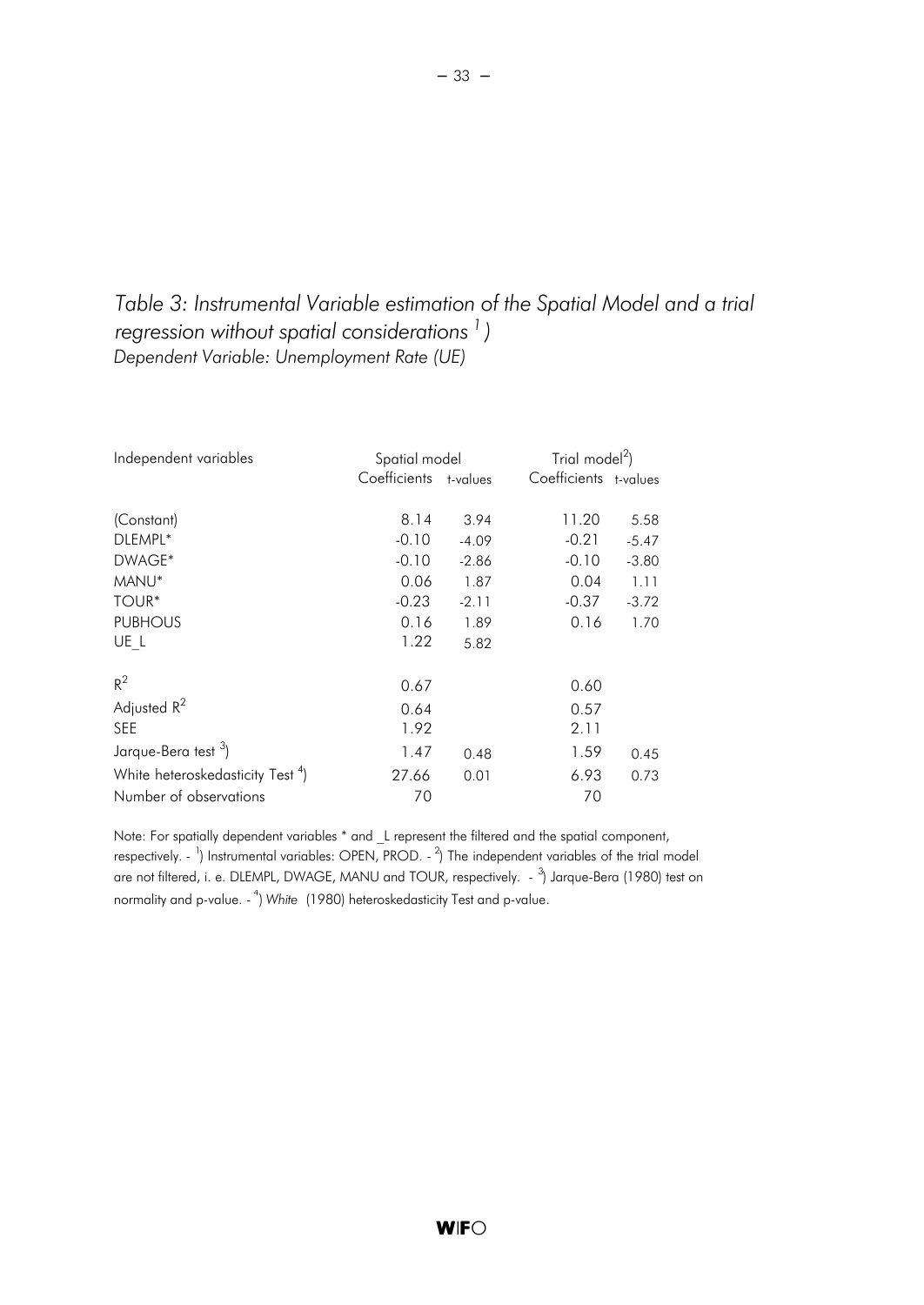## *Table 3: Instrumental Variable estimation of the Spatial Model and a trial regression without spatial considerations <sup>1</sup> ) Dependent Variable: Unemployment Rate (UE)*

| Independent variables                        | Spatial model         |         | Trial model <sup>2</sup> ) |         |
|----------------------------------------------|-----------------------|---------|----------------------------|---------|
|                                              | Coefficients t-values |         | Coefficients t-values      |         |
| (Constant)                                   | 8.14                  | 3.94    | 11.20                      | 5.58    |
| DLEMPL*                                      | $-0.10$               | $-4.09$ | $-0.21$                    | $-5.47$ |
| DWAGE*                                       | $-0.10$               | $-2.86$ | $-0.10$                    | $-3.80$ |
| MANU*                                        | 0.06                  | 1.87    | 0.04                       | 1.11    |
| TOUR*                                        | $-0.23$               | $-2.11$ | $-0.37$                    | $-3.72$ |
| <b>PUBHOUS</b>                               | 0.16                  | 1.89    | 0.16                       | 1.70    |
| UE L                                         | 1.22                  | 5.82    |                            |         |
| $R^2$                                        | 0.67                  |         | 0.60                       |         |
| Adjusted R <sup>2</sup>                      | 0.64                  |         | 0.57                       |         |
| <b>SEE</b>                                   | 1.92                  |         | 2.11                       |         |
| Jarque-Bera test <sup>3</sup> )              | 1.47                  | 0.48    | 1.59                       | 0.45    |
| White heteroskedasticity Test <sup>4</sup> ) | 27.66                 | 0.01    | 6.93                       | 0.73    |
| Number of observations                       | 70                    |         | 70                         |         |

Note: For spatially dependent variables \* and \_L represent the filtered and the spatial component, respectively. -  $\cdot$  ) Instrumental variables: OPEN, PROD. -  $\frac{2}{3}$  The independent variables of the trial model are not filtered, i. e. DLEMPL, DWAGE, MANU and TOUR, respectively. -  $^3$ ) Jarque-Bera (1980) test on normality and p-value. -<sup>4</sup>) White (1980) heteroskedasticity Test and p-value.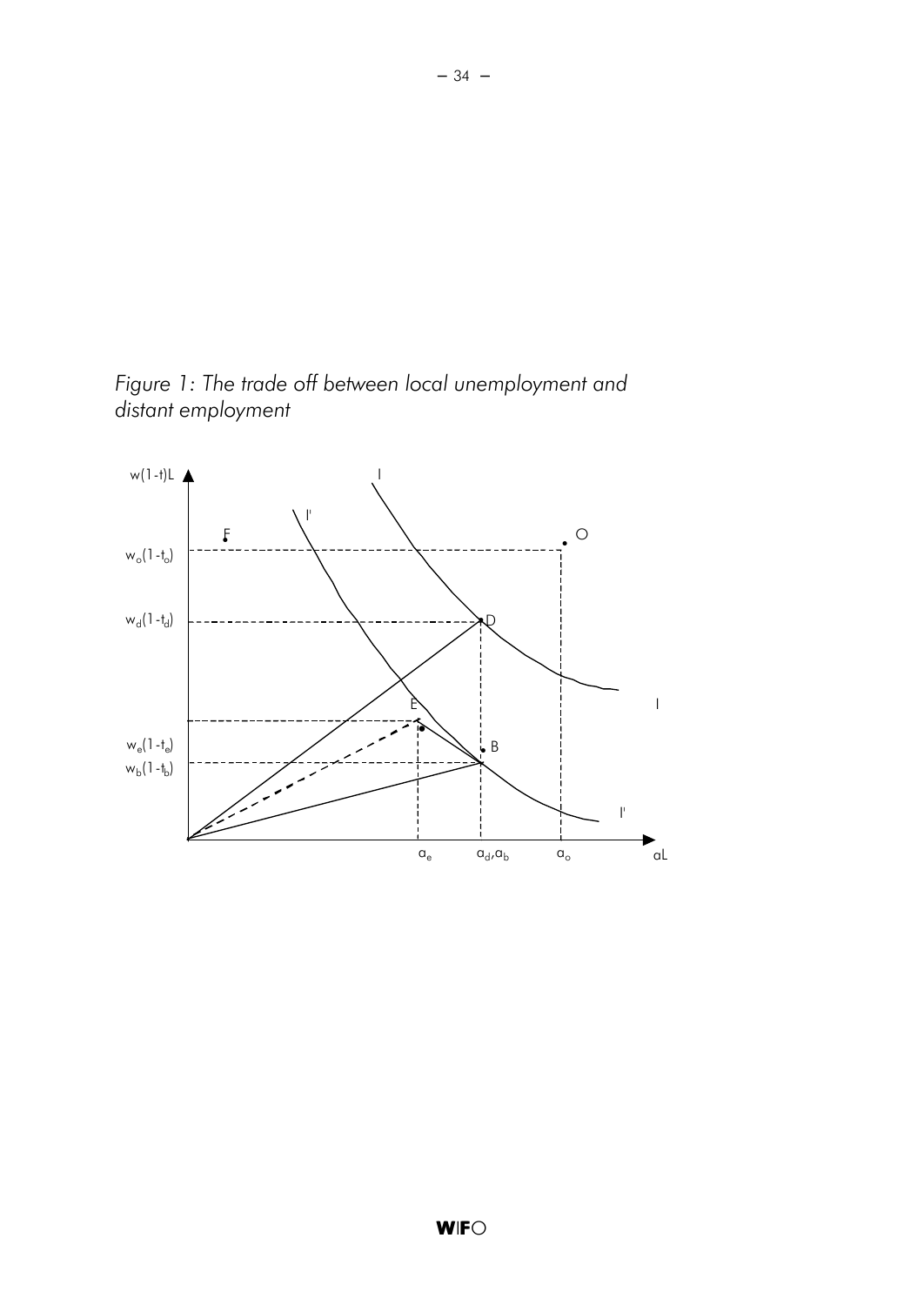

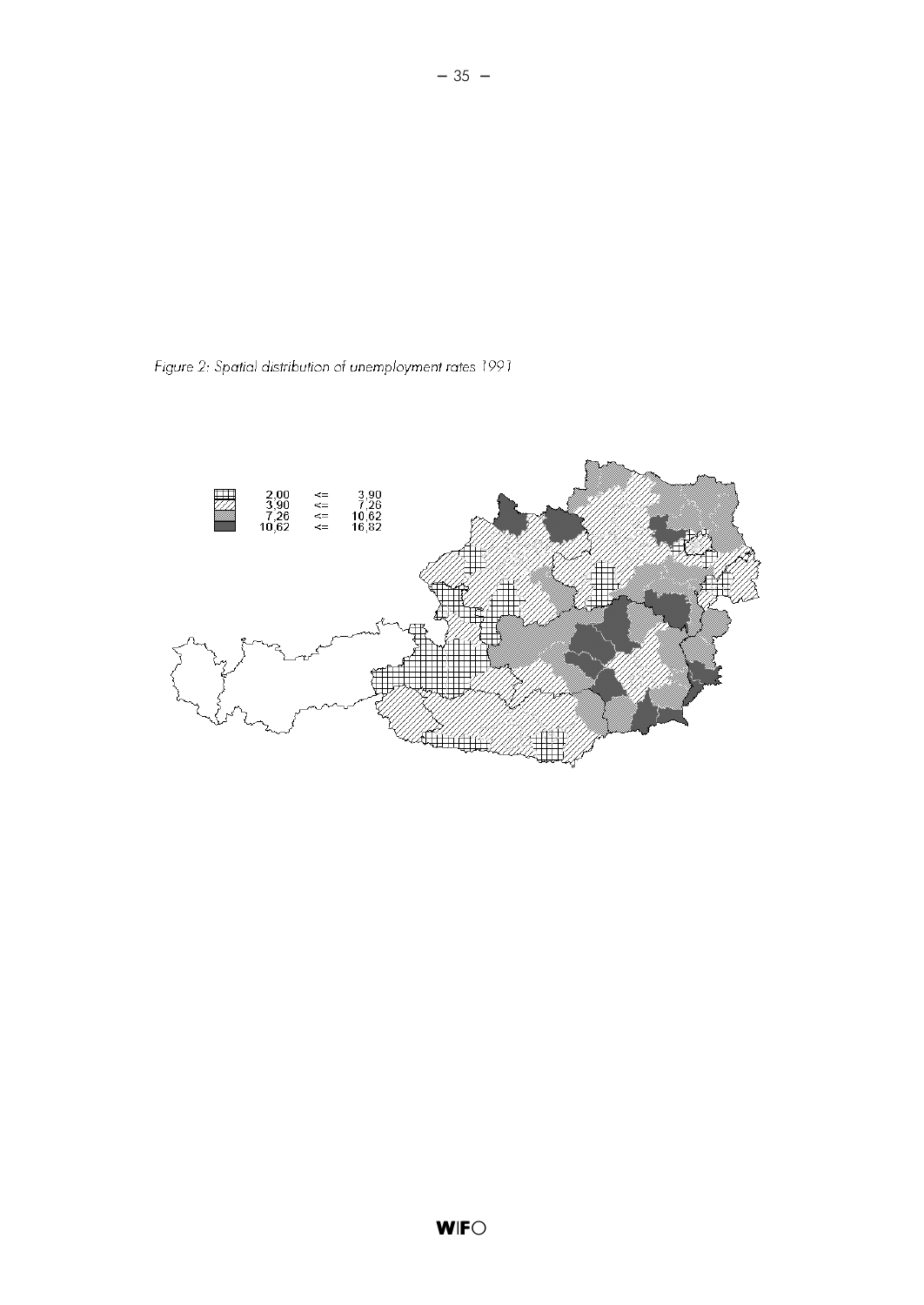Figure 2: Spatial distribution of unemployment rates 1991

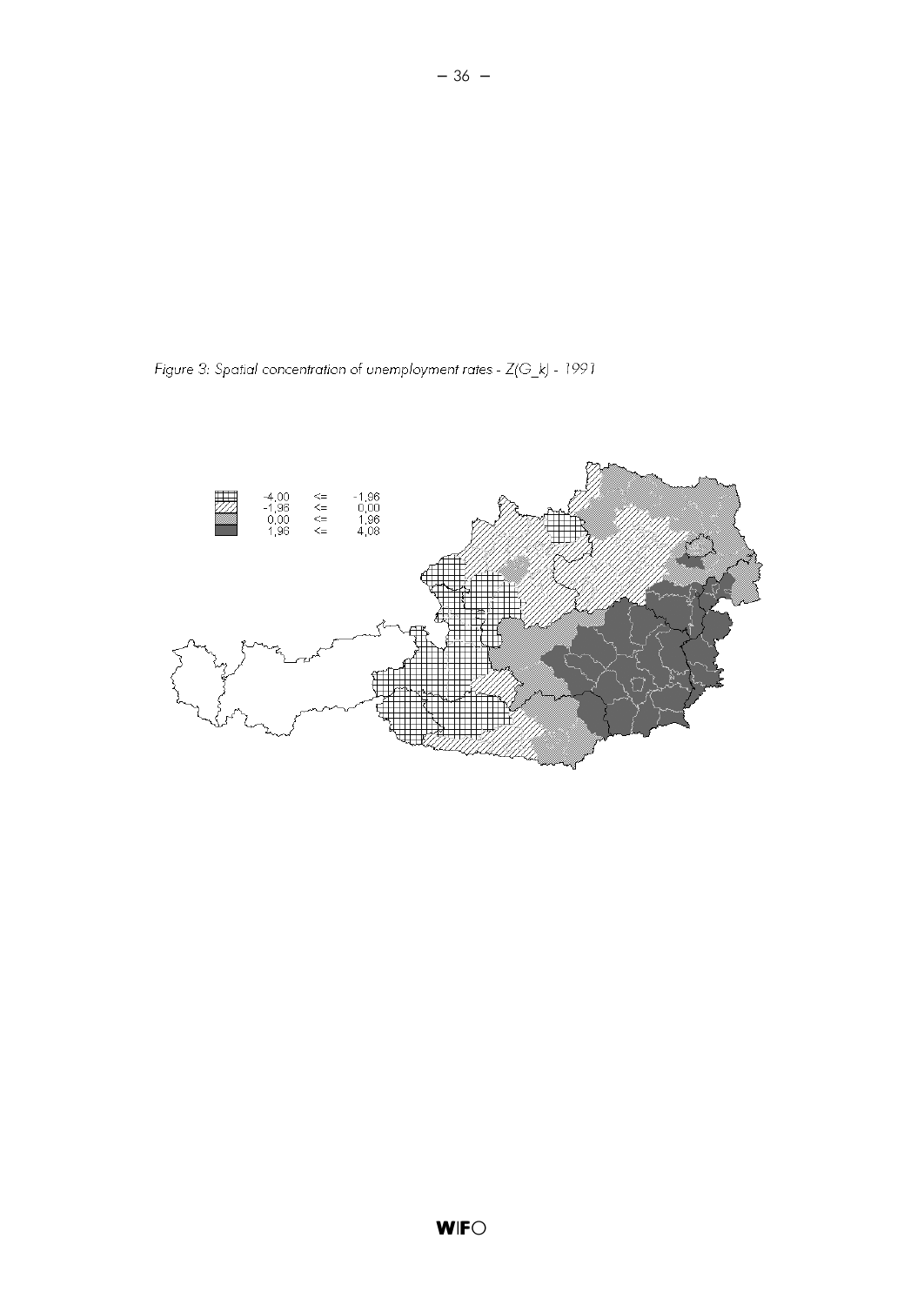Figure 3: Spatial concentration of unemployment rates -  $Z(\mathbb{G}\llcorner k)$  - 1991



 $-36 -$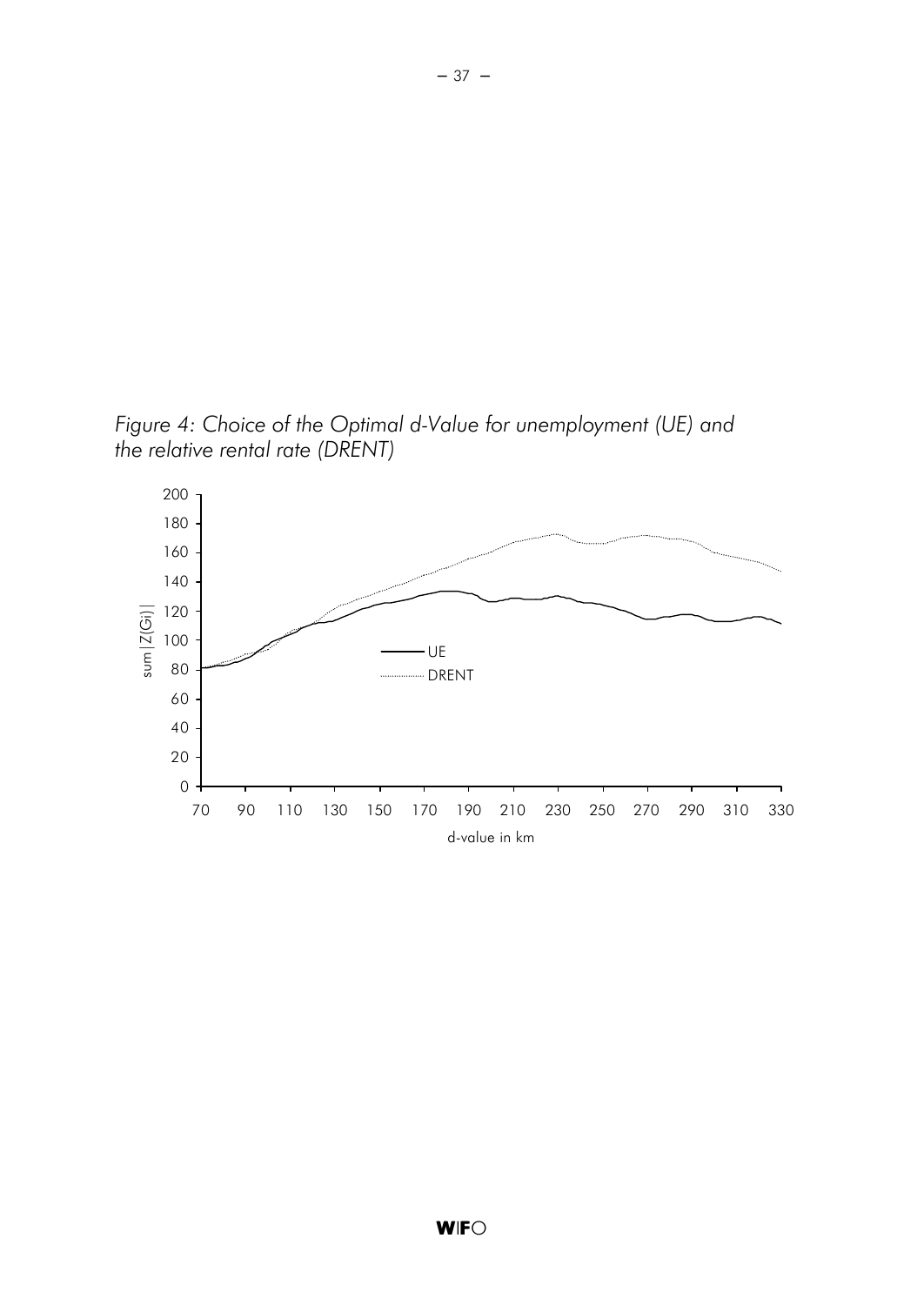

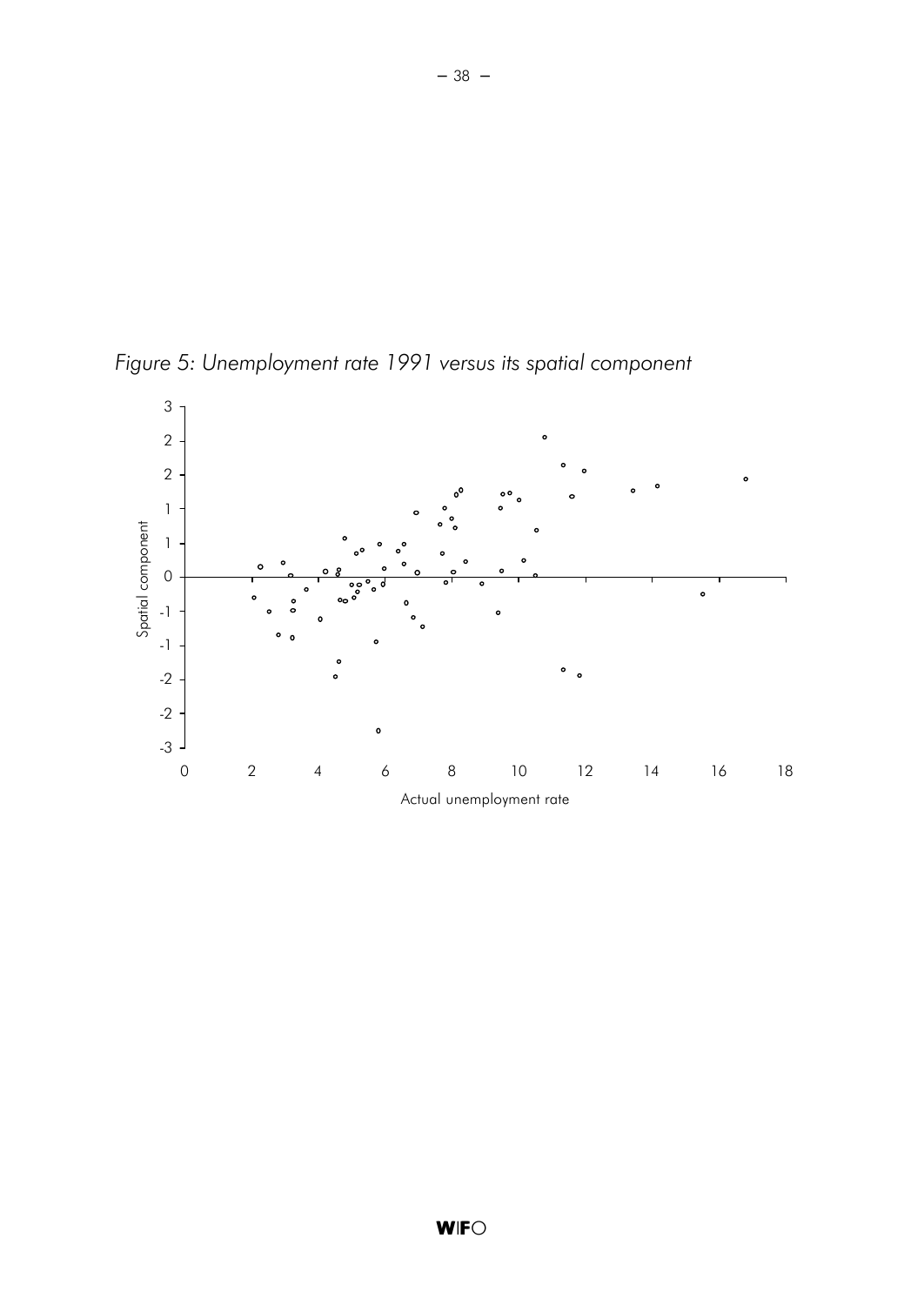*Figure 5: Unemployment rate 1991 versus its spatial component*

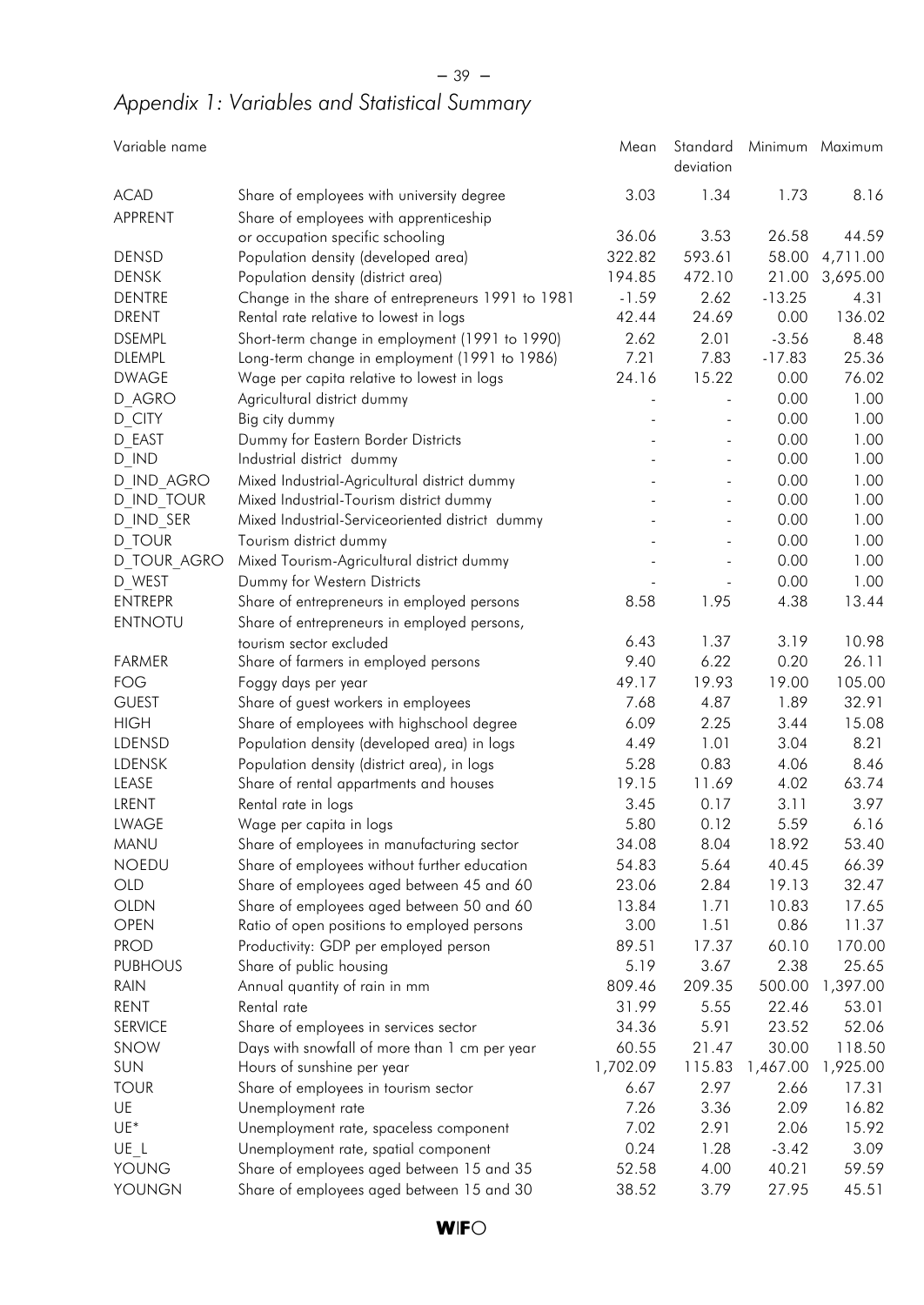− 39 −

## *Appendix 1: Variables and Statistical Summary*

| Variable name      |                                                   | Mean     | Standard<br>deviation    |          | Minimum Maximum |
|--------------------|---------------------------------------------------|----------|--------------------------|----------|-----------------|
| <b>ACAD</b>        | Share of employees with university degree         | 3.03     | 1.34                     | 1.73     | 8.16            |
| APPRENT            | Share of employees with apprenticeship            |          |                          |          |                 |
|                    | or occupation specific schooling                  | 36.06    | 3.53                     | 26.58    | 44.59           |
| <b>DENSD</b>       | Population density (developed area)               | 322.82   | 593.61                   | 58.00    | 4,711.00        |
| <b>DENSK</b>       | Population density (district area)                | 194.85   | 472.10                   | 21.00    | 3,695.00        |
| <b>DENTRE</b>      | Change in the share of entrepreneurs 1991 to 1981 | $-1.59$  | 2.62                     | $-13.25$ | 4.31            |
| <b>DRENT</b>       | Rental rate relative to lowest in logs            | 42.44    | 24.69                    | 0.00     | 136.02          |
| <b>DSEMPL</b>      | Short-term change in employment (1991 to 1990)    | 2.62     | 2.01                     | $-3.56$  | 8.48            |
| <b>DLEMPL</b>      | Long-term change in employment (1991 to 1986)     | 7.21     | 7.83                     | $-17.83$ | 25.36           |
| <b>DWAGE</b>       | Wage per capita relative to lowest in logs        | 24.16    | 15.22                    | 0.00     | 76.02           |
| D AGRO             | Agricultural district dummy                       |          |                          | 0.00     | 1.00            |
| D_CITY             | Big city dummy                                    |          | $\overline{a}$           | 0.00     | 1.00            |
| D EAST             | Dummy for Eastern Border Districts                |          | $\overline{\phantom{0}}$ | 0.00     | 1.00            |
| D IND              | Industrial district dummy                         |          | $\overline{a}$           | 0.00     | 1.00            |
| D IND AGRO         | Mixed Industrial-Agricultural district dummy      |          | $\frac{1}{2}$            | 0.00     | 1.00            |
| <b>D IND TOUR</b>  | Mixed Industrial-Tourism district dummy           |          | $\overline{\phantom{a}}$ | 0.00     | 1.00            |
| D_IND_SER          | Mixed Industrial-Serviceoriented district dummy   |          |                          | 0.00     | 1.00            |
| <b>D TOUR</b>      | Tourism district dummy                            |          |                          | 0.00     | 1.00            |
| <b>D_TOUR_AGRO</b> | Mixed Tourism-Agricultural district dummy         |          | $\overline{a}$           | 0.00     | 1.00            |
| D_WEST             | Dummy for Western Districts                       |          |                          | 0.00     | 1.00            |
| <b>ENTREPR</b>     | Share of entrepreneurs in employed persons        | 8.58     | 1.95                     | 4.38     | 13.44           |
| <b>ENTNOTU</b>     | Share of entrepreneurs in employed persons,       |          |                          |          |                 |
|                    | tourism sector excluded                           | 6.43     | 1.37                     | 3.19     | 10.98           |
| <b>FARMER</b>      | Share of farmers in employed persons              | 9.40     | 6.22                     | 0.20     | 26.11           |
| <b>FOG</b>         | Foggy days per year                               | 49.17    | 19.93                    | 19.00    | 105.00          |
| <b>GUEST</b>       | Share of guest workers in employees               | 7.68     | 4.87                     | 1.89     | 32.91           |
| <b>HIGH</b>        | Share of employees with highschool degree         | 6.09     | 2.25                     | 3.44     | 15.08           |
| LDENSD             | Population density (developed area) in logs       | 4.49     | 1.01                     | 3.04     | 8.21            |
| <b>LDENSK</b>      | Population density (district area), in logs       | 5.28     | 0.83                     | 4.06     | 8.46            |
| LEASE              | Share of rental appartments and houses            | 19.15    | 11.69                    | 4.02     | 63.74           |
| LRENT              | Rental rate in logs                               | 3.45     | 0.17                     | 3.11     | 3.97            |
| <b>LWAGE</b>       | Wage per capita in logs                           | 5.80     | 0.12                     | 5.59     | 6.16            |
| MANU               | Share of employees in manufacturing sector        | 34.08    | 8.04                     | 18.92    | 53.40           |
| <b>NOEDU</b>       | Share of employees without further education      | 54.83    | 5.64                     | 40.45    | 66.39           |
| OLD                | Share of employees aged between 45 and 60         | 23.06    | 2.84                     | 19.13    | 32.47           |
| <b>OLDN</b>        | Share of employees aged between 50 and 60         | 13.84    | 1.71                     | 10.83    | 17.65           |
| <b>OPEN</b>        | Ratio of open positions to employed persons       | 3.00     | 1.51                     | 0.86     | 11.37           |
| <b>PROD</b>        | Productivity: GDP per employed person             | 89.51    | 17.37                    | 60.10    | 170.00          |
| <b>PUBHOUS</b>     | Share of public housing                           | 5.19     | 3.67                     | 2.38     | 25.65           |
| <b>RAIN</b>        | Annual quantity of rain in mm                     | 809.46   | 209.35                   | 500.00   | 1,397.00        |
| <b>RENT</b>        | Rental rate                                       | 31.99    | 5.55                     | 22.46    | 53.01           |
| <b>SERVICE</b>     | Share of employees in services sector             | 34.36    | 5.91                     | 23.52    | 52.06           |
| SNOW               | Days with snowfall of more than 1 cm per year     | 60.55    | 21.47                    | 30.00    | 118.50          |
| SUN                | Hours of sunshine per year                        | 1,702.09 | 115.83                   | 1,467.00 | 1,925.00        |
| <b>TOUR</b>        | Share of employees in tourism sector              | 6.67     | 2.97                     | 2.66     | 17.31           |
| UE                 | Unemployment rate                                 | 7.26     | 3.36                     | 2.09     | 16.82           |
| $UE^*$             | Unemployment rate, spaceless component            | 7.02     | 2.91                     | 2.06     | 15.92           |
| UE L               | Unemployment rate, spatial component              | 0.24     | 1.28                     | $-3.42$  | 3.09            |
| YOUNG              | Share of employees aged between 15 and 35         | 52.58    | 4.00                     | 40.21    | 59.59           |
| YOUNGN             | Share of employees aged between 15 and 30         | 38.52    | 3.79                     | 27.95    | 45.51           |

**W**I**F**O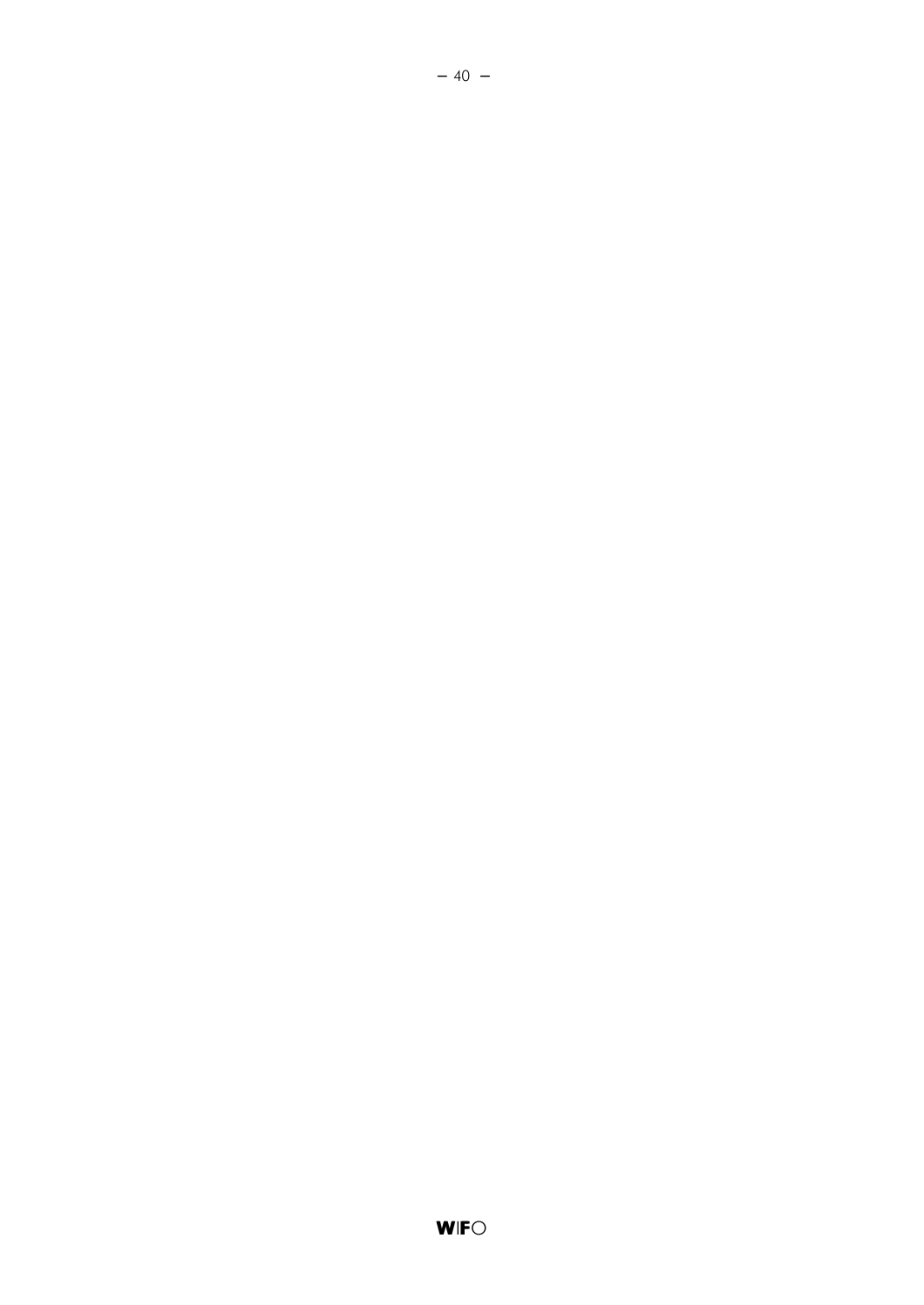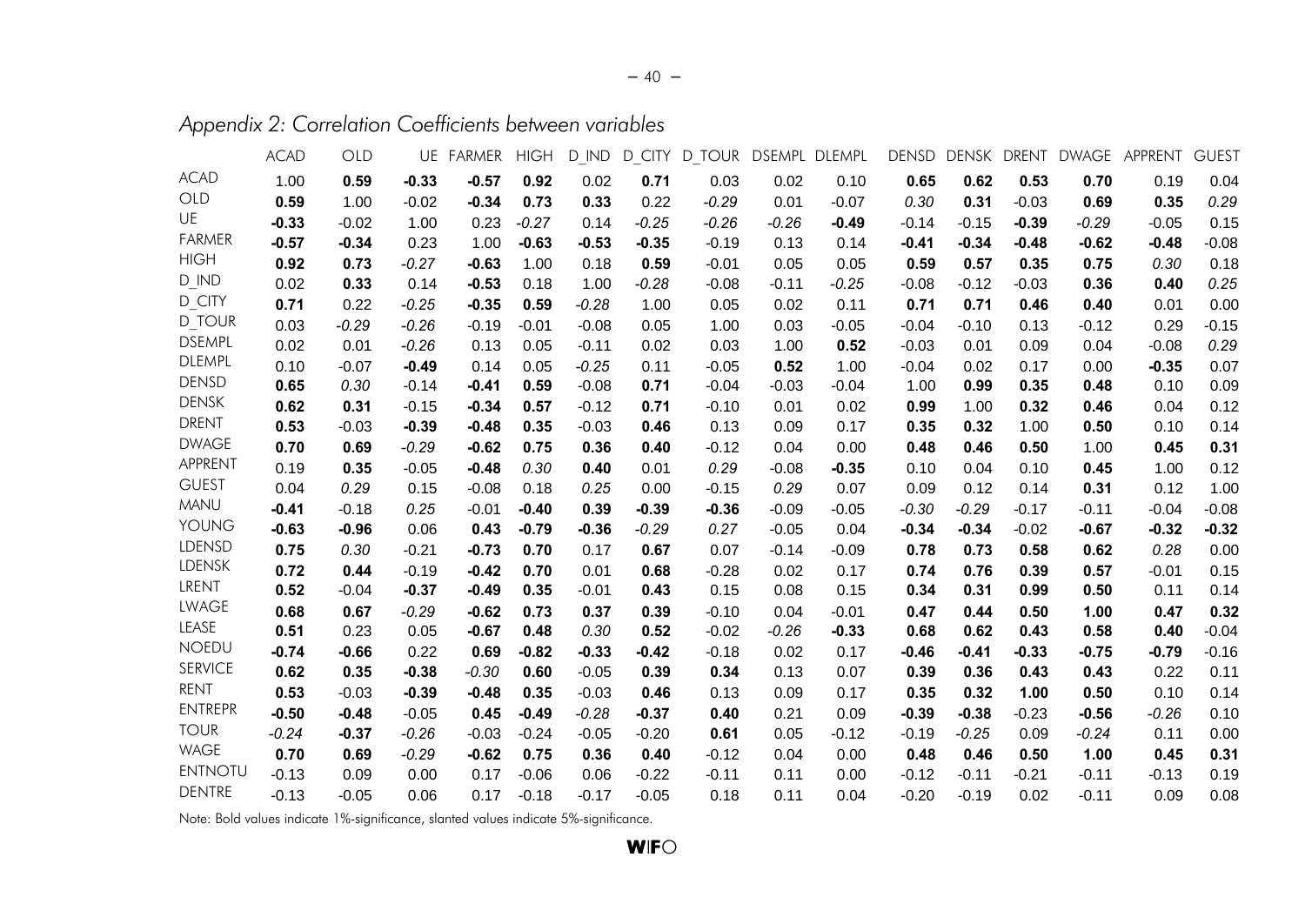|                | <b>ACAD</b> | <b>OLD</b> | UE      | FARMER  | <b>HIGH</b> | D IND   |         | D_CITY D_TOUR |         | DSEMPL DLEMPL | <b>DENSD</b> | <b>DENSK</b> | <b>DRENT</b> | <b>DWAGE</b> | APPRENT | <b>GUEST</b> |
|----------------|-------------|------------|---------|---------|-------------|---------|---------|---------------|---------|---------------|--------------|--------------|--------------|--------------|---------|--------------|
| <b>ACAD</b>    | 1.00        | 0.59       | $-0.33$ | $-0.57$ | 0.92        | 0.02    | 0.71    | 0.03          | 0.02    | 0.10          | 0.65         | 0.62         | 0.53         | 0.70         | 0.19    | 0.04         |
| <b>OLD</b>     | 0.59        | 1.00       | $-0.02$ | $-0.34$ | 0.73        | 0.33    | 0.22    | $-0.29$       | 0.01    | $-0.07$       | 0.30         | 0.31         | $-0.03$      | 0.69         | 0.35    | 0.29         |
| UE             | $-0.33$     | $-0.02$    | 1.00    | 0.23    | $-0.27$     | 0.14    | $-0.25$ | $-0.26$       | $-0.26$ | $-0.49$       | $-0.14$      | $-0.15$      | $-0.39$      | $-0.29$      | $-0.05$ | 0.15         |
| <b>FARMER</b>  | $-0.57$     | $-0.34$    | 0.23    | 1.00    | $-0.63$     | $-0.53$ | $-0.35$ | $-0.19$       | 0.13    | 0.14          | $-0.41$      | $-0.34$      | $-0.48$      | $-0.62$      | $-0.48$ | $-0.08$      |
| <b>HIGH</b>    | 0.92        | 0.73       | $-0.27$ | $-0.63$ | 1.00        | 0.18    | 0.59    | $-0.01$       | 0.05    | 0.05          | 0.59         | 0.57         | 0.35         | 0.75         | 0.30    | 0.18         |
| D IND          | 0.02        | 0.33       | 0.14    | $-0.53$ | 0.18        | 1.00    | $-0.28$ | $-0.08$       | $-0.11$ | $-0.25$       | $-0.08$      | $-0.12$      | $-0.03$      | 0.36         | 0.40    | 0.25         |
| D_CITY         | 0.71        | 0.22       | $-0.25$ | $-0.35$ | 0.59        | $-0.28$ | 1.00    | 0.05          | 0.02    | 0.11          | 0.71         | 0.71         | 0.46         | 0.40         | 0.01    | 0.00         |
| <b>D TOUR</b>  | 0.03        | $-0.29$    | $-0.26$ | $-0.19$ | $-0.01$     | $-0.08$ | 0.05    | 1.00          | 0.03    | $-0.05$       | $-0.04$      | $-0.10$      | 0.13         | $-0.12$      | 0.29    | $-0.15$      |
| <b>DSEMPL</b>  | 0.02        | 0.01       | $-0.26$ | 0.13    | 0.05        | $-0.11$ | 0.02    | 0.03          | 1.00    | 0.52          | $-0.03$      | 0.01         | 0.09         | 0.04         | $-0.08$ | 0.29         |
| <b>DLEMPL</b>  | 0.10        | $-0.07$    | $-0.49$ | 0.14    | 0.05        | $-0.25$ | 0.11    | $-0.05$       | 0.52    | 1.00          | $-0.04$      | 0.02         | 0.17         | 0.00         | $-0.35$ | 0.07         |
| <b>DENSD</b>   | 0.65        | 0.30       | $-0.14$ | $-0.41$ | 0.59        | $-0.08$ | 0.71    | $-0.04$       | $-0.03$ | $-0.04$       | 1.00         | 0.99         | 0.35         | 0.48         | 0.10    | 0.09         |
| <b>DENSK</b>   | 0.62        | 0.31       | $-0.15$ | $-0.34$ | 0.57        | $-0.12$ | 0.71    | $-0.10$       | 0.01    | 0.02          | 0.99         | 1.00         | 0.32         | 0.46         | 0.04    | 0.12         |
| <b>DRENT</b>   | 0.53        | $-0.03$    | $-0.39$ | $-0.48$ | 0.35        | $-0.03$ | 0.46    | 0.13          | 0.09    | 0.17          | 0.35         | 0.32         | 1.00         | 0.50         | 0.10    | 0.14         |
| <b>DWAGE</b>   | 0.70        | 0.69       | $-0.29$ | $-0.62$ | 0.75        | 0.36    | 0.40    | $-0.12$       | 0.04    | 0.00          | 0.48         | 0.46         | 0.50         | 1.00         | 0.45    | 0.31         |
| APPRENT        | 0.19        | 0.35       | $-0.05$ | $-0.48$ | 0.30        | 0.40    | 0.01    | 0.29          | $-0.08$ | $-0.35$       | 0.10         | 0.04         | 0.10         | 0.45         | 1.00    | 0.12         |
| <b>GUEST</b>   | 0.04        | 0.29       | 0.15    | $-0.08$ | 0.18        | 0.25    | 0.00    | $-0.15$       | 0.29    | 0.07          | 0.09         | 0.12         | 0.14         | 0.31         | 0.12    | 1.00         |
| <b>MANU</b>    | $-0.41$     | $-0.18$    | 0.25    | $-0.01$ | $-0.40$     | 0.39    | $-0.39$ | $-0.36$       | $-0.09$ | $-0.05$       | $-0.30$      | $-0.29$      | $-0.17$      | $-0.11$      | $-0.04$ | $-0.08$      |
| YOUNG          | $-0.63$     | $-0.96$    | 0.06    | 0.43    | $-0.79$     | $-0.36$ | $-0.29$ | 0.27          | $-0.05$ | 0.04          | $-0.34$      | $-0.34$      | $-0.02$      | $-0.67$      | $-0.32$ | $-0.32$      |
| <b>LDENSD</b>  | 0.75        | 0.30       | $-0.21$ | $-0.73$ | 0.70        | 0.17    | 0.67    | 0.07          | $-0.14$ | $-0.09$       | 0.78         | 0.73         | 0.58         | 0.62         | 0.28    | 0.00         |
| <b>LDENSK</b>  | 0.72        | 0.44       | $-0.19$ | $-0.42$ | 0.70        | 0.01    | 0.68    | $-0.28$       | 0.02    | 0.17          | 0.74         | 0.76         | 0.39         | 0.57         | $-0.01$ | 0.15         |
| <b>LRENT</b>   | 0.52        | $-0.04$    | $-0.37$ | $-0.49$ | 0.35        | $-0.01$ | 0.43    | 0.15          | 0.08    | 0.15          | 0.34         | 0.31         | 0.99         | 0.50         | 0.11    | 0.14         |
| <b>LWAGE</b>   | 0.68        | 0.67       | $-0.29$ | $-0.62$ | 0.73        | 0.37    | 0.39    | $-0.10$       | 0.04    | $-0.01$       | 0.47         | 0.44         | 0.50         | 1.00         | 0.47    | 0.32         |
| <b>LEASE</b>   | 0.51        | 0.23       | 0.05    | $-0.67$ | 0.48        | 0.30    | 0.52    | $-0.02$       | $-0.26$ | $-0.33$       | 0.68         | 0.62         | 0.43         | 0.58         | 0.40    | $-0.04$      |
| <b>NOEDU</b>   | $-0.74$     | $-0.66$    | 0.22    | 0.69    | $-0.82$     | $-0.33$ | $-0.42$ | $-0.18$       | 0.02    | 0.17          | $-0.46$      | $-0.41$      | $-0.33$      | $-0.75$      | $-0.79$ | $-0.16$      |
| <b>SERVICE</b> | 0.62        | 0.35       | $-0.38$ | $-0.30$ | 0.60        | $-0.05$ | 0.39    | 0.34          | 0.13    | 0.07          | 0.39         | 0.36         | 0.43         | 0.43         | 0.22    | 0.11         |
| <b>RENT</b>    | 0.53        | $-0.03$    | $-0.39$ | $-0.48$ | 0.35        | $-0.03$ | 0.46    | 0.13          | 0.09    | 0.17          | 0.35         | 0.32         | 1.00         | 0.50         | 0.10    | 0.14         |
| <b>ENTREPR</b> | $-0.50$     | $-0.48$    | $-0.05$ | 0.45    | $-0.49$     | $-0.28$ | $-0.37$ | 0.40          | 0.21    | 0.09          | $-0.39$      | $-0.38$      | $-0.23$      | $-0.56$      | $-0.26$ | 0.10         |
| <b>TOUR</b>    | $-0.24$     | $-0.37$    | $-0.26$ | $-0.03$ | $-0.24$     | $-0.05$ | $-0.20$ | 0.61          | 0.05    | $-0.12$       | $-0.19$      | $-0.25$      | 0.09         | $-0.24$      | 0.11    | 0.00         |
| <b>WAGE</b>    | 0.70        | 0.69       | $-0.29$ | $-0.62$ | 0.75        | 0.36    | 0.40    | $-0.12$       | 0.04    | 0.00          | 0.48         | 0.46         | 0.50         | 1.00         | 0.45    | 0.31         |
| <b>ENTNOTU</b> | $-0.13$     | 0.09       | 0.00    | 0.17    | $-0.06$     | 0.06    | $-0.22$ | $-0.11$       | 0.11    | 0.00          | $-0.12$      | $-0.11$      | $-0.21$      | $-0.11$      | $-0.13$ | 0.19         |
| <b>DENTRE</b>  | $-0.13$     | $-0.05$    | 0.06    | 0.17    | $-0.18$     | $-0.17$ | $-0.05$ | 0.18          | 0.11    | 0.04          | $-0.20$      | $-0.19$      | 0.02         | $-0.11$      | 0.09    | 0.08         |

| Appendix 2: Correlation Coefficients between variables |  |  |
|--------------------------------------------------------|--|--|
|                                                        |  |  |

Note: Bold values indicate 1%-significance, slanted values indicate 5%-significance.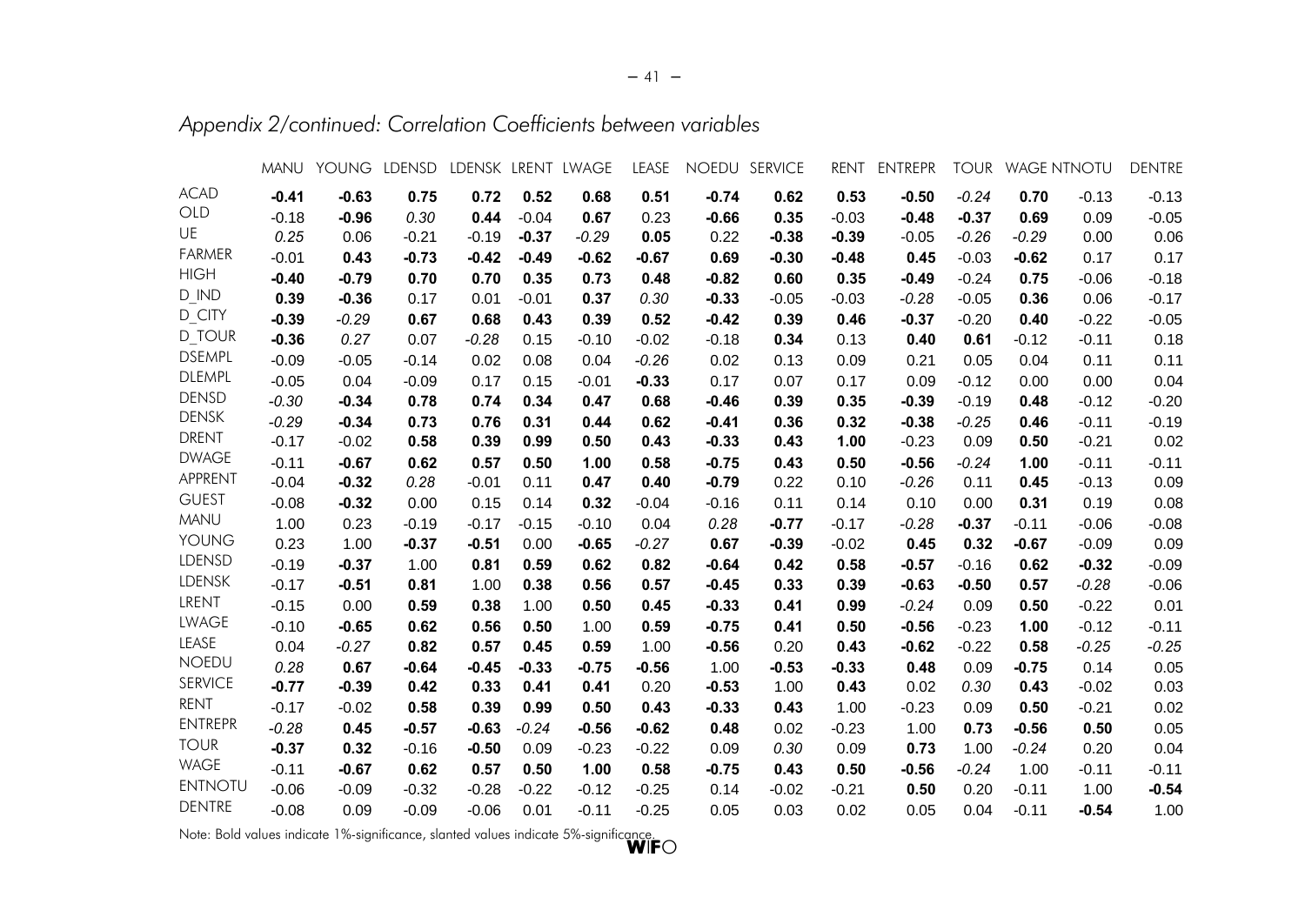## *Appendix 2/continued: Correlation Coefficients between variables*

|                       | <b>MANU</b> | YOUNG   | <b>LDENSD</b> | LDENSK LRENT |         | <b>LWAGE</b> | <b>LEASE</b> | <b>NOEDU</b> | <b>SERVICE</b> | <b>RENT</b> | <b>ENTREPR</b> | <b>TOUR</b> |         | <b>WAGE NTNOTU</b> | <b>DENTRE</b> |
|-----------------------|-------------|---------|---------------|--------------|---------|--------------|--------------|--------------|----------------|-------------|----------------|-------------|---------|--------------------|---------------|
| <b>ACAD</b>           | $-0.41$     | $-0.63$ | 0.75          | 0.72         | 0.52    | 0.68         | 0.51         | $-0.74$      | 0.62           | 0.53        | $-0.50$        | $-0.24$     | 0.70    | $-0.13$            | $-0.13$       |
| OLD                   | $-0.18$     | $-0.96$ | 0.30          | 0.44         | $-0.04$ | 0.67         | 0.23         | $-0.66$      | 0.35           | $-0.03$     | $-0.48$        | $-0.37$     | 0.69    | 0.09               | $-0.05$       |
| UE                    | 0.25        | 0.06    | $-0.21$       | $-0.19$      | $-0.37$ | $-0.29$      | 0.05         | 0.22         | $-0.38$        | $-0.39$     | $-0.05$        | $-0.26$     | $-0.29$ | 0.00               | 0.06          |
| <b>FARMER</b>         | $-0.01$     | 0.43    | $-0.73$       | $-0.42$      | $-0.49$ | $-0.62$      | $-0.67$      | 0.69         | $-0.30$        | $-0.48$     | 0.45           | $-0.03$     | $-0.62$ | 0.17               | 0.17          |
| <b>HIGH</b>           | $-0.40$     | $-0.79$ | 0.70          | 0.70         | 0.35    | 0.73         | 0.48         | $-0.82$      | 0.60           | 0.35        | $-0.49$        | $-0.24$     | 0.75    | $-0.06$            | $-0.18$       |
| D IND                 | 0.39        | $-0.36$ | 0.17          | 0.01         | $-0.01$ | 0.37         | 0.30         | $-0.33$      | $-0.05$        | $-0.03$     | $-0.28$        | $-0.05$     | 0.36    | 0.06               | $-0.17$       |
| D CITY                | $-0.39$     | $-0.29$ | 0.67          | 0.68         | 0.43    | 0.39         | 0.52         | $-0.42$      | 0.39           | 0.46        | $-0.37$        | $-0.20$     | 0.40    | $-0.22$            | $-0.05$       |
| <b>D TOUR</b>         | $-0.36$     | 0.27    | 0.07          | $-0.28$      | 0.15    | $-0.10$      | $-0.02$      | $-0.18$      | 0.34           | 0.13        | 0.40           | 0.61        | $-0.12$ | $-0.11$            | 0.18          |
| <b>DSEMPL</b>         | $-0.09$     | $-0.05$ | $-0.14$       | 0.02         | 0.08    | 0.04         | $-0.26$      | 0.02         | 0.13           | 0.09        | 0.21           | 0.05        | 0.04    | 0.11               | 0.11          |
| <b>DLEMPL</b>         | $-0.05$     | 0.04    | $-0.09$       | 0.17         | 0.15    | $-0.01$      | $-0.33$      | 0.17         | 0.07           | 0.17        | 0.09           | $-0.12$     | 0.00    | 0.00               | 0.04          |
| <b>DENSD</b>          | $-0.30$     | $-0.34$ | 0.78          | 0.74         | 0.34    | 0.47         | 0.68         | $-0.46$      | 0.39           | 0.35        | $-0.39$        | $-0.19$     | 0.48    | $-0.12$            | $-0.20$       |
| <b>DENSK</b>          | $-0.29$     | $-0.34$ | 0.73          | 0.76         | 0.31    | 0.44         | 0.62         | $-0.41$      | 0.36           | 0.32        | $-0.38$        | $-0.25$     | 0.46    | $-0.11$            | $-0.19$       |
| <b>DRENT</b>          | $-0.17$     | $-0.02$ | 0.58          | 0.39         | 0.99    | 0.50         | 0.43         | $-0.33$      | 0.43           | 1.00        | $-0.23$        | 0.09        | 0.50    | $-0.21$            | 0.02          |
| <b>DWAGE</b>          | $-0.11$     | $-0.67$ | 0.62          | 0.57         | 0.50    | 1.00         | 0.58         | $-0.75$      | 0.43           | 0.50        | $-0.56$        | $-0.24$     | 1.00    | $-0.11$            | $-0.11$       |
| APPRENT               | $-0.04$     | $-0.32$ | 0.28          | $-0.01$      | 0.11    | 0.47         | 0.40         | $-0.79$      | 0.22           | 0.10        | $-0.26$        | 0.11        | 0.45    | $-0.13$            | 0.09          |
| <b>GUEST</b>          | $-0.08$     | $-0.32$ | 0.00          | 0.15         | 0.14    | 0.32         | $-0.04$      | $-0.16$      | 0.11           | 0.14        | 0.10           | 0.00        | 0.31    | 0.19               | 0.08          |
| MANU                  | 1.00        | 0.23    | $-0.19$       | $-0.17$      | $-0.15$ | $-0.10$      | 0.04         | 0.28         | $-0.77$        | $-0.17$     | $-0.28$        | $-0.37$     | $-0.11$ | $-0.06$            | $-0.08$       |
| YOUNG                 | 0.23        | 1.00    | $-0.37$       | $-0.51$      | 0.00    | $-0.65$      | $-0.27$      | 0.67         | $-0.39$        | $-0.02$     | 0.45           | 0.32        | -0.67   | $-0.09$            | 0.09          |
| LDENSD                | $-0.19$     | $-0.37$ | 1.00          | 0.81         | 0.59    | 0.62         | 0.82         | $-0.64$      | 0.42           | 0.58        | $-0.57$        | $-0.16$     | 0.62    | $-0.32$            | $-0.09$       |
| <b>LDENSK</b>         | $-0.17$     | $-0.51$ | 0.81          | 1.00         | 0.38    | 0.56         | 0.57         | $-0.45$      | 0.33           | 0.39        | $-0.63$        | $-0.50$     | 0.57    | $-0.28$            | $-0.06$       |
| LRENT<br><b>LWAGE</b> | $-0.15$     | 0.00    | 0.59          | 0.38         | 1.00    | 0.50         | 0.45         | $-0.33$      | 0.41           | 0.99        | $-0.24$        | 0.09        | 0.50    | $-0.22$            | 0.01          |
| LEASE                 | $-0.10$     | $-0.65$ | 0.62          | 0.56         | 0.50    | 1.00         | 0.59         | $-0.75$      | 0.41           | 0.50        | $-0.56$        | $-0.23$     | 1.00    | $-0.12$            | $-0.11$       |
| <b>NOEDU</b>          | 0.04        | $-0.27$ | 0.82          | 0.57         | 0.45    | 0.59         | 1.00         | $-0.56$      | 0.20           | 0.43        | $-0.62$        | $-0.22$     | 0.58    | $-0.25$            | $-0.25$       |
| <b>SERVICE</b>        | 0.28        | 0.67    | $-0.64$       | $-0.45$      | $-0.33$ | $-0.75$      | $-0.56$      | 1.00         | $-0.53$        | $-0.33$     | 0.48           | 0.09        | $-0.75$ | 0.14               | 0.05          |
| <b>RENT</b>           | $-0.77$     | $-0.39$ | 0.42          | 0.33         | 0.41    | 0.41         | 0.20         | $-0.53$      | 1.00           | 0.43        | 0.02           | 0.30        | 0.43    | $-0.02$            | 0.03          |
| <b>ENTREPR</b>        | $-0.17$     | $-0.02$ | 0.58          | 0.39         | 0.99    | 0.50         | 0.43         | $-0.33$      | 0.43           | 1.00        | $-0.23$        | 0.09        | 0.50    | $-0.21$            | 0.02          |
| <b>TOUR</b>           | $-0.28$     | 0.45    | $-0.57$       | $-0.63$      | $-0.24$ | $-0.56$      | $-0.62$      | 0.48         | 0.02           | $-0.23$     | 1.00           | 0.73        | $-0.56$ | 0.50               | 0.05          |
| <b>WAGE</b>           | $-0.37$     | 0.32    | $-0.16$       | $-0.50$      | 0.09    | $-0.23$      | $-0.22$      | 0.09         | 0.30           | 0.09        | 0.73           | 1.00        | $-0.24$ | 0.20               | 0.04          |
| <b>ENTNOTU</b>        | $-0.11$     | $-0.67$ | 0.62          | 0.57         | 0.50    | 1.00         | 0.58         | $-0.75$      | 0.43           | 0.50        | $-0.56$        | $-0.24$     | 1.00    | $-0.11$            | $-0.11$       |
| <b>DENTRE</b>         | $-0.06$     | $-0.09$ | $-0.32$       | $-0.28$      | $-0.22$ | $-0.12$      | $-0.25$      | 0.14         | $-0.02$        | $-0.21$     | 0.50           | 0.20        | $-0.11$ | 1.00               | $-0.54$       |
|                       | $-0.08$     | 0.09    | $-0.09$       | $-0.06$      | 0.01    | $-0.11$      | $-0.25$      | 0.05         | 0.03           | 0.02        | 0.05           | 0.04        | $-0.11$ | $-0.54$            | 1.00          |

Note: Bold values indicate 1%-significance, slanted values indicate 5%-significance.

**W**I**F**O